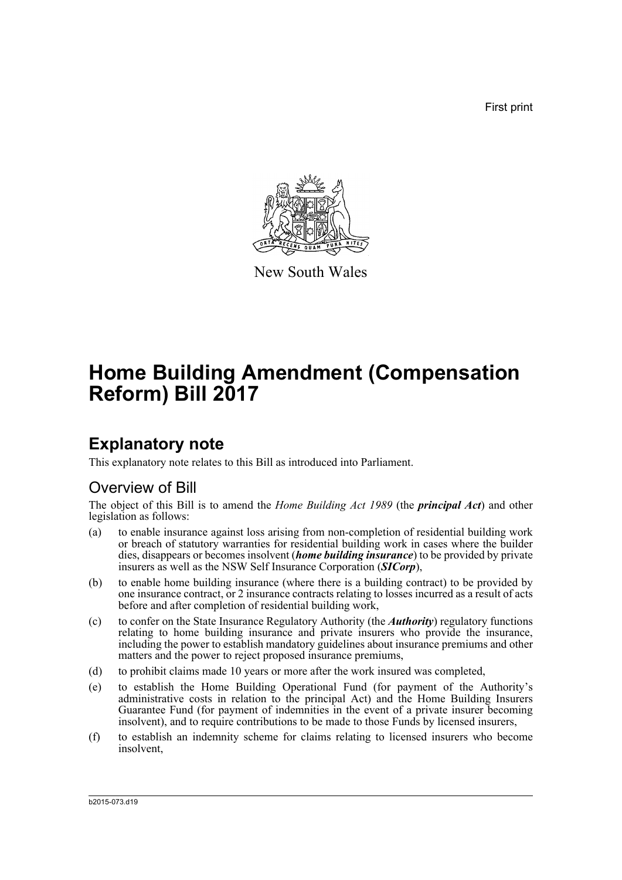First print



New South Wales

# **Home Building Amendment (Compensation Reform) Bill 2017**

# **Explanatory note**

This explanatory note relates to this Bill as introduced into Parliament.

# Overview of Bill

The object of this Bill is to amend the *Home Building Act 1989* (the *principal Act*) and other legislation as follows:

- (a) to enable insurance against loss arising from non-completion of residential building work or breach of statutory warranties for residential building work in cases where the builder dies, disappears or becomes insolvent (*home building insurance*) to be provided by private insurers as well as the NSW Self Insurance Corporation (*SICorp*),
- (b) to enable home building insurance (where there is a building contract) to be provided by one insurance contract, or 2 insurance contracts relating to losses incurred as a result of acts before and after completion of residential building work,
- (c) to confer on the State Insurance Regulatory Authority (the *Authority*) regulatory functions relating to home building insurance and private insurers who provide the insurance, including the power to establish mandatory guidelines about insurance premiums and other matters and the power to reject proposed insurance premiums,
- (d) to prohibit claims made 10 years or more after the work insured was completed,
- (e) to establish the Home Building Operational Fund (for payment of the Authority's administrative costs in relation to the principal Act) and the Home Building Insurers Guarantee Fund (for payment of indemnities in the event of a private insurer becoming insolvent), and to require contributions to be made to those Funds by licensed insurers,
- (f) to establish an indemnity scheme for claims relating to licensed insurers who become insolvent,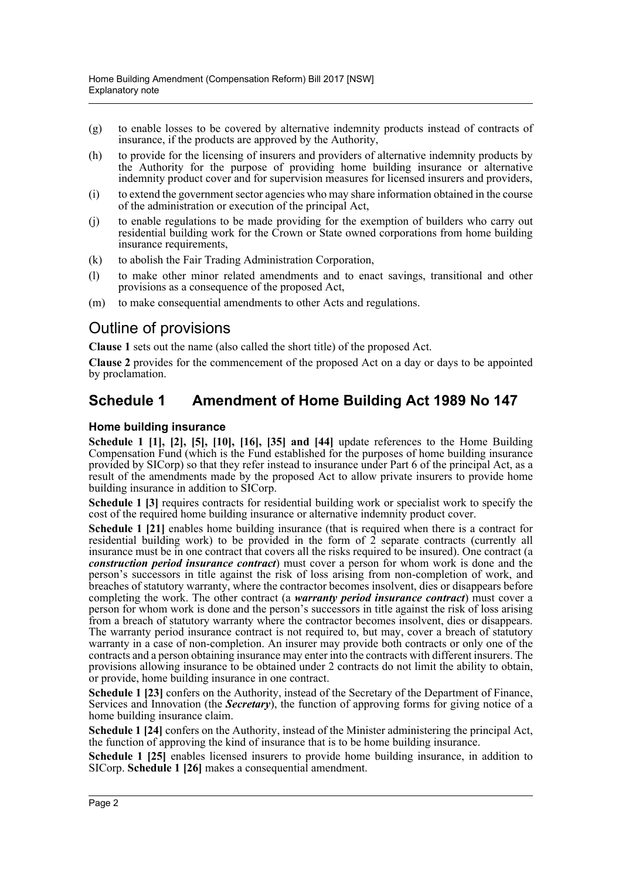- (g) to enable losses to be covered by alternative indemnity products instead of contracts of insurance, if the products are approved by the Authority,
- (h) to provide for the licensing of insurers and providers of alternative indemnity products by the Authority for the purpose of providing home building insurance or alternative indemnity product cover and for supervision measures for licensed insurers and providers,
- (i) to extend the government sector agencies who may share information obtained in the course of the administration or execution of the principal Act,
- (j) to enable regulations to be made providing for the exemption of builders who carry out residential building work for the Crown or State owned corporations from home building insurance requirements,
- (k) to abolish the Fair Trading Administration Corporation,
- (l) to make other minor related amendments and to enact savings, transitional and other provisions as a consequence of the proposed Act,
- (m) to make consequential amendments to other Acts and regulations.

# Outline of provisions

**Clause 1** sets out the name (also called the short title) of the proposed Act.

**Clause 2** provides for the commencement of the proposed Act on a day or days to be appointed by proclamation.

# **Schedule 1 Amendment of Home Building Act 1989 No 147**

### **Home building insurance**

**Schedule 1 [1], [2], [5], [10], [16], [35] and [44]** update references to the Home Building Compensation Fund (which is the Fund established for the purposes of home building insurance provided by SICorp) so that they refer instead to insurance under Part 6 of the principal Act, as a result of the amendments made by the proposed Act to allow private insurers to provide home building insurance in addition to SICorp.

**Schedule 1 [3]** requires contracts for residential building work or specialist work to specify the cost of the required home building insurance or alternative indemnity product cover.

**Schedule 1 [21]** enables home building insurance (that is required when there is a contract for residential building work) to be provided in the form of  $\hat{2}$  separate contracts (currently all insurance must be in one contract that covers all the risks required to be insured). One contract (a *construction period insurance contract*) must cover a person for whom work is done and the person's successors in title against the risk of loss arising from non-completion of work, and breaches of statutory warranty, where the contractor becomes insolvent, dies or disappears before completing the work. The other contract (a *warranty period insurance contract*) must cover a person for whom work is done and the person's successors in title against the risk of loss arising from a breach of statutory warranty where the contractor becomes insolvent, dies or disappears. The warranty period insurance contract is not required to, but may, cover a breach of statutory warranty in a case of non-completion. An insurer may provide both contracts or only one of the contracts and a person obtaining insurance may enter into the contracts with different insurers. The provisions allowing insurance to be obtained under 2 contracts do not limit the ability to obtain, or provide, home building insurance in one contract.

**Schedule 1 [23]** confers on the Authority, instead of the Secretary of the Department of Finance, Services and Innovation (the *Secretary*), the function of approving forms for giving notice of a home building insurance claim.

**Schedule 1 [24]** confers on the Authority, instead of the Minister administering the principal Act, the function of approving the kind of insurance that is to be home building insurance.

**Schedule 1 [25]** enables licensed insurers to provide home building insurance, in addition to SICorp. **Schedule 1 [26]** makes a consequential amendment.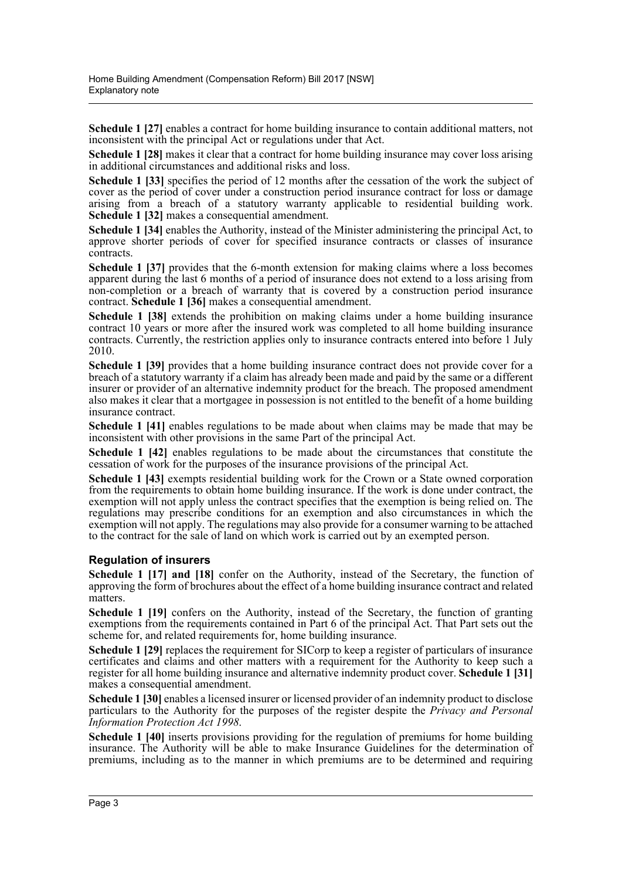**Schedule 1 [27]** enables a contract for home building insurance to contain additional matters, not inconsistent with the principal Act or regulations under that Act.

**Schedule 1 [28]** makes it clear that a contract for home building insurance may cover loss arising in additional circumstances and additional risks and loss.

**Schedule 1 [33]** specifies the period of 12 months after the cessation of the work the subject of cover as the period of cover under a construction period insurance contract for loss or damage arising from a breach of a statutory warranty applicable to residential building work. **Schedule 1 [32]** makes a consequential amendment.

**Schedule 1 [34]** enables the Authority, instead of the Minister administering the principal Act, to approve shorter periods of cover for specified insurance contracts or classes of insurance contracts.

**Schedule 1 [37]** provides that the 6-month extension for making claims where a loss becomes apparent during the last 6 months of a period of insurance does not extend to a loss arising from non-completion or a breach of warranty that is covered by a construction period insurance contract. **Schedule 1 [36]** makes a consequential amendment.

**Schedule 1 [38]** extends the prohibition on making claims under a home building insurance contract 10 years or more after the insured work was completed to all home building insurance contracts. Currently, the restriction applies only to insurance contracts entered into before 1 July 2010.

**Schedule 1 [39]** provides that a home building insurance contract does not provide cover for a breach of a statutory warranty if a claim has already been made and paid by the same or a different insurer or provider of an alternative indemnity product for the breach. The proposed amendment also makes it clear that a mortgagee in possession is not entitled to the benefit of a home building insurance contract.

**Schedule 1 [41]** enables regulations to be made about when claims may be made that may be inconsistent with other provisions in the same Part of the principal Act.

**Schedule 1 [42]** enables regulations to be made about the circumstances that constitute the cessation of work for the purposes of the insurance provisions of the principal Act.

**Schedule 1 [43]** exempts residential building work for the Crown or a State owned corporation from the requirements to obtain home building insurance. If the work is done under contract, the exemption will not apply unless the contract specifies that the exemption is being relied on. The regulations may prescribe conditions for an exemption and also circumstances in which the exemption will not apply. The regulations may also provide for a consumer warning to be attached to the contract for the sale of land on which work is carried out by an exempted person.

## **Regulation of insurers**

**Schedule 1 [17] and [18]** confer on the Authority, instead of the Secretary, the function of approving the form of brochures about the effect of a home building insurance contract and related matters.

**Schedule 1 [19]** confers on the Authority, instead of the Secretary, the function of granting exemptions from the requirements contained in Part 6 of the principal Act. That Part sets out the scheme for, and related requirements for, home building insurance.

**Schedule 1 [29]** replaces the requirement for SICorp to keep a register of particulars of insurance certificates and claims and other matters with a requirement for the Authority to keep such a register for all home building insurance and alternative indemnity product cover. **Schedule 1 [31]** makes a consequential amendment.

**Schedule 1 [30]** enables a licensed insurer or licensed provider of an indemnity product to disclose particulars to the Authority for the purposes of the register despite the *Privacy and Personal Information Protection Act 1998*.

**Schedule 1 [40]** inserts provisions providing for the regulation of premiums for home building insurance. The Authority will be able to make Insurance Guidelines for the determination of premiums, including as to the manner in which premiums are to be determined and requiring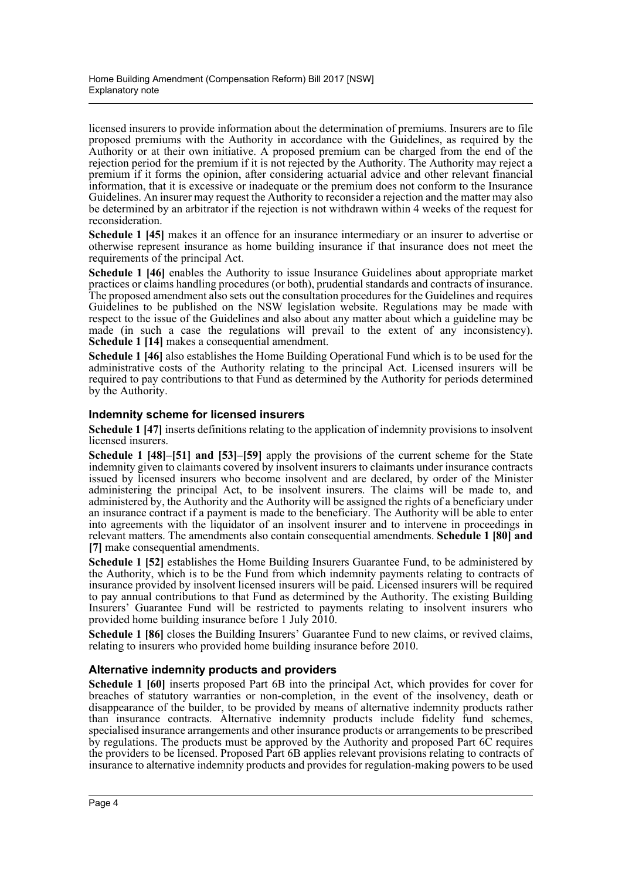licensed insurers to provide information about the determination of premiums. Insurers are to file proposed premiums with the Authority in accordance with the Guidelines, as required by the Authority or at their own initiative. A proposed premium can be charged from the end of the rejection period for the premium if it is not rejected by the Authority. The Authority may reject a premium if it forms the opinion, after considering actuarial advice and other relevant financial information, that it is excessive or inadequate or the premium does not conform to the Insurance Guidelines. An insurer may request the Authority to reconsider a rejection and the matter may also be determined by an arbitrator if the rejection is not withdrawn within 4 weeks of the request for reconsideration.

**Schedule 1 [45]** makes it an offence for an insurance intermediary or an insurer to advertise or otherwise represent insurance as home building insurance if that insurance does not meet the requirements of the principal Act.

**Schedule 1 [46]** enables the Authority to issue Insurance Guidelines about appropriate market practices or claims handling procedures (or both), prudential standards and contracts of insurance. The proposed amendment also sets out the consultation procedures for the Guidelines and requires Guidelines to be published on the NSW legislation website. Regulations may be made with respect to the issue of the Guidelines and also about any matter about which a guideline may be made (in such a case the regulations will prevail to the extent of any inconsistency). **Schedule 1 [14]** makes a consequential amendment.

**Schedule 1 [46]** also establishes the Home Building Operational Fund which is to be used for the administrative costs of the Authority relating to the principal Act. Licensed insurers will be required to pay contributions to that Fund as determined by the Authority for periods determined by the Authority.

### **Indemnity scheme for licensed insurers**

**Schedule 1 [47]** inserts definitions relating to the application of indemnity provisions to insolvent licensed insurers.

**Schedule 1 [48]–[51] and [53]–[59]** apply the provisions of the current scheme for the State indemnity given to claimants covered by insolvent insurers to claimants under insurance contracts issued by licensed insurers who become insolvent and are declared, by order of the Minister administering the principal Act, to be insolvent insurers. The claims will be made to, and administered by, the Authority and the Authority will be assigned the rights of a beneficiary under an insurance contract if a payment is made to the beneficiary. The Authority will be able to enter into agreements with the liquidator of an insolvent insurer and to intervene in proceedings in relevant matters. The amendments also contain consequential amendments. **Schedule 1 [80] and [7]** make consequential amendments.

**Schedule 1 [52]** establishes the Home Building Insurers Guarantee Fund, to be administered by the Authority, which is to be the Fund from which indemnity payments relating to contracts of insurance provided by insolvent licensed insurers will be paid. Licensed insurers will be required to pay annual contributions to that Fund as determined by the Authority. The existing Building Insurers' Guarantee Fund will be restricted to payments relating to insolvent insurers who provided home building insurance before 1 July 2010.

**Schedule 1 [86]** closes the Building Insurers' Guarantee Fund to new claims, or revived claims, relating to insurers who provided home building insurance before 2010.

### **Alternative indemnity products and providers**

**Schedule 1 [60]** inserts proposed Part 6B into the principal Act, which provides for cover for breaches of statutory warranties or non-completion, in the event of the insolvency, death or disappearance of the builder, to be provided by means of alternative indemnity products rather than insurance contracts. Alternative indemnity products include fidelity fund schemes, specialised insurance arrangements and other insurance products or arrangements to be prescribed by regulations. The products must be approved by the Authority and proposed Part 6C requires the providers to be licensed. Proposed Part 6B applies relevant provisions relating to contracts of insurance to alternative indemnity products and provides for regulation-making powers to be used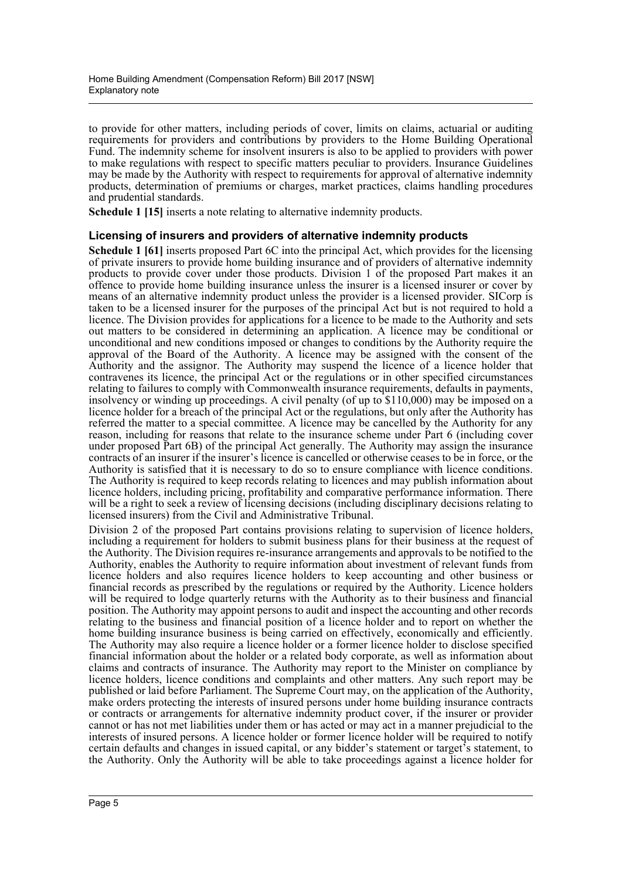to provide for other matters, including periods of cover, limits on claims, actuarial or auditing requirements for providers and contributions by providers to the Home Building Operational Fund. The indemnity scheme for insolvent insurers is also to be applied to providers with power to make regulations with respect to specific matters peculiar to providers. Insurance Guidelines may be made by the Authority with respect to requirements for approval of alternative indemnity products, determination of premiums or charges, market practices, claims handling procedures and prudential standards.

**Schedule 1 [15]** inserts a note relating to alternative indemnity products.

### **Licensing of insurers and providers of alternative indemnity products**

**Schedule 1 [61]** inserts proposed Part 6C into the principal Act, which provides for the licensing of private insurers to provide home building insurance and of providers of alternative indemnity products to provide cover under those products. Division 1 of the proposed Part makes it an offence to provide home building insurance unless the insurer is a licensed insurer or cover by means of an alternative indemnity product unless the provider is a licensed provider. SICorp is taken to be a licensed insurer for the purposes of the principal Act but is not required to hold a licence. The Division provides for applications for a licence to be made to the Authority and sets out matters to be considered in determining an application. A licence may be conditional or unconditional and new conditions imposed or changes to conditions by the Authority require the approval of the Board of the Authority. A licence may be assigned with the consent of the Authority and the assignor. The Authority may suspend the licence of a licence holder that contravenes its licence, the principal Act or the regulations or in other specified circumstances relating to failures to comply with Commonwealth insurance requirements, defaults in payments, insolvency or winding up proceedings. A civil penalty (of up to \$110,000) may be imposed on a licence holder for a breach of the principal Act or the regulations, but only after the Authority has referred the matter to a special committee. A licence may be cancelled by the Authority for any reason, including for reasons that relate to the insurance scheme under Part 6 (including cover under proposed Part 6B) of the principal Act generally. The Authority may assign the insurance contracts of an insurer if the insurer's licence is cancelled or otherwise ceases to be in force, or the Authority is satisfied that it is necessary to do so to ensure compliance with licence conditions. The Authority is required to keep records relating to licences and may publish information about licence holders, including pricing, profitability and comparative performance information. There will be a right to seek a review of licensing decisions (including disciplinary decisions relating to licensed insurers) from the Civil and Administrative Tribunal.

Division 2 of the proposed Part contains provisions relating to supervision of licence holders, including a requirement for holders to submit business plans for their business at the request of the Authority. The Division requires re-insurance arrangements and approvals to be notified to the Authority, enables the Authority to require information about investment of relevant funds from licence holders and also requires licence holders to keep accounting and other business or financial records as prescribed by the regulations or required by the Authority. Licence holders will be required to lodge quarterly returns with the Authority as to their business and financial position. The Authority may appoint persons to audit and inspect the accounting and other records relating to the business and financial position of a licence holder and to report on whether the home building insurance business is being carried on effectively, economically and efficiently. The Authority may also require a licence holder or a former licence holder to disclose specified financial information about the holder or a related body corporate, as well as information about claims and contracts of insurance. The Authority may report to the Minister on compliance by licence holders, licence conditions and complaints and other matters. Any such report may be published or laid before Parliament. The Supreme Court may, on the application of the Authority, make orders protecting the interests of insured persons under home building insurance contracts or contracts or arrangements for alternative indemnity product cover, if the insurer or provider cannot or has not met liabilities under them or has acted or may act in a manner prejudicial to the interests of insured persons. A licence holder or former licence holder will be required to notify certain defaults and changes in issued capital, or any bidder's statement or target's statement, to the Authority. Only the Authority will be able to take proceedings against a licence holder for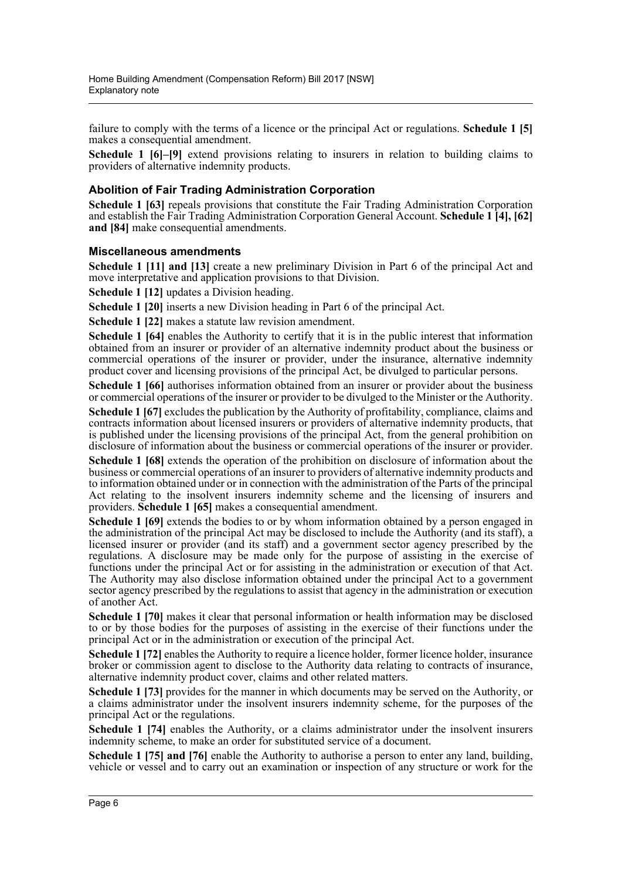failure to comply with the terms of a licence or the principal Act or regulations. **Schedule 1 [5]** makes a consequential amendment.

**Schedule 1 [6]–[9]** extend provisions relating to insurers in relation to building claims to providers of alternative indemnity products.

### **Abolition of Fair Trading Administration Corporation**

**Schedule 1 [63]** repeals provisions that constitute the Fair Trading Administration Corporation and establish the Fair Trading Administration Corporation General Account. **Schedule 1 [4], [62] and [84]** make consequential amendments.

#### **Miscellaneous amendments**

**Schedule 1 [11] and [13]** create a new preliminary Division in Part 6 of the principal Act and move interpretative and application provisions to that Division.

**Schedule 1 [12]** updates a Division heading.

**Schedule 1 [20]** inserts a new Division heading in Part 6 of the principal Act.

**Schedule 1 [22]** makes a statute law revision amendment.

**Schedule 1 [64]** enables the Authority to certify that it is in the public interest that information obtained from an insurer or provider of an alternative indemnity product about the business or commercial operations of the insurer or provider, under the insurance, alternative indemnity product cover and licensing provisions of the principal Act, be divulged to particular persons.

**Schedule 1 [66]** authorises information obtained from an insurer or provider about the business or commercial operations of the insurer or provider to be divulged to the Minister or the Authority.

**Schedule 1 [67]** excludes the publication by the Authority of profitability, compliance, claims and contracts information about licensed insurers or providers of alternative indemnity products, that is published under the licensing provisions of the principal Act, from the general prohibition on disclosure of information about the business or commercial operations of the insurer or provider.

**Schedule 1 [68]** extends the operation of the prohibition on disclosure of information about the business or commercial operations of an insurer to providers of alternative indemnity products and to information obtained under or in connection with the administration of the Parts of the principal Act relating to the insolvent insurers indemnity scheme and the licensing of insurers and providers. **Schedule 1 [65]** makes a consequential amendment.

**Schedule 1 [69]** extends the bodies to or by whom information obtained by a person engaged in the administration of the principal Act may be disclosed to include the Authority (and its staff), a licensed insurer or provider (and its staff) and a government sector agency prescribed by the regulations. A disclosure may be made only for the purpose of assisting in the exercise of functions under the principal Act or for assisting in the administration or execution of that Act. The Authority may also disclose information obtained under the principal Act to a government sector agency prescribed by the regulations to assist that agency in the administration or execution of another Act.

**Schedule 1 [70]** makes it clear that personal information or health information may be disclosed to or by those bodies for the purposes of assisting in the exercise of their functions under the principal Act or in the administration or execution of the principal Act.

**Schedule 1 [72]** enables the Authority to require a licence holder, former licence holder, insurance broker or commission agent to disclose to the Authority data relating to contracts of insurance, alternative indemnity product cover, claims and other related matters.

**Schedule 1 [73]** provides for the manner in which documents may be served on the Authority, or a claims administrator under the insolvent insurers indemnity scheme, for the purposes of the principal Act or the regulations.

**Schedule 1 [74]** enables the Authority, or a claims administrator under the insolvent insurers indemnity scheme, to make an order for substituted service of a document.

**Schedule 1 [75] and [76]** enable the Authority to authorise a person to enter any land, building, vehicle or vessel and to carry out an examination or inspection of any structure or work for the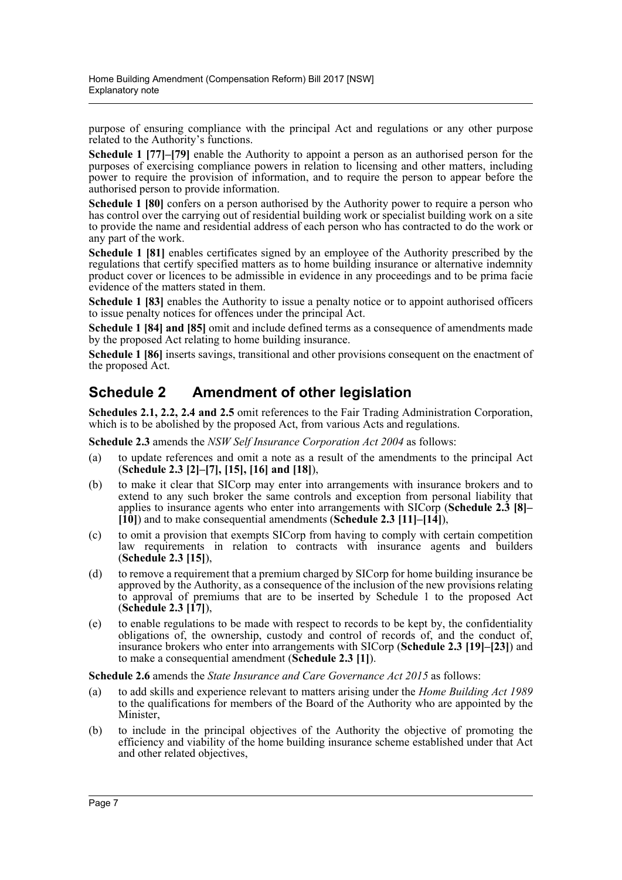purpose of ensuring compliance with the principal Act and regulations or any other purpose related to the Authority's functions.

**Schedule 1 [77]–[79]** enable the Authority to appoint a person as an authorised person for the purposes of exercising compliance powers in relation to licensing and other matters, including power to require the provision of information, and to require the person to appear before the authorised person to provide information.

**Schedule 1 [80]** confers on a person authorised by the Authority power to require a person who has control over the carrying out of residential building work or specialist building work on a site to provide the name and residential address of each person who has contracted to do the work or any part of the work.

**Schedule 1 [81]** enables certificates signed by an employee of the Authority prescribed by the regulations that certify specified matters as to home building insurance or alternative indemnity product cover or licences to be admissible in evidence in any proceedings and to be prima facie evidence of the matters stated in them.

**Schedule 1 [83]** enables the Authority to issue a penalty notice or to appoint authorised officers to issue penalty notices for offences under the principal Act.

**Schedule 1 [84] and [85]** omit and include defined terms as a consequence of amendments made by the proposed Act relating to home building insurance.

**Schedule 1 [86]** inserts savings, transitional and other provisions consequent on the enactment of the proposed Act.

# **Schedule 2 Amendment of other legislation**

**Schedules 2.1, 2.2, 2.4 and 2.5** omit references to the Fair Trading Administration Corporation, which is to be abolished by the proposed Act, from various Acts and regulations.

**Schedule 2.3** amends the *NSW Self Insurance Corporation Act 2004* as follows:

- (a) to update references and omit a note as a result of the amendments to the principal Act (**Schedule 2.3 [2]–[7], [15], [16] and [18]**),
- (b) to make it clear that SICorp may enter into arrangements with insurance brokers and to extend to any such broker the same controls and exception from personal liability that applies to insurance agents who enter into arrangements with SICorp (**Schedule 2.3 [8]– [10]**) and to make consequential amendments (**Schedule 2.3 [11]–[14]**),
- (c) to omit a provision that exempts SICorp from having to comply with certain competition law requirements in relation to contracts with insurance agents and builders (**Schedule 2.3 [15]**),
- (d) to remove a requirement that a premium charged by SICorp for home building insurance be approved by the Authority, as a consequence of the inclusion of the new provisions relating to approval of premiums that are to be inserted by Schedule 1 to the proposed Act (**Schedule 2.3 [17]**),
- (e) to enable regulations to be made with respect to records to be kept by, the confidentiality obligations of, the ownership, custody and control of records of, and the conduct of, insurance brokers who enter into arrangements with SICorp (**Schedule 2.3 [19]–[23]**) and to make a consequential amendment (**Schedule 2.3 [1]**).

**Schedule 2.6** amends the *State Insurance and Care Governance Act 2015* as follows:

- (a) to add skills and experience relevant to matters arising under the *Home Building Act 1989* to the qualifications for members of the Board of the Authority who are appointed by the Minister,
- (b) to include in the principal objectives of the Authority the objective of promoting the efficiency and viability of the home building insurance scheme established under that Act and other related objectives,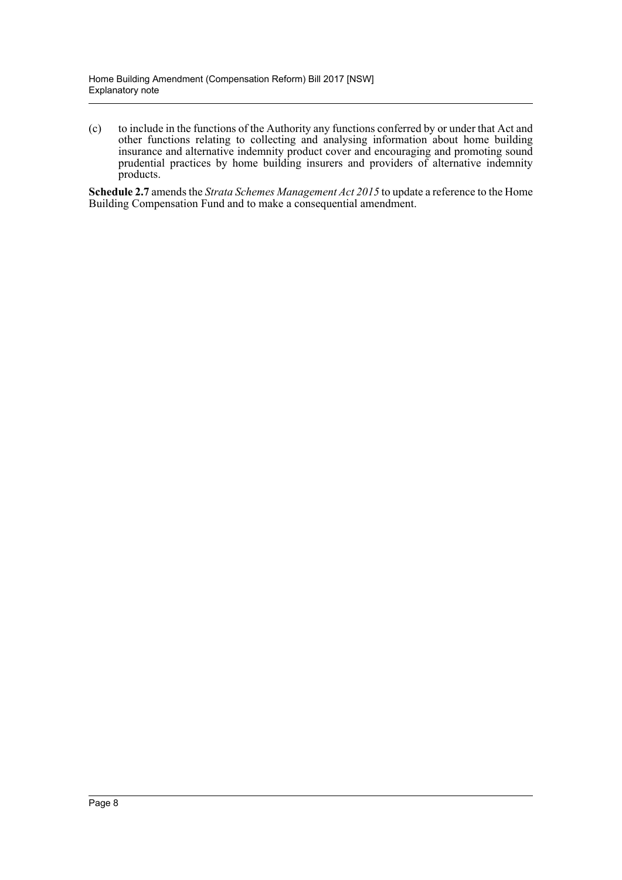(c) to include in the functions of the Authority any functions conferred by or under that Act and other functions relating to collecting and analysing information about home building insurance and alternative indemnity product cover and encouraging and promoting sound prudential practices by home building insurers and providers of alternative indemnity products.

**Schedule 2.7** amends the *Strata Schemes Management Act 2015* to update a reference to the Home Building Compensation Fund and to make a consequential amendment.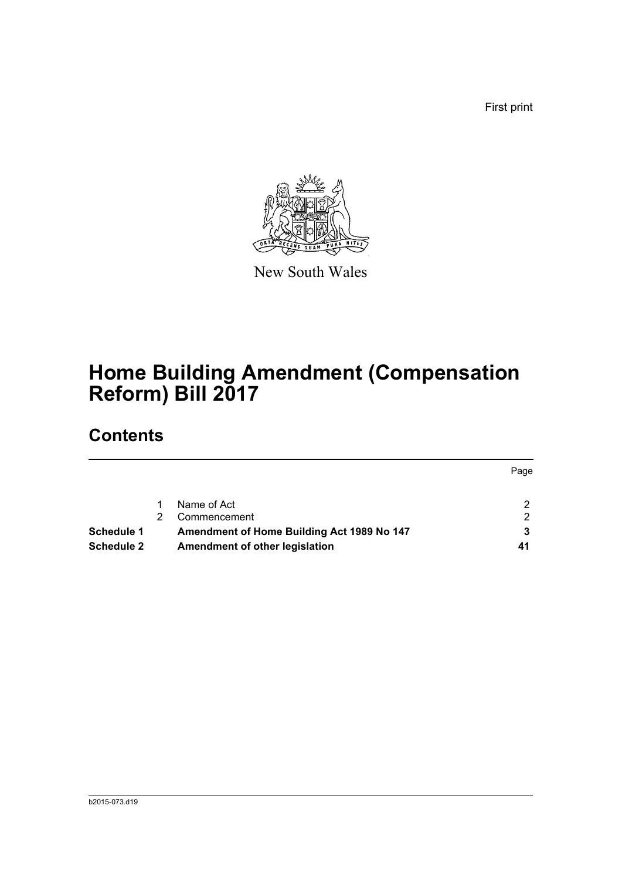First print



New South Wales

# **Home Building Amendment (Compensation Reform) Bill 2017**

# **Contents**

|                   |                                            | Page |
|-------------------|--------------------------------------------|------|
|                   |                                            |      |
|                   | Name of Act                                | ◠    |
|                   | Commencement                               | າ    |
| Schedule 1        | Amendment of Home Building Act 1989 No 147 |      |
| <b>Schedule 2</b> | Amendment of other legislation             | 41   |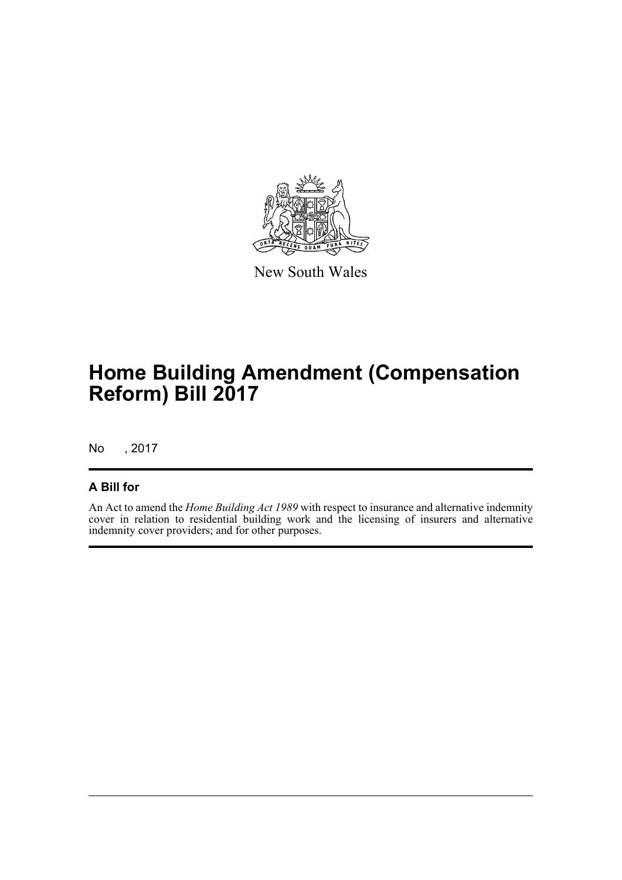

New South Wales

# **Home Building Amendment (Compensation Reform) Bill 2017**

No , 2017

## **A Bill for**

An Act to amend the *Home Building Act 1989* with respect to insurance and alternative indemnity cover in relation to residential building work and the licensing of insurers and alternative indemnity cover providers; and for other purposes.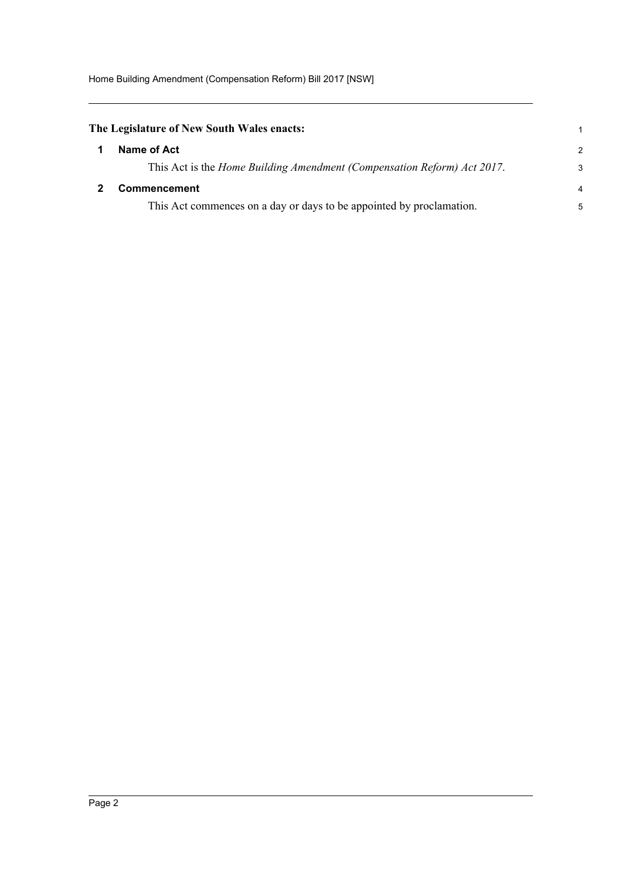<span id="page-10-1"></span><span id="page-10-0"></span>

| The Legislature of New South Wales enacts:                                      | $\mathbf 1$    |
|---------------------------------------------------------------------------------|----------------|
| Name of Act                                                                     | $\mathcal{P}$  |
| This Act is the <i>Home Building Amendment (Compensation Reform) Act 2017</i> . | 3              |
| <b>Commencement</b>                                                             | $\overline{4}$ |
| This Act commences on a day or days to be appointed by proclamation.            | 5              |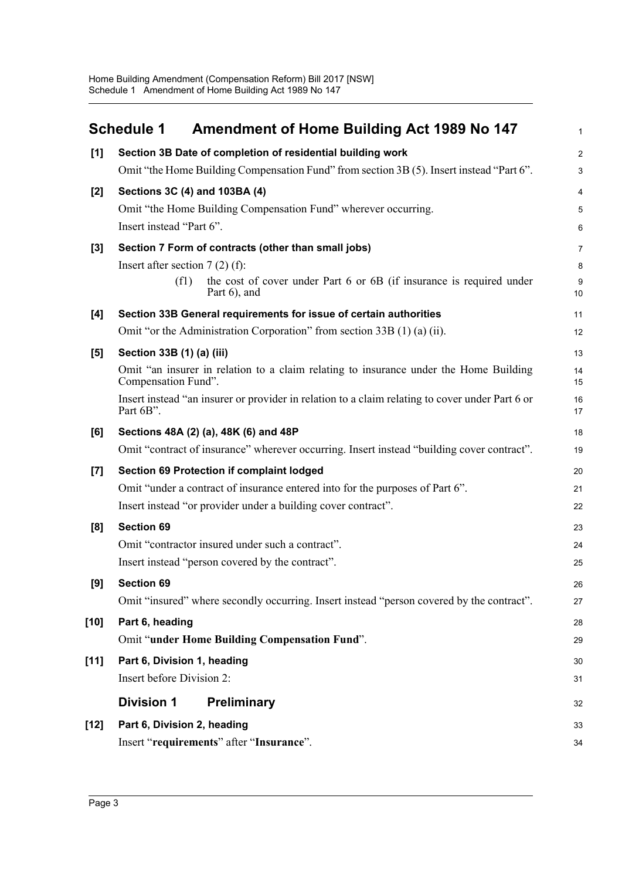<span id="page-11-0"></span>

|        | <b>Schedule 1</b><br><b>Amendment of Home Building Act 1989 No 147</b>                                       | 1                       |
|--------|--------------------------------------------------------------------------------------------------------------|-------------------------|
| [1]    | Section 3B Date of completion of residential building work                                                   | $\overline{\mathbf{c}}$ |
|        | Omit "the Home Building Compensation Fund" from section 3B (5). Insert instead "Part 6".                     | 3                       |
| $[2]$  | Sections 3C (4) and 103BA (4)                                                                                | 4                       |
|        | Omit "the Home Building Compensation Fund" wherever occurring.                                               | 5                       |
|        | Insert instead "Part 6".                                                                                     | 6                       |
| $[3]$  | Section 7 Form of contracts (other than small jobs)                                                          | 7                       |
|        | Insert after section $7(2)$ (f):                                                                             | 8                       |
|        | the cost of cover under Part 6 or 6B (if insurance is required under<br>(f1)<br>Part $6$ , and               | 9<br>10                 |
| [4]    | Section 33B General requirements for issue of certain authorities                                            | 11                      |
|        | Omit "or the Administration Corporation" from section 33B (1) (a) (ii).                                      | 12                      |
| [5]    | Section 33B (1) (a) (iii)                                                                                    | 13                      |
|        | Omit "an insurer in relation to a claim relating to insurance under the Home Building<br>Compensation Fund". | 14<br>15                |
|        | Insert instead "an insurer or provider in relation to a claim relating to cover under Part 6 or<br>Part 6B". | 16<br>17                |
| [6]    | Sections 48A (2) (a), 48K (6) and 48P                                                                        | 18                      |
|        | Omit "contract of insurance" wherever occurring. Insert instead "building cover contract".                   | 19                      |
| $[7]$  | <b>Section 69 Protection if complaint lodged</b>                                                             | 20                      |
|        | Omit "under a contract of insurance entered into for the purposes of Part 6".                                | 21                      |
|        | Insert instead "or provider under a building cover contract".                                                | 22                      |
| [8]    | <b>Section 69</b>                                                                                            | 23                      |
|        | Omit "contractor insured under such a contract".                                                             | 24                      |
|        | Insert instead "person covered by the contract".                                                             | 25                      |
| [9]    | <b>Section 69</b>                                                                                            | 26                      |
|        | Omit "insured" where secondly occurring. Insert instead "person covered by the contract".                    | 27                      |
| $[10]$ | Part 6, heading                                                                                              | 28                      |
|        | Omit "under Home Building Compensation Fund".                                                                | 29                      |
| $[11]$ | Part 6, Division 1, heading                                                                                  | 30                      |
|        | Insert before Division 2:                                                                                    | 31                      |
|        | <b>Division 1</b><br><b>Preliminary</b>                                                                      | 32                      |
| $[12]$ | Part 6, Division 2, heading                                                                                  | 33                      |
|        | Insert "requirements" after "Insurance".                                                                     | 34                      |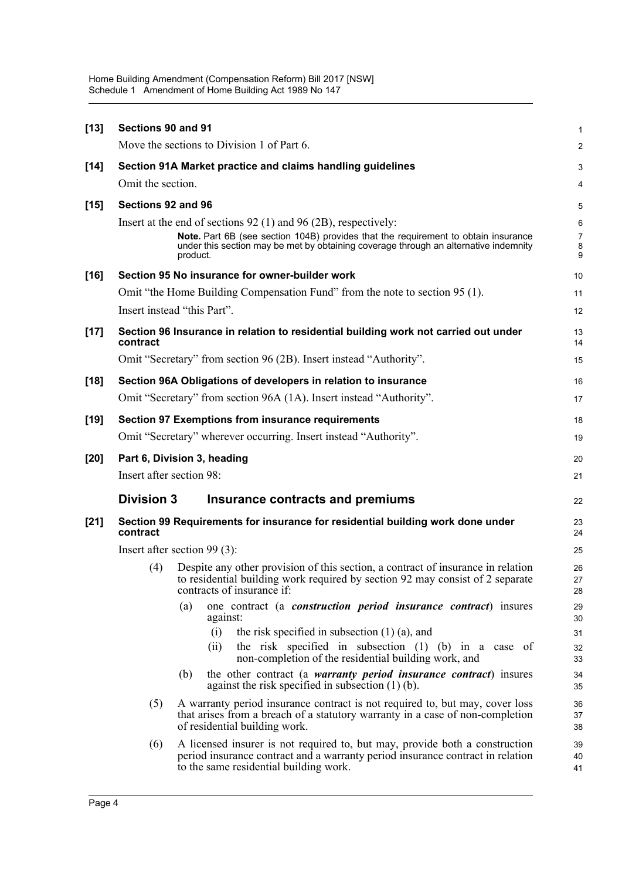| $[13]$ | Sections 90 and 91       | Move the sections to Division 1 of Part 6.                                                                                                                                                                                                                | 1<br>$\overline{c}$                |
|--------|--------------------------|-----------------------------------------------------------------------------------------------------------------------------------------------------------------------------------------------------------------------------------------------------------|------------------------------------|
|        |                          | Section 91A Market practice and claims handling guidelines                                                                                                                                                                                                |                                    |
| $[14]$ | Omit the section.        |                                                                                                                                                                                                                                                           | 3<br>4                             |
|        | Sections 92 and 96       |                                                                                                                                                                                                                                                           |                                    |
| $[15]$ |                          | Insert at the end of sections 92 (1) and 96 (2B), respectively:<br>Note. Part 6B (see section 104B) provides that the requirement to obtain insurance<br>under this section may be met by obtaining coverage through an alternative indemnity<br>product. | 5<br>6<br>$\overline{7}$<br>8<br>9 |
| $[16]$ |                          | Section 95 No insurance for owner-builder work                                                                                                                                                                                                            | 10                                 |
|        |                          | Omit "the Home Building Compensation Fund" from the note to section 95 (1).                                                                                                                                                                               | 11                                 |
|        |                          | Insert instead "this Part".                                                                                                                                                                                                                               | 12                                 |
| $[17]$ | contract                 | Section 96 Insurance in relation to residential building work not carried out under                                                                                                                                                                       | 13<br>14                           |
|        |                          | Omit "Secretary" from section 96 (2B). Insert instead "Authority".                                                                                                                                                                                        | 15                                 |
| $[18]$ |                          | Section 96A Obligations of developers in relation to insurance                                                                                                                                                                                            | 16                                 |
|        |                          | Omit "Secretary" from section 96A (1A). Insert instead "Authority".                                                                                                                                                                                       | 17                                 |
| $[19]$ |                          | <b>Section 97 Exemptions from insurance requirements</b>                                                                                                                                                                                                  | 18                                 |
|        |                          | Omit "Secretary" wherever occurring. Insert instead "Authority".                                                                                                                                                                                          | 19                                 |
| $[20]$ |                          | Part 6, Division 3, heading                                                                                                                                                                                                                               | 20                                 |
|        | Insert after section 98: |                                                                                                                                                                                                                                                           | 21                                 |
|        | <b>Division 3</b>        | Insurance contracts and premiums                                                                                                                                                                                                                          | 22                                 |
| $[21]$ | contract                 | Section 99 Requirements for insurance for residential building work done under                                                                                                                                                                            | 23<br>24                           |
|        |                          | Insert after section $99(3)$ :                                                                                                                                                                                                                            | 25                                 |
|        | (4)                      | Despite any other provision of this section, a contract of insurance in relation<br>to residential building work required by section 92 may consist of 2 separate<br>contracts of insurance if:                                                           | 26<br>27<br>28                     |
|        |                          | one contract (a <i>construction period insurance contract</i> ) insures<br>(a)<br>against:                                                                                                                                                                | 29<br>30                           |
|        |                          | the risk specified in subsection $(1)$ $(a)$ , and<br>(i)<br>the risk specified in subsection $(1)$ $(b)$ in a case of<br>(ii)<br>non-completion of the residential building work, and                                                                    | 31<br>32<br>33                     |
|        |                          | (b)<br>the other contract (a <i>warranty period insurance contract</i> ) insures<br>against the risk specified in subsection $(1)$ (b).                                                                                                                   | 34<br>35                           |
|        | (5)                      | A warranty period insurance contract is not required to, but may, cover loss<br>that arises from a breach of a statutory warranty in a case of non-completion<br>of residential building work.                                                            | 36<br>37<br>38                     |
|        | (6)                      | A licensed insurer is not required to, but may, provide both a construction<br>period insurance contract and a warranty period insurance contract in relation<br>to the same residential building work.                                                   | 39<br>40<br>41                     |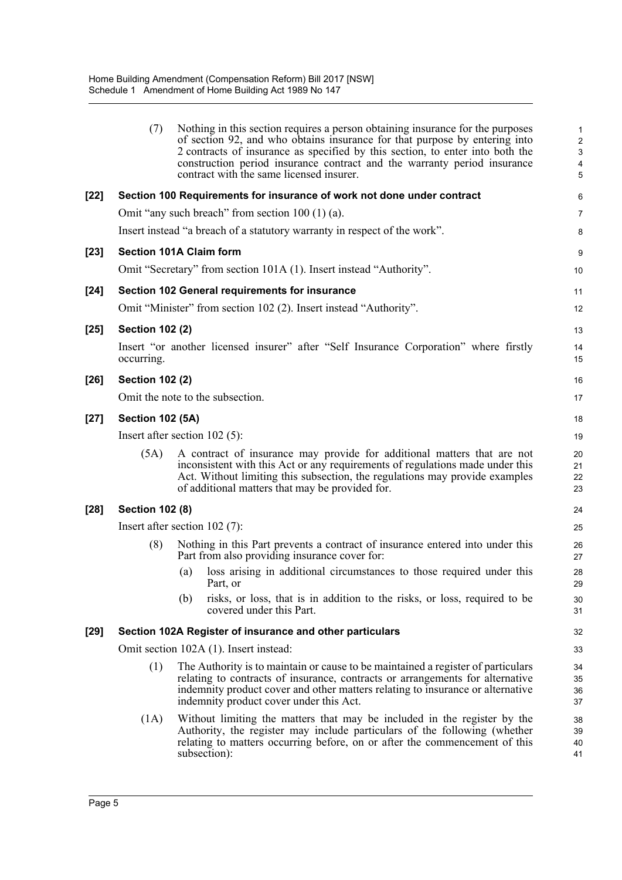|        | (7)                     | Nothing in this section requires a person obtaining insurance for the purposes<br>of section 92, and who obtains insurance for that purpose by entering into<br>2 contracts of insurance as specified by this section, to enter into both the<br>construction period insurance contract and the warranty period insurance<br>contract with the same licensed insurer. | $\mathbf{1}$<br>$\overline{c}$<br>3<br>4<br>$\overline{5}$ |
|--------|-------------------------|-----------------------------------------------------------------------------------------------------------------------------------------------------------------------------------------------------------------------------------------------------------------------------------------------------------------------------------------------------------------------|------------------------------------------------------------|
| [22]   |                         | Section 100 Requirements for insurance of work not done under contract                                                                                                                                                                                                                                                                                                | 6                                                          |
|        |                         | Omit "any such breach" from section $100(1)(a)$ .                                                                                                                                                                                                                                                                                                                     | 7                                                          |
|        |                         | Insert instead "a breach of a statutory warranty in respect of the work".                                                                                                                                                                                                                                                                                             | 8                                                          |
| [23]   |                         | <b>Section 101A Claim form</b>                                                                                                                                                                                                                                                                                                                                        | 9                                                          |
|        |                         | Omit "Secretary" from section 101A (1). Insert instead "Authority".                                                                                                                                                                                                                                                                                                   | 10                                                         |
| [24]   |                         | Section 102 General requirements for insurance                                                                                                                                                                                                                                                                                                                        | 11                                                         |
|        |                         | Omit "Minister" from section 102 (2). Insert instead "Authority".                                                                                                                                                                                                                                                                                                     | 12                                                         |
| $[25]$ | <b>Section 102 (2)</b>  |                                                                                                                                                                                                                                                                                                                                                                       | 13                                                         |
|        | occurring.              | Insert "or another licensed insurer" after "Self Insurance Corporation" where firstly                                                                                                                                                                                                                                                                                 | 14<br>15                                                   |
| [26]   | <b>Section 102 (2)</b>  |                                                                                                                                                                                                                                                                                                                                                                       | 16                                                         |
|        |                         | Omit the note to the subsection.                                                                                                                                                                                                                                                                                                                                      | 17                                                         |
| [27]   | <b>Section 102 (5A)</b> |                                                                                                                                                                                                                                                                                                                                                                       | 18                                                         |
|        |                         | Insert after section $102(5)$ :                                                                                                                                                                                                                                                                                                                                       | 19                                                         |
|        | (5A)                    | A contract of insurance may provide for additional matters that are not<br>inconsistent with this Act or any requirements of regulations made under this<br>Act. Without limiting this subsection, the regulations may provide examples<br>of additional matters that may be provided for.                                                                            | 20<br>21<br>22<br>23                                       |
| [28]   | <b>Section 102 (8)</b>  |                                                                                                                                                                                                                                                                                                                                                                       | 24                                                         |
|        |                         | Insert after section $102(7)$ :                                                                                                                                                                                                                                                                                                                                       | 25                                                         |
|        | (8)                     | Nothing in this Part prevents a contract of insurance entered into under this<br>Part from also providing insurance cover for:                                                                                                                                                                                                                                        | 26<br>27                                                   |
|        |                         | loss arising in additional circumstances to those required under this<br>(a)<br>Part, or                                                                                                                                                                                                                                                                              | 28<br>29                                                   |
|        |                         | risks, or loss, that is in addition to the risks, or loss, required to be<br>(b)<br>covered under this Part.                                                                                                                                                                                                                                                          | 30<br>31                                                   |
| [29]   |                         | Section 102A Register of insurance and other particulars                                                                                                                                                                                                                                                                                                              | 32                                                         |
|        |                         | Omit section 102A (1). Insert instead:                                                                                                                                                                                                                                                                                                                                | 33                                                         |
|        | (1)                     | The Authority is to maintain or cause to be maintained a register of particulars<br>relating to contracts of insurance, contracts or arrangements for alternative<br>indemnity product cover and other matters relating to insurance or alternative<br>indemnity product cover under this Act.                                                                        | 34<br>35<br>36<br>37                                       |
|        | (1A)                    | Without limiting the matters that may be included in the register by the<br>Authority, the register may include particulars of the following (whether<br>relating to matters occurring before, on or after the commencement of this<br>subsection):                                                                                                                   | 38<br>39<br>40<br>41                                       |
|        |                         |                                                                                                                                                                                                                                                                                                                                                                       |                                                            |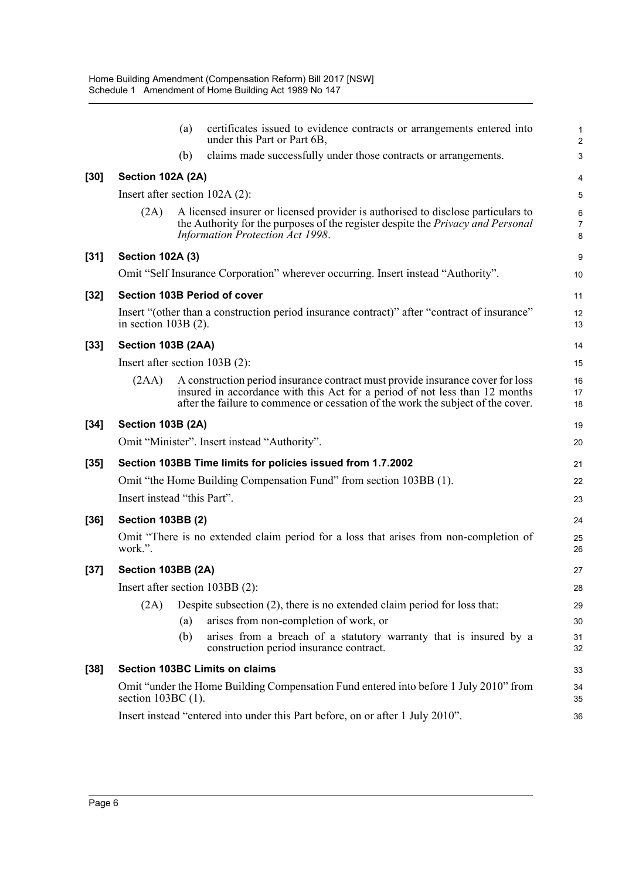|        |                                  | (a) | certificates issued to evidence contracts or arrangements entered into<br>under this Part or Part 6B,                                                                                                                                             | $\mathbf{1}$<br>$\overline{2}$ |
|--------|----------------------------------|-----|---------------------------------------------------------------------------------------------------------------------------------------------------------------------------------------------------------------------------------------------------|--------------------------------|
|        |                                  | (b) | claims made successfully under those contracts or arrangements.                                                                                                                                                                                   | 3                              |
| [30]   | Section 102A (2A)                |     |                                                                                                                                                                                                                                                   | 4                              |
|        | Insert after section $102A(2)$ : |     |                                                                                                                                                                                                                                                   | 5                              |
|        | (2A)                             |     | A licensed insurer or licensed provider is authorised to disclose particulars to<br>the Authority for the purposes of the register despite the <i>Privacy and Personal</i><br>Information Protection Act 1998.                                    | $\,6\,$<br>$\overline{7}$<br>8 |
| [31]   | <b>Section 102A (3)</b>          |     |                                                                                                                                                                                                                                                   | 9                              |
|        |                                  |     | Omit "Self Insurance Corporation" wherever occurring. Insert instead "Authority".                                                                                                                                                                 | 10                             |
| $[32]$ |                                  |     | <b>Section 103B Period of cover</b>                                                                                                                                                                                                               | 11                             |
|        | in section $103B(2)$ .           |     | Insert "(other than a construction period insurance contract)" after "contract of insurance"                                                                                                                                                      | 12<br>13                       |
| $[33]$ | Section 103B (2AA)               |     |                                                                                                                                                                                                                                                   | 14                             |
|        | Insert after section $103B(2)$ : |     |                                                                                                                                                                                                                                                   | 15                             |
|        | (2AA)                            |     | A construction period insurance contract must provide insurance cover for loss<br>insured in accordance with this Act for a period of not less than 12 months<br>after the failure to commence or cessation of the work the subject of the cover. | 16<br>17<br>18                 |
| [34]   | <b>Section 103B (2A)</b>         |     |                                                                                                                                                                                                                                                   | 19                             |
|        |                                  |     | Omit "Minister". Insert instead "Authority".                                                                                                                                                                                                      | 20                             |
| [35]   |                                  |     | Section 103BB Time limits for policies issued from 1.7.2002                                                                                                                                                                                       | 21                             |
|        |                                  |     | Omit "the Home Building Compensation Fund" from section 103BB (1).                                                                                                                                                                                | 22                             |
|        | Insert instead "this Part".      |     |                                                                                                                                                                                                                                                   | 23                             |
| [36]   | <b>Section 103BB (2)</b>         |     |                                                                                                                                                                                                                                                   | 24                             |
|        | work.".                          |     | Omit "There is no extended claim period for a loss that arises from non-completion of                                                                                                                                                             | 25<br>26                       |
| $[37]$ | Section 103BB (2A)               |     |                                                                                                                                                                                                                                                   | 27                             |
|        |                                  |     | Insert after section 103BB (2):                                                                                                                                                                                                                   | 28                             |
|        | (2A)                             |     | Despite subsection $(2)$ , there is no extended claim period for loss that:                                                                                                                                                                       | 29                             |
|        |                                  | (a) | arises from non-completion of work, or                                                                                                                                                                                                            | 30                             |
|        |                                  | (b) | arises from a breach of a statutory warranty that is insured by a<br>construction period insurance contract.                                                                                                                                      | 31<br>32                       |
| [38]   |                                  |     | <b>Section 103BC Limits on claims</b>                                                                                                                                                                                                             | 33                             |
|        | section $103BC(1)$ .             |     | Omit "under the Home Building Compensation Fund entered into before 1 July 2010" from                                                                                                                                                             | 34<br>35                       |
|        |                                  |     | Insert instead "entered into under this Part before, on or after 1 July 2010".                                                                                                                                                                    | 36                             |
|        |                                  |     |                                                                                                                                                                                                                                                   |                                |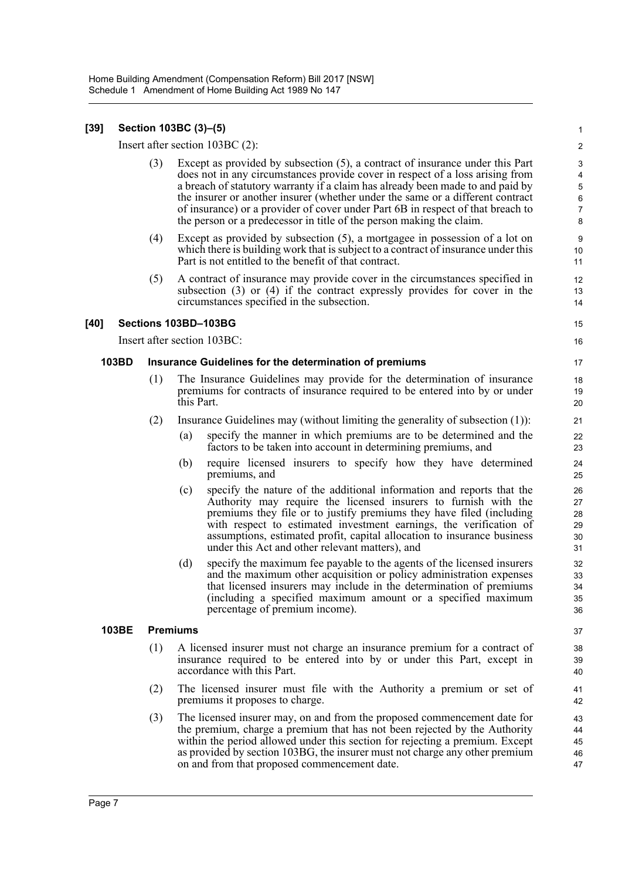#### **[39] Section 103BC (3)–(5)**

Insert after section 103BC (2):

(3) Except as provided by subsection (5), a contract of insurance under this Part does not in any circumstances provide cover in respect of a loss arising from a breach of statutory warranty if a claim has already been made to and paid by the insurer or another insurer (whether under the same or a different contract of insurance) or a provider of cover under Part 6B in respect of that breach to the person or a predecessor in title of the person making the claim.

- (4) Except as provided by subsection (5), a mortgagee in possession of a lot on which there is building work that is subject to a contract of insurance under this Part is not entitled to the benefit of that contract.
- (5) A contract of insurance may provide cover in the circumstances specified in subsection (3) or (4) if the contract expressly provides for cover in the circumstances specified in the subsection.

#### **[40] Sections 103BD–103BG**

Insert after section 103BC:

#### **103BD Insurance Guidelines for the determination of premiums**

- (1) The Insurance Guidelines may provide for the determination of insurance premiums for contracts of insurance required to be entered into by or under this Part.
- (2) Insurance Guidelines may (without limiting the generality of subsection (1)):
	- (a) specify the manner in which premiums are to be determined and the factors to be taken into account in determining premiums, and
	- (b) require licensed insurers to specify how they have determined premiums, and
	- (c) specify the nature of the additional information and reports that the Authority may require the licensed insurers to furnish with the premiums they file or to justify premiums they have filed (including with respect to estimated investment earnings, the verification of assumptions, estimated profit, capital allocation to insurance business under this Act and other relevant matters), and
	- (d) specify the maximum fee payable to the agents of the licensed insurers and the maximum other acquisition or policy administration expenses that licensed insurers may include in the determination of premiums (including a specified maximum amount or a specified maximum percentage of premium income).

#### **103BE Premiums**

- (1) A licensed insurer must not charge an insurance premium for a contract of insurance required to be entered into by or under this Part, except in accordance with this Part.
- (2) The licensed insurer must file with the Authority a premium or set of premiums it proposes to charge.
- (3) The licensed insurer may, on and from the proposed commencement date for the premium, charge a premium that has not been rejected by the Authority within the period allowed under this section for rejecting a premium. Except as provided by section 103BG, the insurer must not charge any other premium on and from that proposed commencement date. 43 44 45 46 47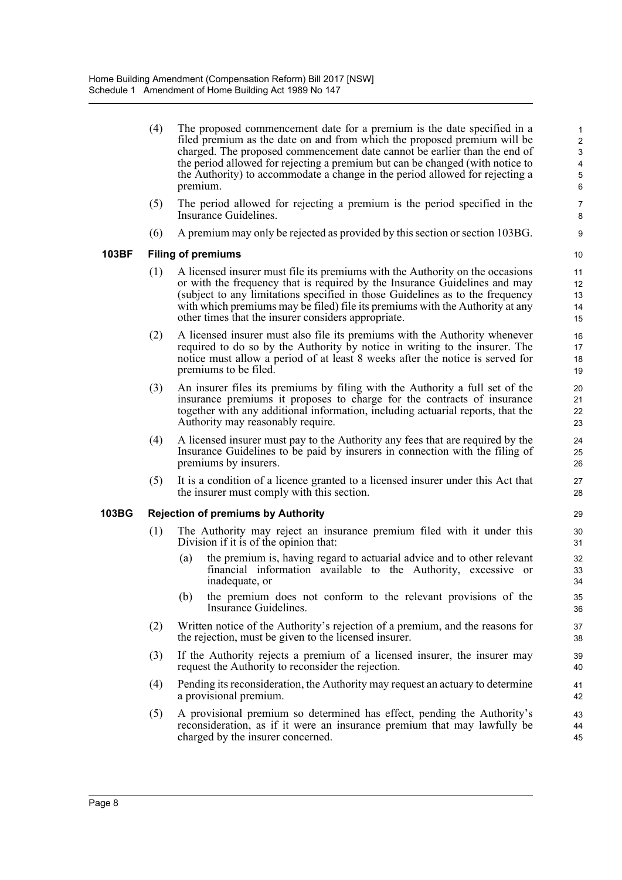(4) The proposed commencement date for a premium is the date specified in a filed premium as the date on and from which the proposed premium will be charged. The proposed commencement date cannot be earlier than the end of the period allowed for rejecting a premium but can be changed (with notice to the Authority) to accommodate a change in the period allowed for rejecting a premium.

- (5) The period allowed for rejecting a premium is the period specified in the Insurance Guidelines.
- (6) A premium may only be rejected as provided by this section or section 103BG.

#### **103BF Filing of premiums**

- (1) A licensed insurer must file its premiums with the Authority on the occasions or with the frequency that is required by the Insurance Guidelines and may (subject to any limitations specified in those Guidelines as to the frequency with which premiums may be filed) file its premiums with the Authority at any other times that the insurer considers appropriate.
- (2) A licensed insurer must also file its premiums with the Authority whenever required to do so by the Authority by notice in writing to the insurer. The notice must allow a period of at least 8 weeks after the notice is served for premiums to be filed.
- (3) An insurer files its premiums by filing with the Authority a full set of the insurance premiums it proposes to charge for the contracts of insurance together with any additional information, including actuarial reports, that the Authority may reasonably require.
- (4) A licensed insurer must pay to the Authority any fees that are required by the Insurance Guidelines to be paid by insurers in connection with the filing of premiums by insurers.
- (5) It is a condition of a licence granted to a licensed insurer under this Act that the insurer must comply with this section.

#### **103BG Rejection of premiums by Authority**

- (1) The Authority may reject an insurance premium filed with it under this Division if it is of the opinion that:
	- (a) the premium is, having regard to actuarial advice and to other relevant financial information available to the Authority, excessive or inadequate, or
	- (b) the premium does not conform to the relevant provisions of the Insurance Guidelines.
- (2) Written notice of the Authority's rejection of a premium, and the reasons for the rejection, must be given to the licensed insurer.
- (3) If the Authority rejects a premium of a licensed insurer, the insurer may request the Authority to reconsider the rejection.
- (4) Pending its reconsideration, the Authority may request an actuary to determine a provisional premium.
- (5) A provisional premium so determined has effect, pending the Authority's reconsideration, as if it were an insurance premium that may lawfully be charged by the insurer concerned.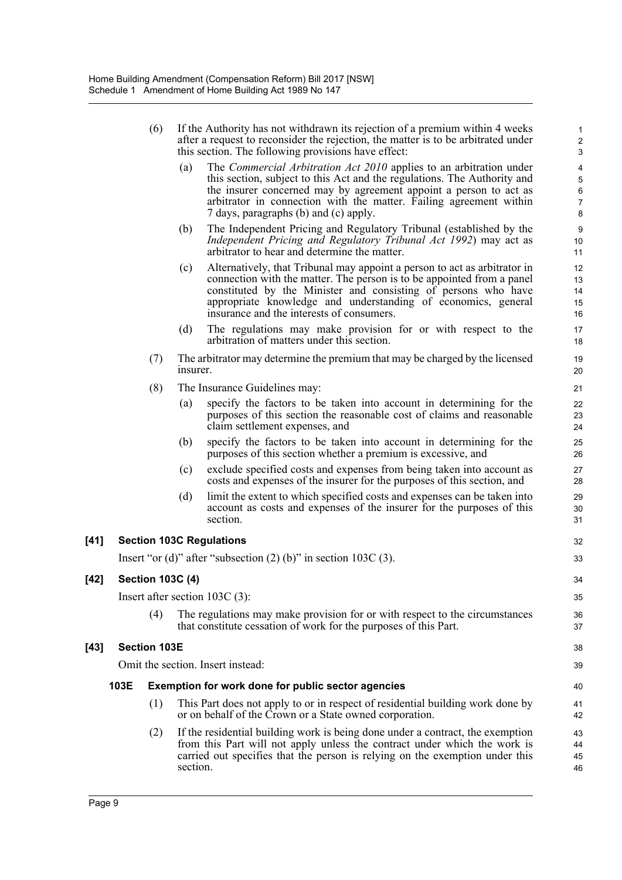|      | (6)                     |          | If the Authority has not withdrawn its rejection of a premium within 4 weeks<br>after a request to reconsider the rejection, the matter is to be arbitrated under<br>this section. The following provisions have effect:                                                                                                            | $\mathbf{1}$<br>$\boldsymbol{2}$<br>$\ensuremath{\mathsf{3}}$               |
|------|-------------------------|----------|-------------------------------------------------------------------------------------------------------------------------------------------------------------------------------------------------------------------------------------------------------------------------------------------------------------------------------------|-----------------------------------------------------------------------------|
|      |                         | (a)      | The Commercial Arbitration Act 2010 applies to an arbitration under<br>this section, subject to this Act and the regulations. The Authority and<br>the insurer concerned may by agreement appoint a person to act as<br>arbitrator in connection with the matter. Failing agreement within<br>7 days, paragraphs (b) and (c) apply. | $\overline{\mathbf{4}}$<br>$\overline{5}$<br>$\,6\,$<br>$\overline{7}$<br>8 |
|      |                         | (b)      | The Independent Pricing and Regulatory Tribunal (established by the<br>Independent Pricing and Regulatory Tribunal Act 1992) may act as<br>arbitrator to hear and determine the matter.                                                                                                                                             | $\boldsymbol{9}$<br>10<br>11                                                |
|      |                         | (c)      | Alternatively, that Tribunal may appoint a person to act as arbitrator in<br>connection with the matter. The person is to be appointed from a panel<br>constituted by the Minister and consisting of persons who have<br>appropriate knowledge and understanding of economics, general<br>insurance and the interests of consumers. | 12<br>13<br>14<br>15<br>16                                                  |
|      |                         | (d)      | The regulations may make provision for or with respect to the<br>arbitration of matters under this section.                                                                                                                                                                                                                         | 17<br>18                                                                    |
|      | (7)                     | insurer. | The arbitrator may determine the premium that may be charged by the licensed                                                                                                                                                                                                                                                        | 19<br>20                                                                    |
|      | (8)                     |          | The Insurance Guidelines may:                                                                                                                                                                                                                                                                                                       | 21                                                                          |
|      |                         | (a)      | specify the factors to be taken into account in determining for the<br>purposes of this section the reasonable cost of claims and reasonable<br>claim settlement expenses, and                                                                                                                                                      | 22<br>23<br>24                                                              |
|      |                         | (b)      | specify the factors to be taken into account in determining for the<br>purposes of this section whether a premium is excessive, and                                                                                                                                                                                                 | 25<br>26                                                                    |
|      |                         | (c)      | exclude specified costs and expenses from being taken into account as<br>costs and expenses of the insurer for the purposes of this section, and                                                                                                                                                                                    | 27<br>28                                                                    |
|      |                         | (d)      | limit the extent to which specified costs and expenses can be taken into<br>account as costs and expenses of the insurer for the purposes of this<br>section.                                                                                                                                                                       | 29<br>30<br>31                                                              |
|      |                         |          | <b>Section 103C Regulations</b>                                                                                                                                                                                                                                                                                                     | 32                                                                          |
|      |                         |          | Insert "or (d)" after "subsection $(2)$ (b)" in section 103C $(3)$ .                                                                                                                                                                                                                                                                | 33                                                                          |
|      | <b>Section 103C (4)</b> |          |                                                                                                                                                                                                                                                                                                                                     | 34                                                                          |
|      |                         |          | Insert after section $103C(3)$ :                                                                                                                                                                                                                                                                                                    | 35                                                                          |
|      | (4)                     |          | The regulations may make provision for or with respect to the circumstances<br>that constitute cessation of work for the purposes of this Part.                                                                                                                                                                                     | 36<br>37                                                                    |
|      | <b>Section 103E</b>     |          |                                                                                                                                                                                                                                                                                                                                     | 38                                                                          |
|      |                         |          | Omit the section. Insert instead:                                                                                                                                                                                                                                                                                                   | 39                                                                          |
| 103E |                         |          | Exemption for work done for public sector agencies                                                                                                                                                                                                                                                                                  | 40                                                                          |
|      | (1)                     |          | This Part does not apply to or in respect of residential building work done by<br>or on behalf of the Crown or a State owned corporation.                                                                                                                                                                                           | 41<br>42                                                                    |
|      | (2)                     | section. | If the residential building work is being done under a contract, the exemption<br>from this Part will not apply unless the contract under which the work is<br>carried out specifies that the person is relying on the exemption under this                                                                                         | 43<br>44<br>45<br>46                                                        |

[41]

[42]

[43]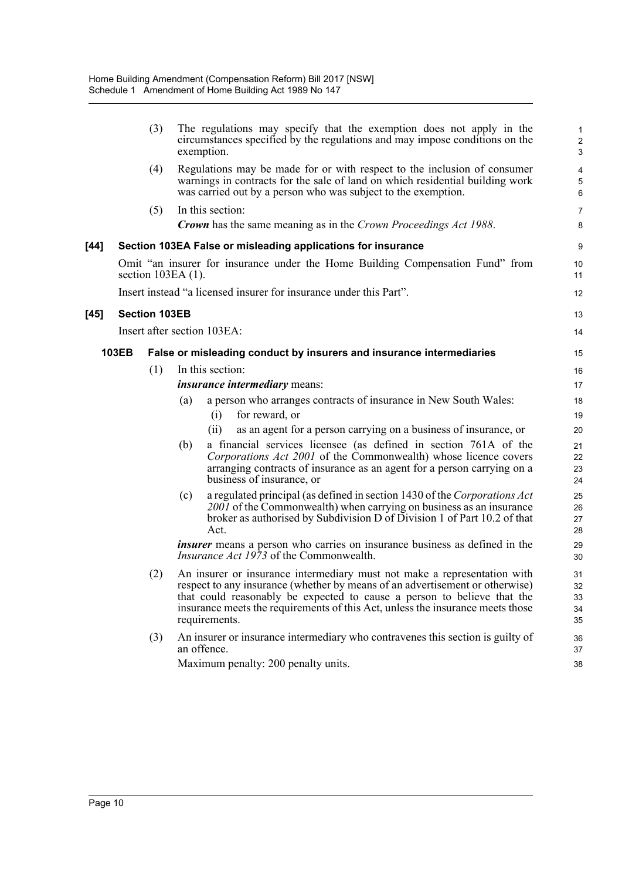|        |       | (3)                  | The regulations may specify that the exemption does not apply in the<br>circumstances specified by the regulations and may impose conditions on the<br>exemption.                                                                                                                                                                      | 1<br>$\overline{\mathbf{c}}$<br>3 |
|--------|-------|----------------------|----------------------------------------------------------------------------------------------------------------------------------------------------------------------------------------------------------------------------------------------------------------------------------------------------------------------------------------|-----------------------------------|
|        |       | (4)                  | Regulations may be made for or with respect to the inclusion of consumer<br>warnings in contracts for the sale of land on which residential building work<br>was carried out by a person who was subject to the exemption.                                                                                                             | 4<br>5<br>6                       |
|        |       | (5)                  | In this section:                                                                                                                                                                                                                                                                                                                       | 7                                 |
|        |       |                      | <b>Crown</b> has the same meaning as in the Crown Proceedings Act 1988.                                                                                                                                                                                                                                                                | 8                                 |
| $[44]$ |       |                      | Section 103EA False or misleading applications for insurance                                                                                                                                                                                                                                                                           | 9                                 |
|        |       |                      | Omit "an insurer for insurance under the Home Building Compensation Fund" from<br>section $103EA(1)$ .                                                                                                                                                                                                                                 | 10<br>11                          |
|        |       |                      | Insert instead "a licensed insurer for insurance under this Part".                                                                                                                                                                                                                                                                     | 12                                |
| $[45]$ |       | <b>Section 103EB</b> |                                                                                                                                                                                                                                                                                                                                        | 13                                |
|        |       |                      | Insert after section 103EA:                                                                                                                                                                                                                                                                                                            | 14                                |
|        | 103EB |                      | False or misleading conduct by insurers and insurance intermediaries                                                                                                                                                                                                                                                                   | 15                                |
|        |       | (1)                  | In this section:                                                                                                                                                                                                                                                                                                                       |                                   |
|        |       |                      | <i>insurance intermediary means:</i>                                                                                                                                                                                                                                                                                                   | 16<br>17                          |
|        |       |                      | a person who arranges contracts of insurance in New South Wales:<br>(a)                                                                                                                                                                                                                                                                | 18                                |
|        |       |                      | for reward, or<br>(i)                                                                                                                                                                                                                                                                                                                  | 19                                |
|        |       |                      | as an agent for a person carrying on a business of insurance, or<br>(ii)                                                                                                                                                                                                                                                               | 20                                |
|        |       |                      | a financial services licensee (as defined in section 761A of the<br>(b)<br>Corporations Act 2001 of the Commonwealth) whose licence covers<br>arranging contracts of insurance as an agent for a person carrying on a<br>business of insurance, or                                                                                     | 21<br>22<br>23<br>24              |
|        |       |                      | a regulated principal (as defined in section 1430 of the Corporations Act<br>(c)<br>2001 of the Commonwealth) when carrying on business as an insurance<br>broker as authorised by Subdivision D of Division 1 of Part 10.2 of that<br>Act.                                                                                            | 25<br>26<br>27<br>28              |
|        |       |                      | <i>insurer</i> means a person who carries on insurance business as defined in the<br><i>Insurance Act 1973</i> of the Commonwealth.                                                                                                                                                                                                    | 29<br>30                          |
|        |       | (2)                  | An insurer or insurance intermediary must not make a representation with<br>respect to any insurance (whether by means of an advertisement or otherwise)<br>that could reasonably be expected to cause a person to believe that the<br>insurance meets the requirements of this Act, unless the insurance meets those<br>requirements. | 31<br>32<br>33<br>34<br>35        |
|        |       | (3)                  | An insurer or insurance intermediary who contravenes this section is guilty of<br>an offence.<br>Maximum penalty: 200 penalty units.                                                                                                                                                                                                   | 36<br>37<br>38                    |
|        |       |                      |                                                                                                                                                                                                                                                                                                                                        |                                   |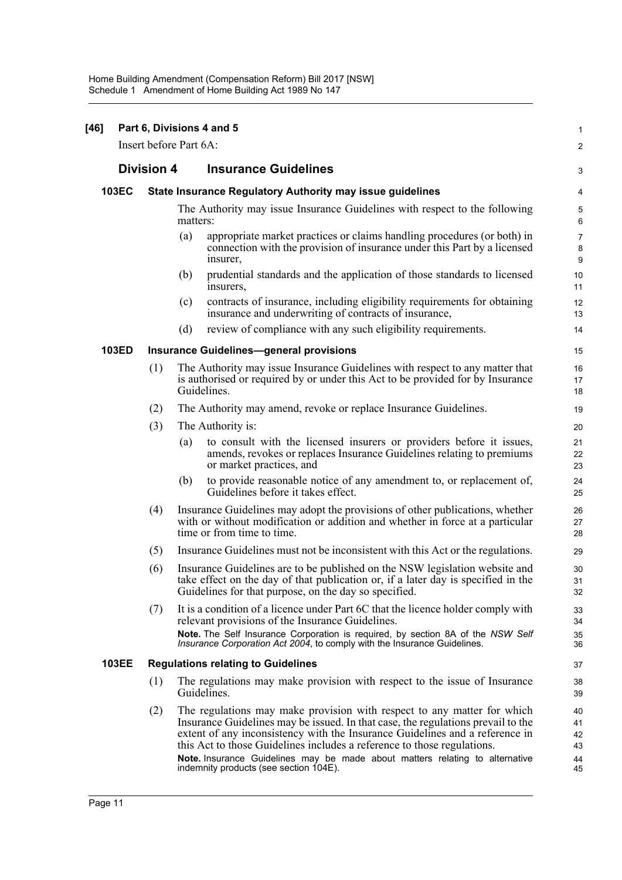| Insert before Part 6A:<br><b>Division 4</b><br><b>Insurance Guidelines</b><br>103EC<br><b>State Insurance Regulatory Authority may issue guidelines</b><br>The Authority may issue Insurance Guidelines with respect to the following<br>matters:<br>appropriate market practices or claims handling procedures (or both) in<br>(a)<br>connection with the provision of insurance under this Part by a licensed<br>insurer,<br>prudential standards and the application of those standards to licensed<br>(b)<br>insurers,<br>contracts of insurance, including eligibility requirements for obtaining<br>(c)<br>insurance and underwriting of contracts of insurance,<br>review of compliance with any such eligibility requirements.<br>(d) | $\mathbf{1}$                     |
|-----------------------------------------------------------------------------------------------------------------------------------------------------------------------------------------------------------------------------------------------------------------------------------------------------------------------------------------------------------------------------------------------------------------------------------------------------------------------------------------------------------------------------------------------------------------------------------------------------------------------------------------------------------------------------------------------------------------------------------------------|----------------------------------|
|                                                                                                                                                                                                                                                                                                                                                                                                                                                                                                                                                                                                                                                                                                                                               | $\overline{2}$                   |
|                                                                                                                                                                                                                                                                                                                                                                                                                                                                                                                                                                                                                                                                                                                                               | 3                                |
|                                                                                                                                                                                                                                                                                                                                                                                                                                                                                                                                                                                                                                                                                                                                               | 4                                |
|                                                                                                                                                                                                                                                                                                                                                                                                                                                                                                                                                                                                                                                                                                                                               | $\mathbf 5$<br>$\,6\,$           |
|                                                                                                                                                                                                                                                                                                                                                                                                                                                                                                                                                                                                                                                                                                                                               | $\overline{7}$<br>$\bf8$<br>9    |
|                                                                                                                                                                                                                                                                                                                                                                                                                                                                                                                                                                                                                                                                                                                                               | 10<br>11                         |
|                                                                                                                                                                                                                                                                                                                                                                                                                                                                                                                                                                                                                                                                                                                                               | 12<br>13                         |
|                                                                                                                                                                                                                                                                                                                                                                                                                                                                                                                                                                                                                                                                                                                                               | 14                               |
| 103ED<br><b>Insurance Guidelines-general provisions</b>                                                                                                                                                                                                                                                                                                                                                                                                                                                                                                                                                                                                                                                                                       | 15                               |
| The Authority may issue Insurance Guidelines with respect to any matter that<br>(1)<br>is authorised or required by or under this Act to be provided for by Insurance<br>Guidelines.                                                                                                                                                                                                                                                                                                                                                                                                                                                                                                                                                          | 16<br>17<br>18                   |
| The Authority may amend, revoke or replace Insurance Guidelines.<br>(2)                                                                                                                                                                                                                                                                                                                                                                                                                                                                                                                                                                                                                                                                       | 19                               |
| (3)<br>The Authority is:                                                                                                                                                                                                                                                                                                                                                                                                                                                                                                                                                                                                                                                                                                                      | 20                               |
| to consult with the licensed insurers or providers before it issues,<br>(a)<br>amends, revokes or replaces Insurance Guidelines relating to premiums<br>or market practices, and                                                                                                                                                                                                                                                                                                                                                                                                                                                                                                                                                              | 21<br>22<br>23                   |
| to provide reasonable notice of any amendment to, or replacement of,<br>(b)<br>Guidelines before it takes effect.                                                                                                                                                                                                                                                                                                                                                                                                                                                                                                                                                                                                                             | 24<br>25                         |
| Insurance Guidelines may adopt the provisions of other publications, whether<br>(4)<br>with or without modification or addition and whether in force at a particular<br>time or from time to time.                                                                                                                                                                                                                                                                                                                                                                                                                                                                                                                                            | 26<br>27<br>28                   |
| Insurance Guidelines must not be inconsistent with this Act or the regulations.<br>(5)                                                                                                                                                                                                                                                                                                                                                                                                                                                                                                                                                                                                                                                        | 29                               |
| Insurance Guidelines are to be published on the NSW legislation website and<br>(6)<br>take effect on the day of that publication or, if a later day is specified in the<br>Guidelines for that purpose, on the day so specified.                                                                                                                                                                                                                                                                                                                                                                                                                                                                                                              | 30<br>31<br>32                   |
| It is a condition of a licence under Part 6C that the licence holder comply with<br>(7)<br>relevant provisions of the Insurance Guidelines.<br>Note. The Self Insurance Corporation is required, by section 8A of the NSW Self<br>Insurance Corporation Act 2004, to comply with the Insurance Guidelines.                                                                                                                                                                                                                                                                                                                                                                                                                                    | 33<br>34<br>35<br>36             |
| <b>103EE</b><br><b>Regulations relating to Guidelines</b>                                                                                                                                                                                                                                                                                                                                                                                                                                                                                                                                                                                                                                                                                     | 37                               |
| The regulations may make provision with respect to the issue of Insurance<br>(1)<br>Guidelines.                                                                                                                                                                                                                                                                                                                                                                                                                                                                                                                                                                                                                                               | 38<br>39                         |
| The regulations may make provision with respect to any matter for which<br>(2)<br>Insurance Guidelines may be issued. In that case, the regulations prevail to the<br>extent of any inconsistency with the Insurance Guidelines and a reference in<br>this Act to those Guidelines includes a reference to those regulations.<br>Note. Insurance Guidelines may be made about matters relating to alternative<br>indemnity products (see section 104E).                                                                                                                                                                                                                                                                                       | 40<br>41<br>42<br>43<br>44<br>45 |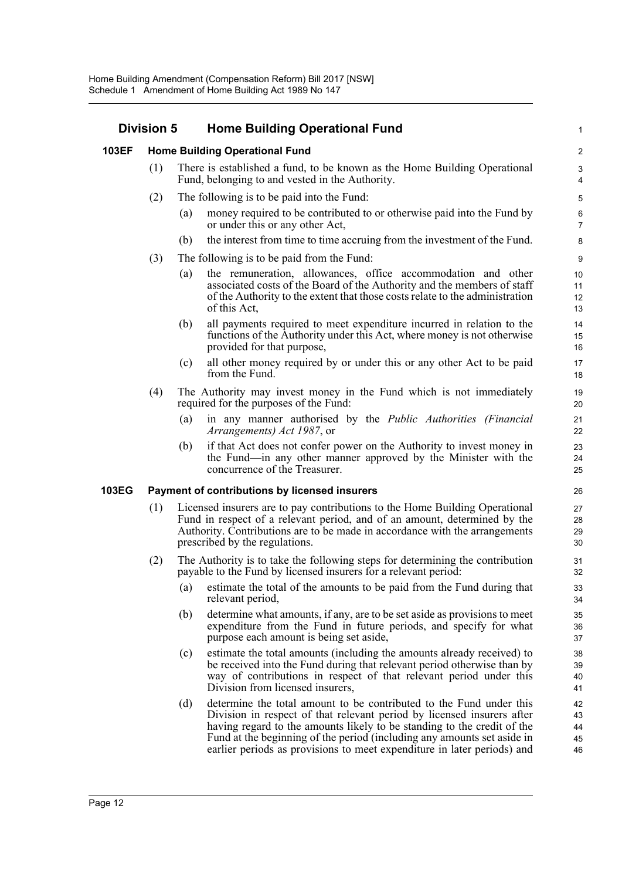## **Division 5 Home Building Operational Fund**

#### **103EF Home Building Operational Fund**

- (1) There is established a fund, to be known as the Home Building Operational Fund, belonging to and vested in the Authority.
- (2) The following is to be paid into the Fund:
	- (a) money required to be contributed to or otherwise paid into the Fund by or under this or any other Act,

1

- (b) the interest from time to time accruing from the investment of the Fund.
- (3) The following is to be paid from the Fund:
	- (a) the remuneration, allowances, office accommodation and other associated costs of the Board of the Authority and the members of staff of the Authority to the extent that those costs relate to the administration of this Act,
	- (b) all payments required to meet expenditure incurred in relation to the functions of the Authority under this Act, where money is not otherwise provided for that purpose,
	- (c) all other money required by or under this or any other Act to be paid from the Fund.
- (4) The Authority may invest money in the Fund which is not immediately required for the purposes of the Fund:
	- (a) in any manner authorised by the *Public Authorities (Financial Arrangements) Act 1987*, or
	- (b) if that Act does not confer power on the Authority to invest money in the Fund—in any other manner approved by the Minister with the concurrence of the Treasurer.

#### **103EG Payment of contributions by licensed insurers**

- (1) Licensed insurers are to pay contributions to the Home Building Operational Fund in respect of a relevant period, and of an amount, determined by the Authority. Contributions are to be made in accordance with the arrangements prescribed by the regulations.
- (2) The Authority is to take the following steps for determining the contribution payable to the Fund by licensed insurers for a relevant period:
	- (a) estimate the total of the amounts to be paid from the Fund during that relevant period,
	- (b) determine what amounts, if any, are to be set aside as provisions to meet expenditure from the Fund in future periods, and specify for what purpose each amount is being set aside,
	- (c) estimate the total amounts (including the amounts already received) to be received into the Fund during that relevant period otherwise than by way of contributions in respect of that relevant period under this Division from licensed insurers,
	- (d) determine the total amount to be contributed to the Fund under this Division in respect of that relevant period by licensed insurers after having regard to the amounts likely to be standing to the credit of the Fund at the beginning of the period (including any amounts set aside in earlier periods as provisions to meet expenditure in later periods) and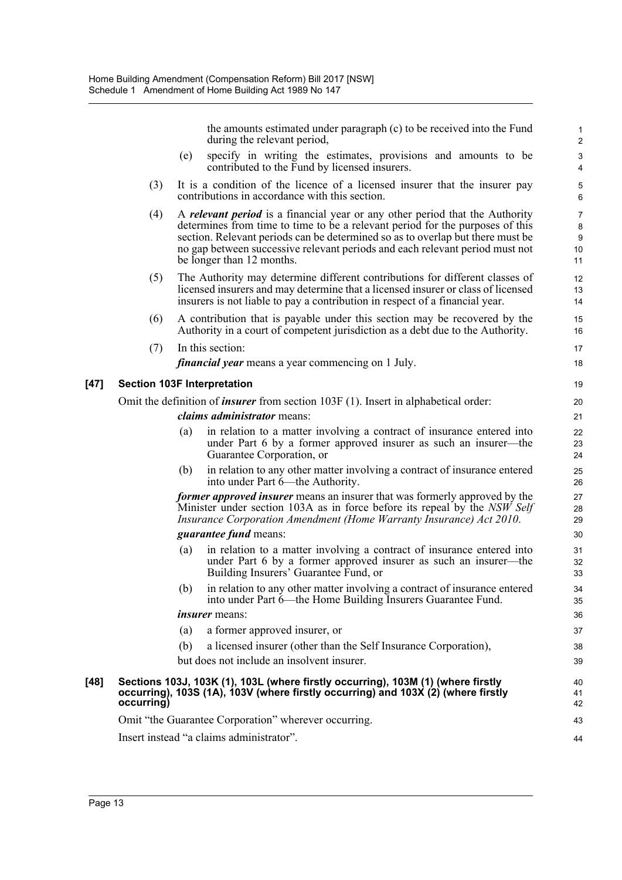the amounts estimated under paragraph (c) to be received into the Fund during the relevant period, (e) specify in writing the estimates, provisions and amounts to be contributed to the Fund by licensed insurers. (3) It is a condition of the licence of a licensed insurer that the insurer pay contributions in accordance with this section. (4) A *relevant period* is a financial year or any other period that the Authority determines from time to time to be a relevant period for the purposes of this section. Relevant periods can be determined so as to overlap but there must be no gap between successive relevant periods and each relevant period must not be longer than 12 months. (5) The Authority may determine different contributions for different classes of licensed insurers and may determine that a licensed insurer or class of licensed insurers is not liable to pay a contribution in respect of a financial year. (6) A contribution that is payable under this section may be recovered by the Authority in a court of competent jurisdiction as a debt due to the Authority. (7) In this section: *financial year* means a year commencing on 1 July. **[47] Section 103F Interpretation** Omit the definition of *insurer* from section 103F (1). Insert in alphabetical order: *claims administrator* means: (a) in relation to a matter involving a contract of insurance entered into under Part 6 by a former approved insurer as such an insurer—the Guarantee Corporation, or (b) in relation to any other matter involving a contract of insurance entered into under Part 6—the Authority. *former approved insurer* means an insurer that was formerly approved by the Minister under section 103A as in force before its repeal by the *NSW Self Insurance Corporation Amendment (Home Warranty Insurance) Act 2010*. *guarantee fund* means: (a) in relation to a matter involving a contract of insurance entered into under Part 6 by a former approved insurer as such an insurer—the Building Insurers' Guarantee Fund, or (b) in relation to any other matter involving a contract of insurance entered into under Part 6—the Home Building Insurers Guarantee Fund. *insurer* means: (a) a former approved insurer, or (b) a licensed insurer (other than the Self Insurance Corporation), but does not include an insolvent insurer. **[48] Sections 103J, 103K (1), 103L (where firstly occurring), 103M (1) (where firstly occurring), 103S (1A), 103V (where firstly occurring) and 103X (2) (where firstly occurring)** Omit "the Guarantee Corporation" wherever occurring. Insert instead "a claims administrator". 1 2 3 4 5 6 7 8 9 10 11 12 13 14 15 16 17 18 19 20 21 22 23 24 25 26 27 28 29 30 31 32 33 34 35 36 37 38 39 40 41 42 43 44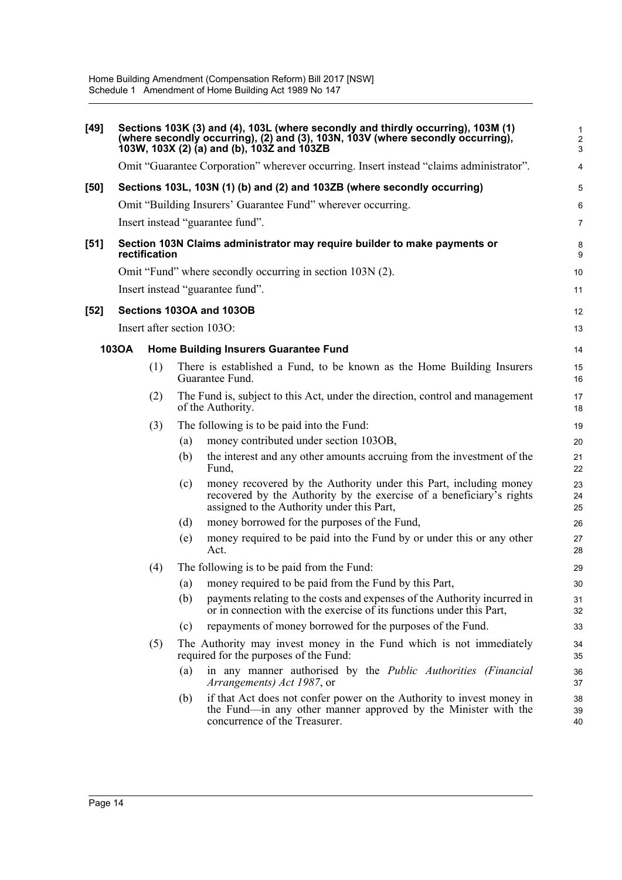| $[49]$ |       |               |     | Sections 103K (3) and (4), 103L (where secondly and thirdly occurring), 103M (1)<br>(where secondly occurring), (2) and (3), 103N, 103V (where secondly occurring),<br>103W, 103X (2) (a) and (b), 1032 and 103ZB | $\mathbf{1}$<br>$\boldsymbol{2}$<br>$\mathfrak{S}$ |
|--------|-------|---------------|-----|-------------------------------------------------------------------------------------------------------------------------------------------------------------------------------------------------------------------|----------------------------------------------------|
|        |       |               |     | Omit "Guarantee Corporation" wherever occurring. Insert instead "claims administrator".                                                                                                                           | $\overline{4}$                                     |
| [50]   |       |               |     | Sections 103L, 103N (1) (b) and (2) and 103ZB (where secondly occurring)                                                                                                                                          | 5                                                  |
|        |       |               |     | Omit "Building Insurers' Guarantee Fund" wherever occurring.                                                                                                                                                      | 6                                                  |
|        |       |               |     | Insert instead "guarantee fund".                                                                                                                                                                                  | 7                                                  |
| $[51]$ |       | rectification |     | Section 103N Claims administrator may require builder to make payments or                                                                                                                                         | 8<br>9                                             |
|        |       |               |     | Omit "Fund" where secondly occurring in section 103N (2).                                                                                                                                                         | 10                                                 |
|        |       |               |     | Insert instead "guarantee fund".                                                                                                                                                                                  | 11                                                 |
| $[52]$ |       |               |     | Sections 103OA and 103OB                                                                                                                                                                                          | 12                                                 |
|        |       |               |     | Insert after section 1030:                                                                                                                                                                                        | 13                                                 |
|        | 103OA |               |     | <b>Home Building Insurers Guarantee Fund</b>                                                                                                                                                                      | 14                                                 |
|        |       | (1)           |     | There is established a Fund, to be known as the Home Building Insurers<br>Guarantee Fund.                                                                                                                         | 15<br>16                                           |
|        |       | (2)           |     | The Fund is, subject to this Act, under the direction, control and management<br>of the Authority.                                                                                                                | 17<br>18                                           |
|        |       | (3)           |     | The following is to be paid into the Fund:                                                                                                                                                                        | 19                                                 |
|        |       |               | (a) | money contributed under section 103OB,                                                                                                                                                                            | 20                                                 |
|        |       |               | (b) | the interest and any other amounts accruing from the investment of the<br>Fund,                                                                                                                                   | 21<br>22                                           |
|        |       |               | (c) | money recovered by the Authority under this Part, including money<br>recovered by the Authority by the exercise of a beneficiary's rights<br>assigned to the Authority under this Part,                           | 23<br>24<br>25                                     |
|        |       |               | (d) | money borrowed for the purposes of the Fund,                                                                                                                                                                      | 26                                                 |
|        |       |               | (e) | money required to be paid into the Fund by or under this or any other<br>Act.                                                                                                                                     | 27<br>28                                           |
|        |       | (4)           |     | The following is to be paid from the Fund:                                                                                                                                                                        | 29                                                 |
|        |       |               | (a) | money required to be paid from the Fund by this Part,                                                                                                                                                             | 30                                                 |
|        |       |               | (b) | payments relating to the costs and expenses of the Authority incurred in<br>or in connection with the exercise of its functions under this Part,                                                                  | 31<br>32                                           |
|        |       |               | (c) | repayments of money borrowed for the purposes of the Fund.                                                                                                                                                        | 33                                                 |
|        |       | (5)           |     | The Authority may invest money in the Fund which is not immediately<br>required for the purposes of the Fund:                                                                                                     | 34<br>35                                           |
|        |       |               | (a) | in any manner authorised by the Public Authorities (Financial<br>Arrangements) Act 1987, or                                                                                                                       | 36<br>37                                           |
|        |       |               | (b) | if that Act does not confer power on the Authority to invest money in<br>the Fund—in any other manner approved by the Minister with the<br>concurrence of the Treasurer.                                          | 38<br>39<br>40                                     |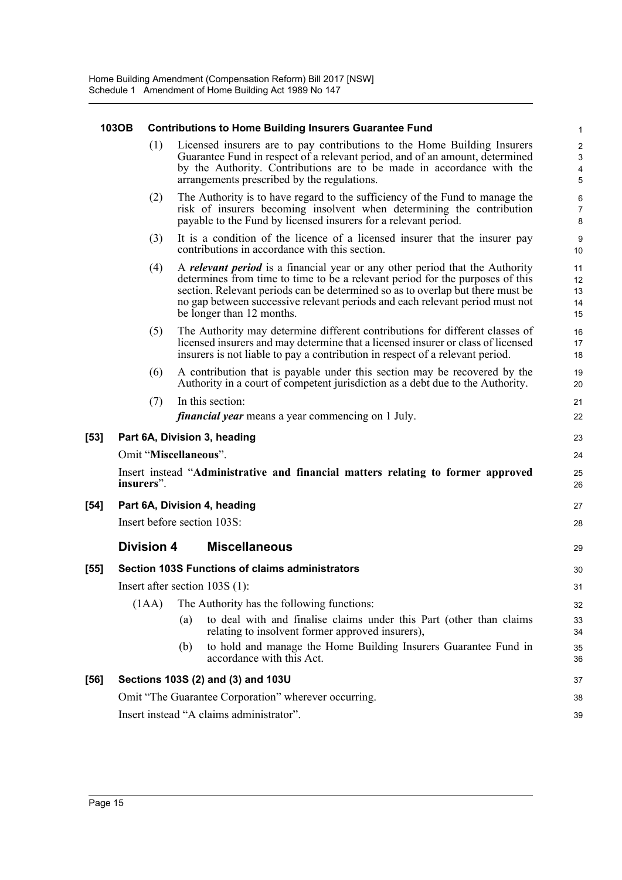|      | 103OB                                    |                   | <b>Contributions to Home Building Insurers Guarantee Fund</b>                                                                                                                                                                                                                                                                                                       | $\mathbf{1}$                                                                  |  |  |  |
|------|------------------------------------------|-------------------|---------------------------------------------------------------------------------------------------------------------------------------------------------------------------------------------------------------------------------------------------------------------------------------------------------------------------------------------------------------------|-------------------------------------------------------------------------------|--|--|--|
|      |                                          | (1)               | Licensed insurers are to pay contributions to the Home Building Insurers<br>Guarantee Fund in respect of a relevant period, and of an amount, determined<br>by the Authority. Contributions are to be made in accordance with the<br>arrangements prescribed by the regulations.                                                                                    | $\boldsymbol{2}$<br>$\ensuremath{\mathsf{3}}$<br>$\overline{\mathbf{4}}$<br>5 |  |  |  |
|      |                                          | (2)               | The Authority is to have regard to the sufficiency of the Fund to manage the<br>risk of insurers becoming insolvent when determining the contribution<br>payable to the Fund by licensed insurers for a relevant period.                                                                                                                                            | 6<br>$\boldsymbol{7}$<br>8                                                    |  |  |  |
|      |                                          | (3)               | It is a condition of the licence of a licensed insurer that the insurer pay<br>contributions in accordance with this section.                                                                                                                                                                                                                                       | $\boldsymbol{9}$<br>10                                                        |  |  |  |
|      |                                          | (4)               | A <i>relevant period</i> is a financial year or any other period that the Authority<br>determines from time to time to be a relevant period for the purposes of this<br>section. Relevant periods can be determined so as to overlap but there must be<br>no gap between successive relevant periods and each relevant period must not<br>be longer than 12 months. | 11<br>12<br>13<br>14<br>15                                                    |  |  |  |
|      |                                          | (5)               | The Authority may determine different contributions for different classes of<br>licensed insurers and may determine that a licensed insurer or class of licensed<br>insurers is not liable to pay a contribution in respect of a relevant period.                                                                                                                   | 16<br>17<br>18                                                                |  |  |  |
|      |                                          | (6)               | A contribution that is payable under this section may be recovered by the<br>Authority in a court of competent jurisdiction as a debt due to the Authority.                                                                                                                                                                                                         | 19<br>20                                                                      |  |  |  |
|      |                                          | (7)               | In this section:                                                                                                                                                                                                                                                                                                                                                    | 21                                                                            |  |  |  |
|      |                                          |                   | <i>financial year</i> means a year commencing on 1 July.                                                                                                                                                                                                                                                                                                            | 22                                                                            |  |  |  |
| [53] |                                          |                   | Part 6A, Division 3, heading                                                                                                                                                                                                                                                                                                                                        | 23                                                                            |  |  |  |
|      |                                          |                   | Omit "Miscellaneous".                                                                                                                                                                                                                                                                                                                                               | 24                                                                            |  |  |  |
|      |                                          | insurers".        | Insert instead "Administrative and financial matters relating to former approved                                                                                                                                                                                                                                                                                    | 25<br>26                                                                      |  |  |  |
| [54] |                                          |                   | Part 6A, Division 4, heading                                                                                                                                                                                                                                                                                                                                        | 27                                                                            |  |  |  |
|      |                                          |                   | Insert before section 103S:                                                                                                                                                                                                                                                                                                                                         | 28                                                                            |  |  |  |
|      |                                          | <b>Division 4</b> | <b>Miscellaneous</b>                                                                                                                                                                                                                                                                                                                                                | 29                                                                            |  |  |  |
| [55] |                                          |                   | <b>Section 103S Functions of claims administrators</b>                                                                                                                                                                                                                                                                                                              | 30                                                                            |  |  |  |
|      |                                          |                   | Insert after section 103S (1):                                                                                                                                                                                                                                                                                                                                      | 31                                                                            |  |  |  |
|      |                                          | (1AA)             | The Authority has the following functions:                                                                                                                                                                                                                                                                                                                          | 32                                                                            |  |  |  |
|      |                                          |                   | to deal with and finalise claims under this Part (other than claims<br>(a)<br>relating to insolvent former approved insurers),                                                                                                                                                                                                                                      | 33<br>34                                                                      |  |  |  |
|      |                                          |                   | to hold and manage the Home Building Insurers Guarantee Fund in<br>(b)<br>accordance with this Act.                                                                                                                                                                                                                                                                 | 35<br>36                                                                      |  |  |  |
| [56] |                                          |                   | Sections 103S (2) and (3) and 103U                                                                                                                                                                                                                                                                                                                                  | 37                                                                            |  |  |  |
|      |                                          |                   | Omit "The Guarantee Corporation" wherever occurring.                                                                                                                                                                                                                                                                                                                | 38                                                                            |  |  |  |
|      | Insert instead "A claims administrator". |                   |                                                                                                                                                                                                                                                                                                                                                                     |                                                                               |  |  |  |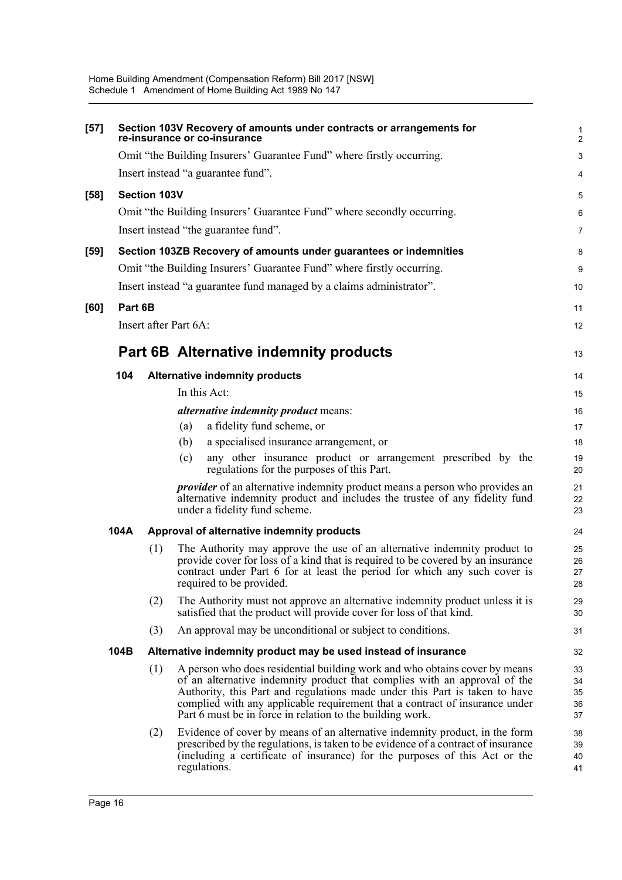| $[57]$ |         |              | Section 103V Recovery of amounts under contracts or arrangements for<br>re-insurance or co-insurance                                                                                                                                                                                                                                                                              | 1<br>$\overline{a}$        |
|--------|---------|--------------|-----------------------------------------------------------------------------------------------------------------------------------------------------------------------------------------------------------------------------------------------------------------------------------------------------------------------------------------------------------------------------------|----------------------------|
|        |         |              | Omit "the Building Insurers' Guarantee Fund" where firstly occurring.                                                                                                                                                                                                                                                                                                             | 3                          |
|        |         |              | Insert instead "a guarantee fund".                                                                                                                                                                                                                                                                                                                                                | 4                          |
| $[58]$ |         | Section 103V |                                                                                                                                                                                                                                                                                                                                                                                   | 5                          |
|        |         |              | Omit "the Building Insurers' Guarantee Fund" where secondly occurring.                                                                                                                                                                                                                                                                                                            | 6                          |
|        |         |              | Insert instead "the guarantee fund".                                                                                                                                                                                                                                                                                                                                              | 7                          |
| $[59]$ |         |              | Section 103ZB Recovery of amounts under guarantees or indemnities                                                                                                                                                                                                                                                                                                                 | 8                          |
|        |         |              | Omit "the Building Insurers' Guarantee Fund" where firstly occurring.                                                                                                                                                                                                                                                                                                             | 9                          |
|        |         |              | Insert instead "a guarantee fund managed by a claims administrator".                                                                                                                                                                                                                                                                                                              | 10                         |
| [60]   | Part 6B |              |                                                                                                                                                                                                                                                                                                                                                                                   |                            |
|        |         |              | Insert after Part 6A:                                                                                                                                                                                                                                                                                                                                                             | 11<br>12                   |
|        |         |              |                                                                                                                                                                                                                                                                                                                                                                                   |                            |
|        |         |              | <b>Part 6B Alternative indemnity products</b>                                                                                                                                                                                                                                                                                                                                     | 13                         |
|        | 104     |              | <b>Alternative indemnity products</b>                                                                                                                                                                                                                                                                                                                                             | 14                         |
|        |         |              | In this Act:                                                                                                                                                                                                                                                                                                                                                                      | 15                         |
|        |         |              | <i>alternative indemnity product means:</i>                                                                                                                                                                                                                                                                                                                                       | 16                         |
|        |         |              | a fidelity fund scheme, or<br>(a)                                                                                                                                                                                                                                                                                                                                                 | 17                         |
|        |         |              | a specialised insurance arrangement, or<br>(b)                                                                                                                                                                                                                                                                                                                                    | 18                         |
|        |         |              | any other insurance product or arrangement prescribed by the<br>(c)<br>regulations for the purposes of this Part.                                                                                                                                                                                                                                                                 | 19<br>20                   |
|        |         |              | <i>provider</i> of an alternative indemnity product means a person who provides an<br>alternative indemnity product and includes the trustee of any fidelity fund<br>under a fidelity fund scheme.                                                                                                                                                                                | 21<br>22<br>23             |
|        | 104A    |              | Approval of alternative indemnity products                                                                                                                                                                                                                                                                                                                                        | 24                         |
|        |         | (1)          | The Authority may approve the use of an alternative indemnity product to<br>provide cover for loss of a kind that is required to be covered by an insurance<br>contract under Part 6 for at least the period for which any such cover is<br>required to be provided.                                                                                                              | 25<br>26<br>27<br>28       |
|        |         | (2)          | The Authority must not approve an alternative indemnity product unless it is<br>satisfied that the product will provide cover for loss of that kind.                                                                                                                                                                                                                              | 29<br>30                   |
|        |         | (3)          | An approval may be unconditional or subject to conditions.                                                                                                                                                                                                                                                                                                                        | 31                         |
|        | 104B    |              | Alternative indemnity product may be used instead of insurance                                                                                                                                                                                                                                                                                                                    | 32                         |
|        |         | (1)          | A person who does residential building work and who obtains cover by means<br>of an alternative indemnity product that complies with an approval of the<br>Authority, this Part and regulations made under this Part is taken to have<br>complied with any applicable requirement that a contract of insurance under<br>Part 6 must be in force in relation to the building work. | 33<br>34<br>35<br>36<br>37 |
|        |         | (2)          | Evidence of cover by means of an alternative indemnity product, in the form<br>prescribed by the regulations, is taken to be evidence of a contract of insurance<br>(including a certificate of insurance) for the purposes of this Act or the<br>regulations.                                                                                                                    | 38<br>39<br>40<br>41       |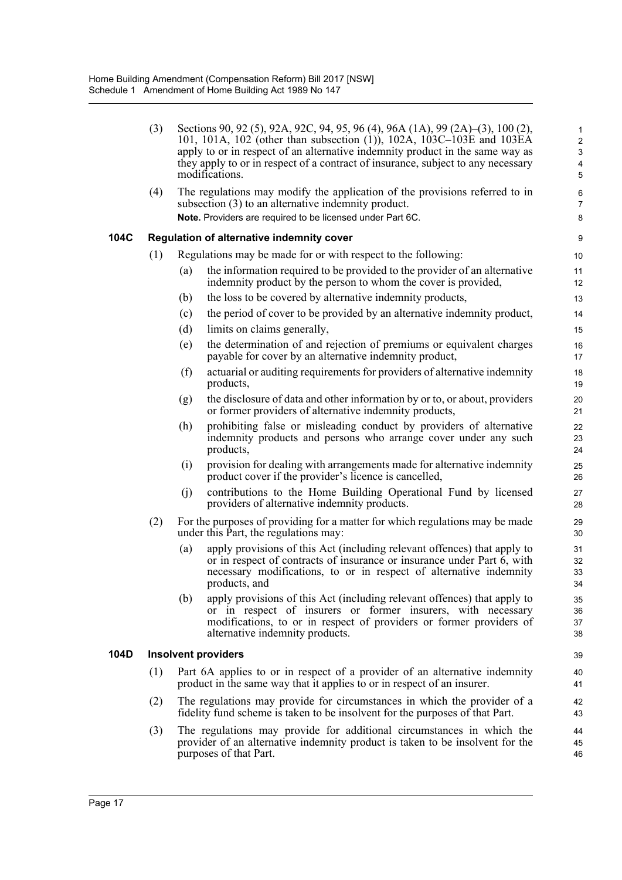|      | (3) |     | Sections 90, 92 (5), 92A, 92C, 94, 95, 96 (4), 96A (1A), 99 (2A)–(3), 100 (2),<br>101, 101A, 102 (other than subsection (1)), 102A, 103C-103E and 103EA<br>apply to or in respect of an alternative indemnity product in the same way as<br>they apply to or in respect of a contract of insurance, subject to any necessary<br>modifications. | 1<br>$\overline{\mathbf{c}}$<br>3<br>4<br>5 |
|------|-----|-----|------------------------------------------------------------------------------------------------------------------------------------------------------------------------------------------------------------------------------------------------------------------------------------------------------------------------------------------------|---------------------------------------------|
|      | (4) |     | The regulations may modify the application of the provisions referred to in<br>subsection (3) to an alternative indemnity product.<br>Note. Providers are required to be licensed under Part 6C.                                                                                                                                               | 6<br>7<br>8                                 |
| 104C |     |     | Regulation of alternative indemnity cover                                                                                                                                                                                                                                                                                                      | 9                                           |
|      | (1) |     | Regulations may be made for or with respect to the following:                                                                                                                                                                                                                                                                                  | 10                                          |
|      |     | (a) | the information required to be provided to the provider of an alternative<br>indemnity product by the person to whom the cover is provided,                                                                                                                                                                                                    | 11<br>12                                    |
|      |     | (b) | the loss to be covered by alternative indemnity products,                                                                                                                                                                                                                                                                                      | 13                                          |
|      |     | (c) | the period of cover to be provided by an alternative indemnity product,                                                                                                                                                                                                                                                                        | 14                                          |
|      |     | (d) | limits on claims generally,                                                                                                                                                                                                                                                                                                                    | 15                                          |
|      |     | (e) | the determination of and rejection of premiums or equivalent charges<br>payable for cover by an alternative indemnity product,                                                                                                                                                                                                                 | 16<br>17                                    |
|      |     | (f) | actuarial or auditing requirements for providers of alternative indemnity<br>products,                                                                                                                                                                                                                                                         | 18<br>19                                    |
|      |     | (g) | the disclosure of data and other information by or to, or about, providers<br>or former providers of alternative indemnity products,                                                                                                                                                                                                           | 20<br>21                                    |
|      |     | (h) | prohibiting false or misleading conduct by providers of alternative<br>indemnity products and persons who arrange cover under any such<br>products,                                                                                                                                                                                            | 22<br>23<br>24                              |
|      |     | (i) | provision for dealing with arrangements made for alternative indemnity<br>product cover if the provider's licence is cancelled,                                                                                                                                                                                                                | 25<br>26                                    |
|      |     | (j) | contributions to the Home Building Operational Fund by licensed<br>providers of alternative indemnity products.                                                                                                                                                                                                                                | 27<br>28                                    |
|      | (2) |     | For the purposes of providing for a matter for which regulations may be made<br>under this Part, the regulations may:                                                                                                                                                                                                                          | 29<br>30                                    |
|      |     | (a) | apply provisions of this Act (including relevant offences) that apply to<br>or in respect of contracts of insurance or insurance under Part $6$ , with<br>necessary modifications, to or in respect of alternative indemnity<br>products, and                                                                                                  | 31<br>32<br>33<br>34                        |
|      |     | (b) | apply provisions of this Act (including relevant offences) that apply to<br>or in respect of insurers or former insurers, with necessary<br>modifications, to or in respect of providers or former providers of<br>alternative indemnity products.                                                                                             | 35<br>36<br>37<br>38                        |
| 104D |     |     | <b>Insolvent providers</b>                                                                                                                                                                                                                                                                                                                     | 39                                          |
|      | (1) |     | Part 6A applies to or in respect of a provider of an alternative indemnity<br>product in the same way that it applies to or in respect of an insurer.                                                                                                                                                                                          | 40<br>41                                    |
|      | (2) |     | The regulations may provide for circumstances in which the provider of a<br>fidelity fund scheme is taken to be insolvent for the purposes of that Part.                                                                                                                                                                                       | 42<br>43                                    |
|      | (3) |     | The regulations may provide for additional circumstances in which the<br>provider of an alternative indemnity product is taken to be insolvent for the<br>purposes of that Part.                                                                                                                                                               | 44<br>45<br>46                              |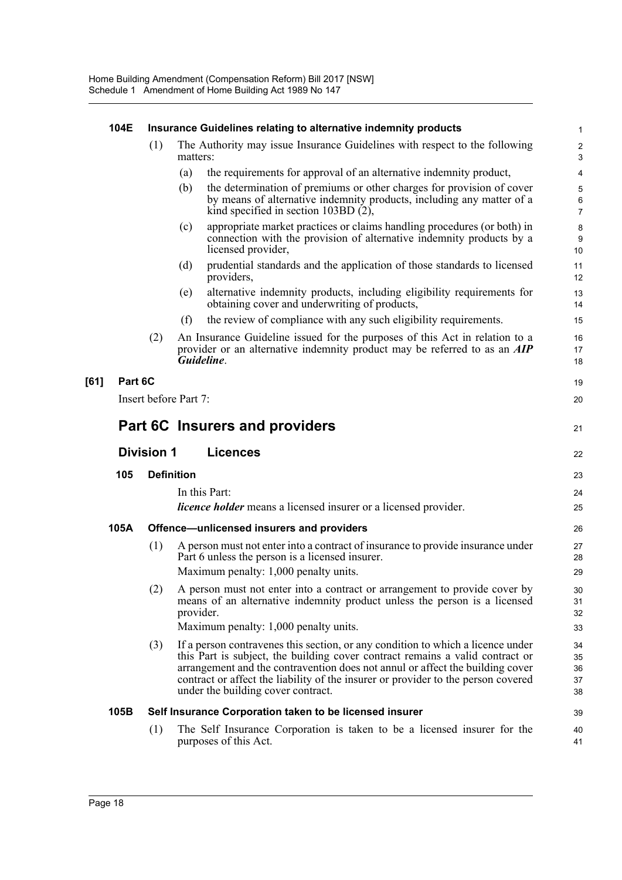|      | 104E                                 |     | Insurance Guidelines relating to alternative indemnity products                                                                                                                                                                                                                                                                                                              | 1                              |
|------|--------------------------------------|-----|------------------------------------------------------------------------------------------------------------------------------------------------------------------------------------------------------------------------------------------------------------------------------------------------------------------------------------------------------------------------------|--------------------------------|
|      |                                      | (1) | The Authority may issue Insurance Guidelines with respect to the following<br>matters:                                                                                                                                                                                                                                                                                       | $\overline{\mathbf{c}}$<br>3   |
|      |                                      |     | the requirements for approval of an alternative indemnity product,<br>(a)                                                                                                                                                                                                                                                                                                    | 4                              |
|      |                                      |     | the determination of premiums or other charges for provision of cover<br>(b)<br>by means of alternative indemnity products, including any matter of a<br>kind specified in section 103BD $(2)$ ,                                                                                                                                                                             | 5<br>$\,6\,$<br>$\overline{7}$ |
|      |                                      |     | appropriate market practices or claims handling procedures (or both) in<br>(c)<br>connection with the provision of alternative indemnity products by a<br>licensed provider,                                                                                                                                                                                                 | 8<br>9<br>10                   |
|      |                                      |     | prudential standards and the application of those standards to licensed<br>(d)<br>providers,                                                                                                                                                                                                                                                                                 | 11<br>12                       |
|      |                                      |     | alternative indemnity products, including eligibility requirements for<br>(e)<br>obtaining cover and underwriting of products,                                                                                                                                                                                                                                               | 13<br>14                       |
|      |                                      |     | the review of compliance with any such eligibility requirements.<br>(f)                                                                                                                                                                                                                                                                                                      | 15                             |
|      |                                      | (2) | An Insurance Guideline issued for the purposes of this Act in relation to a<br>provider or an alternative indemnity product may be referred to as an <b>AIP</b><br>Guideline.                                                                                                                                                                                                | 16<br>17<br>18                 |
| [61] | Part 6C                              |     |                                                                                                                                                                                                                                                                                                                                                                              | 19                             |
|      |                                      |     | Insert before Part 7:                                                                                                                                                                                                                                                                                                                                                        | 20                             |
|      |                                      |     | Part 6C Insurers and providers                                                                                                                                                                                                                                                                                                                                               | 21                             |
|      | <b>Division 1</b><br><b>Licences</b> |     |                                                                                                                                                                                                                                                                                                                                                                              |                                |
|      | 105                                  |     | <b>Definition</b>                                                                                                                                                                                                                                                                                                                                                            | 23                             |
|      |                                      |     | In this Part:                                                                                                                                                                                                                                                                                                                                                                | 24                             |
|      |                                      |     | <i>licence holder</i> means a licensed insurer or a licensed provider.                                                                                                                                                                                                                                                                                                       | 25                             |
|      | 105A                                 |     | Offence-unlicensed insurers and providers                                                                                                                                                                                                                                                                                                                                    | 26                             |
|      |                                      | (1) | A person must not enter into a contract of insurance to provide insurance under<br>Part 6 unless the person is a licensed insurer.                                                                                                                                                                                                                                           | 27<br>28                       |
|      |                                      |     | Maximum penalty: 1,000 penalty units.                                                                                                                                                                                                                                                                                                                                        | 29                             |
|      |                                      | (2) | A person must not enter into a contract or arrangement to provide cover by<br>means of an alternative indemnity product unless the person is a licensed<br>provider.                                                                                                                                                                                                         | 30<br>31<br>32                 |
|      |                                      |     | Maximum penalty: 1,000 penalty units.                                                                                                                                                                                                                                                                                                                                        | 33                             |
|      |                                      | (3) | If a person contravenes this section, or any condition to which a licence under<br>this Part is subject, the building cover contract remains a valid contract or<br>arrangement and the contravention does not annul or affect the building cover<br>contract or affect the liability of the insurer or provider to the person covered<br>under the building cover contract. | 34<br>35<br>36<br>37<br>38     |
|      | 105B                                 |     | Self Insurance Corporation taken to be licensed insurer                                                                                                                                                                                                                                                                                                                      | 39                             |
|      |                                      | (1) | The Self Insurance Corporation is taken to be a licensed insurer for the<br>purposes of this Act.                                                                                                                                                                                                                                                                            | 40<br>41                       |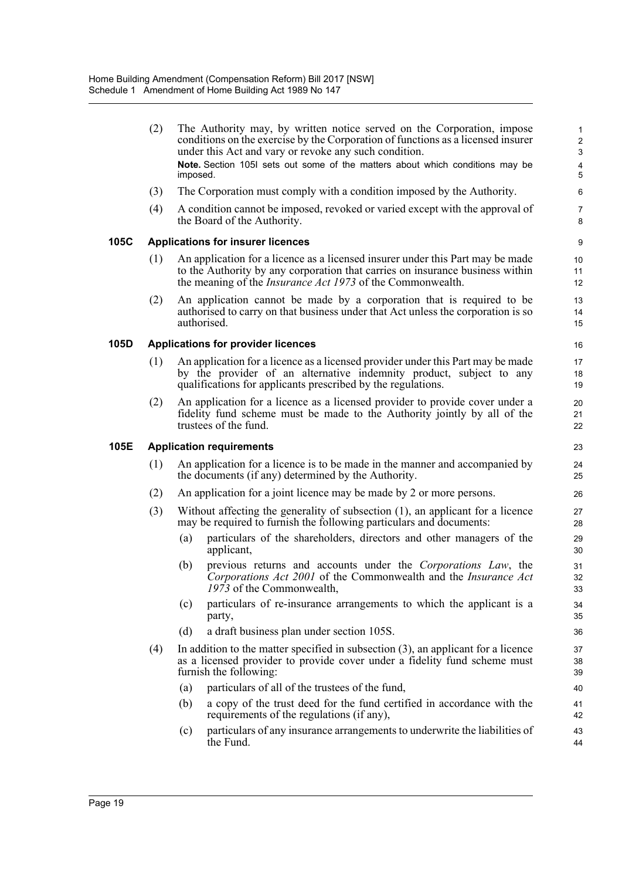(2) The Authority may, by written notice served on the Corporation, impose conditions on the exercise by the Corporation of functions as a licensed insurer under this Act and vary or revoke any such condition. **Note.** Section 105I sets out some of the matters about which conditions may be imposed. (3) The Corporation must comply with a condition imposed by the Authority. (4) A condition cannot be imposed, revoked or varied except with the approval of the Board of the Authority. **105C Applications for insurer licences** (1) An application for a licence as a licensed insurer under this Part may be made to the Authority by any corporation that carries on insurance business within the meaning of the *Insurance Act 1973* of the Commonwealth. (2) An application cannot be made by a corporation that is required to be authorised to carry on that business under that Act unless the corporation is so authorised. **105D Applications for provider licences** (1) An application for a licence as a licensed provider under this Part may be made by the provider of an alternative indemnity product, subject to any qualifications for applicants prescribed by the regulations. (2) An application for a licence as a licensed provider to provide cover under a fidelity fund scheme must be made to the Authority jointly by all of the trustees of the fund. **105E Application requirements** (1) An application for a licence is to be made in the manner and accompanied by the documents (if any) determined by the Authority. (2) An application for a joint licence may be made by 2 or more persons. (3) Without affecting the generality of subsection (1), an applicant for a licence may be required to furnish the following particulars and documents: (a) particulars of the shareholders, directors and other managers of the applicant, (b) previous returns and accounts under the *Corporations Law*, the *Corporations Act 2001* of the Commonwealth and the *Insurance Act 1973* of the Commonwealth, (c) particulars of re-insurance arrangements to which the applicant is a party, (d) a draft business plan under section 105S. (4) In addition to the matter specified in subsection (3), an applicant for a licence as a licensed provider to provide cover under a fidelity fund scheme must furnish the following: (a) particulars of all of the trustees of the fund, (b) a copy of the trust deed for the fund certified in accordance with the requirements of the regulations (if any), (c) particulars of any insurance arrangements to underwrite the liabilities of the Fund. 1 2 3 4 5 6 7 8 9 10 11 12 13 14 15 16 17 18 19  $20$ 21 22 23 24 25 26 27 28 29 30 31 32 33 34 35 36 37 38 39 40 41 42 43 44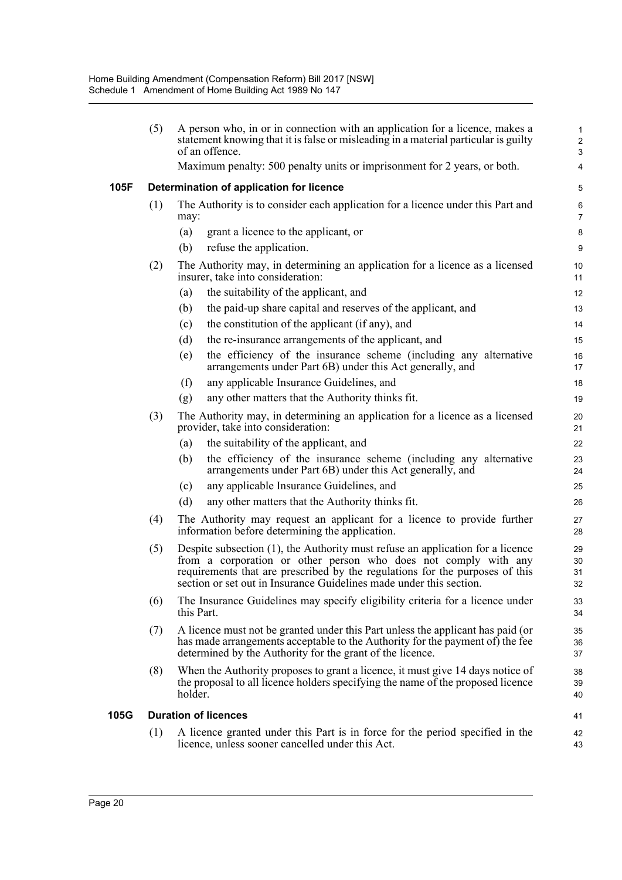|      |                                          | statement knowing that it is false or misleading in a material particular is guilty<br>of an offence.                                                                                                                                                                                                    | $\mathbf{1}$<br>$\overline{2}$<br>3 |  |  |  |  |
|------|------------------------------------------|----------------------------------------------------------------------------------------------------------------------------------------------------------------------------------------------------------------------------------------------------------------------------------------------------------|-------------------------------------|--|--|--|--|
|      |                                          | Maximum penalty: 500 penalty units or imprisonment for 2 years, or both.                                                                                                                                                                                                                                 | 4                                   |  |  |  |  |
| 105F | Determination of application for licence |                                                                                                                                                                                                                                                                                                          |                                     |  |  |  |  |
|      | (1)                                      | The Authority is to consider each application for a licence under this Part and<br>may:                                                                                                                                                                                                                  | 6<br>$\overline{7}$                 |  |  |  |  |
|      |                                          | grant a licence to the applicant, or<br>(a)                                                                                                                                                                                                                                                              | 8                                   |  |  |  |  |
|      |                                          | (b)<br>refuse the application.                                                                                                                                                                                                                                                                           | 9                                   |  |  |  |  |
|      | (2)                                      | The Authority may, in determining an application for a licence as a licensed<br>insurer, take into consideration:                                                                                                                                                                                        | 10<br>11                            |  |  |  |  |
|      |                                          | the suitability of the applicant, and<br>(a)                                                                                                                                                                                                                                                             | 12                                  |  |  |  |  |
|      |                                          | the paid-up share capital and reserves of the applicant, and<br>(b)                                                                                                                                                                                                                                      | 13                                  |  |  |  |  |
|      |                                          | the constitution of the applicant (if any), and<br>(c)                                                                                                                                                                                                                                                   | 14                                  |  |  |  |  |
|      |                                          | (d)<br>the re-insurance arrangements of the applicant, and                                                                                                                                                                                                                                               | 15                                  |  |  |  |  |
|      |                                          | the efficiency of the insurance scheme (including any alternative<br>(e)<br>arrangements under Part 6B) under this Act generally, and                                                                                                                                                                    | 16<br>17                            |  |  |  |  |
|      |                                          | (f)<br>any applicable Insurance Guidelines, and                                                                                                                                                                                                                                                          | 18                                  |  |  |  |  |
|      |                                          | any other matters that the Authority thinks fit.<br>(g)                                                                                                                                                                                                                                                  | 19                                  |  |  |  |  |
|      | (3)                                      | The Authority may, in determining an application for a licence as a licensed<br>provider, take into consideration:                                                                                                                                                                                       | 20<br>21                            |  |  |  |  |
|      |                                          | the suitability of the applicant, and<br>(a)                                                                                                                                                                                                                                                             | 22                                  |  |  |  |  |
|      |                                          | the efficiency of the insurance scheme (including any alternative<br>(b)<br>arrangements under Part 6B) under this Act generally, and                                                                                                                                                                    | 23<br>24                            |  |  |  |  |
|      |                                          | any applicable Insurance Guidelines, and<br>(c)                                                                                                                                                                                                                                                          | 25                                  |  |  |  |  |
|      |                                          | (d)<br>any other matters that the Authority thinks fit.                                                                                                                                                                                                                                                  | 26                                  |  |  |  |  |
|      | (4)                                      | The Authority may request an applicant for a licence to provide further<br>information before determining the application.                                                                                                                                                                               | 27<br>28                            |  |  |  |  |
|      | (5)                                      | Despite subsection (1), the Authority must refuse an application for a licence<br>from a corporation or other person who does not comply with any<br>requirements that are prescribed by the regulations for the purposes of this<br>section or set out in Insurance Guidelines made under this section. | 29<br>30<br>31<br>32                |  |  |  |  |
|      | (6)                                      | The Insurance Guidelines may specify eligibility criteria for a licence under<br>this Part.                                                                                                                                                                                                              | 33<br>34                            |  |  |  |  |
|      | (7)                                      | A licence must not be granted under this Part unless the applicant has paid (or<br>has made arrangements acceptable to the Authority for the payment of) the fee<br>determined by the Authority for the grant of the licence.                                                                            | 35<br>36<br>37                      |  |  |  |  |
|      | (8)                                      | When the Authority proposes to grant a licence, it must give 14 days notice of<br>the proposal to all licence holders specifying the name of the proposed licence<br>holder.                                                                                                                             | 38<br>39<br>40                      |  |  |  |  |
| 105G |                                          | <b>Duration of licences</b>                                                                                                                                                                                                                                                                              | 41                                  |  |  |  |  |
|      | (1)                                      | A licence granted under this Part is in force for the period specified in the<br>licence, unless sooner cancelled under this Act.                                                                                                                                                                        | 42<br>43                            |  |  |  |  |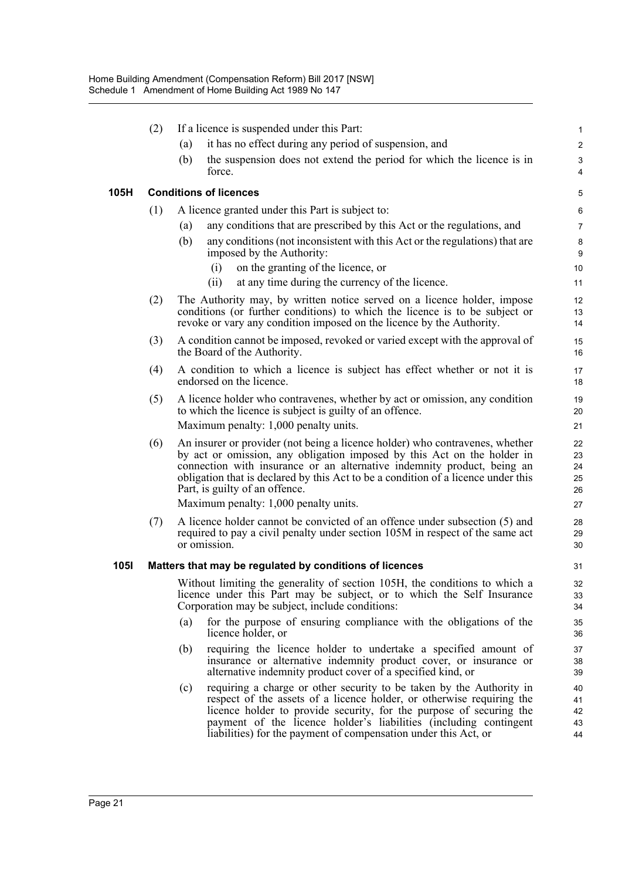|             | (2) | If a licence is suspended under this Part:                                                                                                                                                                                                                                                                                                                          | 1                            |
|-------------|-----|---------------------------------------------------------------------------------------------------------------------------------------------------------------------------------------------------------------------------------------------------------------------------------------------------------------------------------------------------------------------|------------------------------|
|             |     | it has no effect during any period of suspension, and<br>(a)                                                                                                                                                                                                                                                                                                        | $\overline{c}$               |
|             |     | the suspension does not extend the period for which the licence is in<br>(b)<br>force.                                                                                                                                                                                                                                                                              | 3<br>$\overline{\mathbf{4}}$ |
| 105H        |     | <b>Conditions of licences</b>                                                                                                                                                                                                                                                                                                                                       | 5                            |
|             | (1) | A licence granted under this Part is subject to:                                                                                                                                                                                                                                                                                                                    | 6                            |
|             |     | any conditions that are prescribed by this Act or the regulations, and<br>(a)                                                                                                                                                                                                                                                                                       | $\overline{7}$               |
|             |     | any conditions (not inconsistent with this Act or the regulations) that are<br>(b)<br>imposed by the Authority:                                                                                                                                                                                                                                                     | $\bf 8$<br>$9\,$             |
|             |     | on the granting of the licence, or<br>(i)<br>at any time during the currency of the licence.<br>(ii)                                                                                                                                                                                                                                                                | 10<br>11                     |
|             | (2) | The Authority may, by written notice served on a licence holder, impose<br>conditions (or further conditions) to which the licence is to be subject or<br>revoke or vary any condition imposed on the licence by the Authority.                                                                                                                                     | 12<br>13<br>14               |
|             | (3) | A condition cannot be imposed, revoked or varied except with the approval of<br>the Board of the Authority.                                                                                                                                                                                                                                                         | 15<br>16                     |
|             | (4) | A condition to which a licence is subject has effect whether or not it is<br>endorsed on the licence.                                                                                                                                                                                                                                                               | 17<br>18                     |
|             | (5) | A licence holder who contravenes, whether by act or omission, any condition<br>to which the licence is subject is guilty of an offence.<br>Maximum penalty: 1,000 penalty units.                                                                                                                                                                                    | 19<br>20<br>21               |
|             | (6) | An insurer or provider (not being a licence holder) who contravenes, whether<br>by act or omission, any obligation imposed by this Act on the holder in<br>connection with insurance or an alternative indemnity product, being an<br>obligation that is declared by this Act to be a condition of a licence under this<br>Part, is guilty of an offence.           | 22<br>23<br>24<br>25<br>26   |
|             |     | Maximum penalty: 1,000 penalty units.                                                                                                                                                                                                                                                                                                                               | 27                           |
|             | (7) | A licence holder cannot be convicted of an offence under subsection (5) and<br>required to pay a civil penalty under section 105M in respect of the same act<br>or omission.                                                                                                                                                                                        | 28<br>29<br>30               |
| <b>1051</b> |     | Matters that may be regulated by conditions of licences                                                                                                                                                                                                                                                                                                             | 31                           |
|             |     | Without limiting the generality of section 105H, the conditions to which a<br>licence under this Part may be subject, or to which the Self Insurance<br>Corporation may be subject, include conditions:                                                                                                                                                             | 32<br>33<br>34               |
|             |     | for the purpose of ensuring compliance with the obligations of the<br>(a)<br>licence holder, or                                                                                                                                                                                                                                                                     | 35<br>36                     |
|             |     | requiring the licence holder to undertake a specified amount of<br>(b)<br>insurance or alternative indemnity product cover, or insurance or<br>alternative indemnity product cover of a specified kind, or                                                                                                                                                          | 37<br>38<br>39               |
|             |     | requiring a charge or other security to be taken by the Authority in<br>(c)<br>respect of the assets of a licence holder, or otherwise requiring the<br>licence holder to provide security, for the purpose of securing the<br>payment of the licence holder's liabilities (including contingent<br>liabilities) for the payment of compensation under this Act, or | 40<br>41<br>42<br>43<br>44   |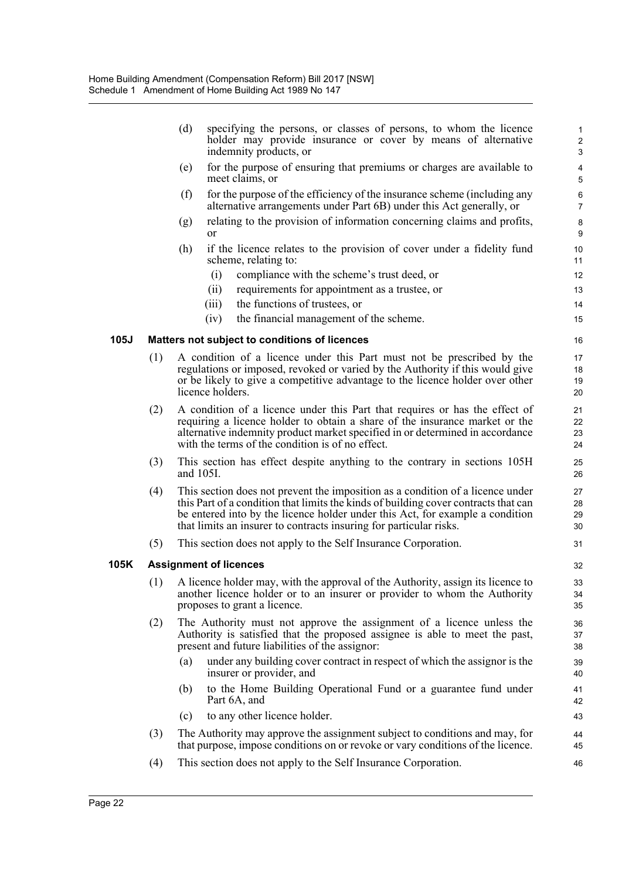|      |     | (d)<br>specifying the persons, or classes of persons, to whom the licence<br>holder may provide insurance or cover by means of alternative<br>indemnity products, or                                                                                                                                                         | $\mathbf{1}$<br>$\boldsymbol{2}$<br>3 |
|------|-----|------------------------------------------------------------------------------------------------------------------------------------------------------------------------------------------------------------------------------------------------------------------------------------------------------------------------------|---------------------------------------|
|      |     | for the purpose of ensuring that premiums or charges are available to<br>(e)<br>meet claims, or                                                                                                                                                                                                                              | $\overline{\mathbf{4}}$<br>5          |
|      |     | (f)<br>for the purpose of the efficiency of the insurance scheme (including any<br>alternative arrangements under Part 6B) under this Act generally, or                                                                                                                                                                      | 6<br>$\overline{7}$                   |
|      |     | relating to the provision of information concerning claims and profits,<br>(g)<br>$\alpha$                                                                                                                                                                                                                                   | 8<br>9                                |
|      |     | (h)<br>if the licence relates to the provision of cover under a fidelity fund<br>scheme, relating to:                                                                                                                                                                                                                        | 10<br>11                              |
|      |     | (i)<br>compliance with the scheme's trust deed, or                                                                                                                                                                                                                                                                           | 12                                    |
|      |     | (ii)<br>requirements for appointment as a trustee, or                                                                                                                                                                                                                                                                        | 13                                    |
|      |     | the functions of trustees, or<br>(iii)                                                                                                                                                                                                                                                                                       | 14                                    |
|      |     | (iv)<br>the financial management of the scheme.                                                                                                                                                                                                                                                                              | 15                                    |
| 105J |     | Matters not subject to conditions of licences                                                                                                                                                                                                                                                                                | 16                                    |
|      | (1) | A condition of a licence under this Part must not be prescribed by the<br>regulations or imposed, revoked or varied by the Authority if this would give<br>or be likely to give a competitive advantage to the licence holder over other<br>licence holders.                                                                 | 17<br>18<br>19<br>20                  |
|      | (2) | A condition of a licence under this Part that requires or has the effect of<br>requiring a licence holder to obtain a share of the insurance market or the<br>alternative indemnity product market specified in or determined in accordance<br>with the terms of the condition is of no effect.                              | 21<br>22<br>23<br>24                  |
|      | (3) | This section has effect despite anything to the contrary in sections 105H<br>and 105I.                                                                                                                                                                                                                                       | 25<br>26                              |
|      | (4) | This section does not prevent the imposition as a condition of a licence under<br>this Part of a condition that limits the kinds of building cover contracts that can<br>be entered into by the licence holder under this Act, for example a condition<br>that limits an insurer to contracts insuring for particular risks. | 27<br>28<br>29<br>30                  |
|      | (5) | This section does not apply to the Self Insurance Corporation.                                                                                                                                                                                                                                                               | 31                                    |
| 105K |     | <b>Assignment of licences</b>                                                                                                                                                                                                                                                                                                | 32                                    |
|      |     | (1) A licence holder may, with the approval of the Authority, assign its licence to<br>another licence holder or to an insurer or provider to whom the Authority<br>proposes to grant a licence.                                                                                                                             | 33<br>34<br>35                        |
|      | (2) | The Authority must not approve the assignment of a licence unless the<br>Authority is satisfied that the proposed assignee is able to meet the past,<br>present and future liabilities of the assignor:                                                                                                                      | 36<br>37<br>38                        |
|      |     | under any building cover contract in respect of which the assignor is the<br>(a)<br>insurer or provider, and                                                                                                                                                                                                                 | 39<br>40                              |
|      |     | to the Home Building Operational Fund or a guarantee fund under<br>(b)<br>Part 6A, and                                                                                                                                                                                                                                       | 41<br>42                              |
|      |     | to any other licence holder.<br>(c)                                                                                                                                                                                                                                                                                          | 43                                    |
|      | (3) | The Authority may approve the assignment subject to conditions and may, for<br>that purpose, impose conditions on or revoke or vary conditions of the licence.                                                                                                                                                               | 44<br>45                              |
|      | (4) | This section does not apply to the Self Insurance Corporation.                                                                                                                                                                                                                                                               | 46                                    |

**105K**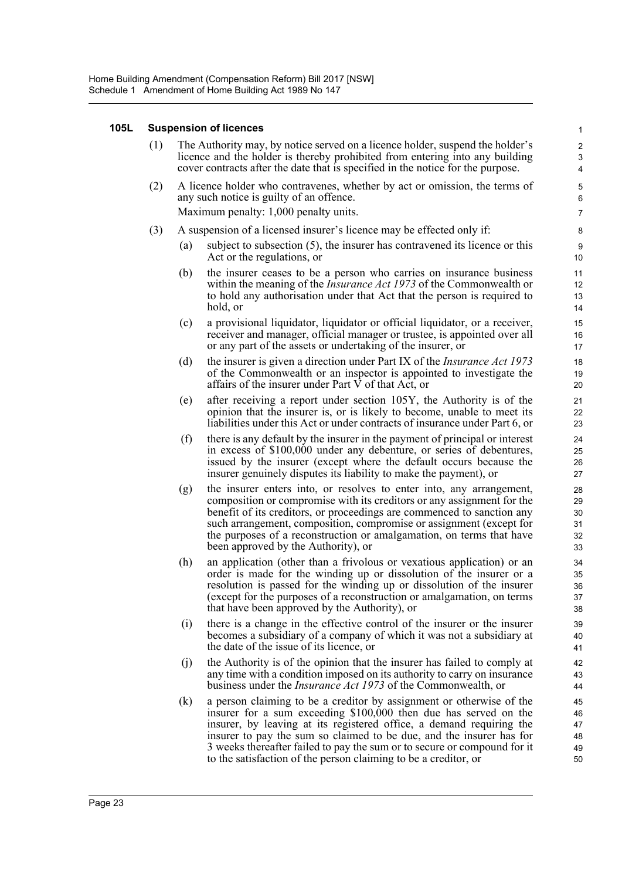## **105L Suspension of licences**

| (1) | The Authority may, by notice served on a licence holder, suspend the holder's<br>licence and the holder is thereby prohibited from entering into any building<br>cover contracts after the date that is specified in the notice for the purpose. |                                                                                                                                                                                                                                                                                                                                                                                                                                         |                                  |  |  |  |  |
|-----|--------------------------------------------------------------------------------------------------------------------------------------------------------------------------------------------------------------------------------------------------|-----------------------------------------------------------------------------------------------------------------------------------------------------------------------------------------------------------------------------------------------------------------------------------------------------------------------------------------------------------------------------------------------------------------------------------------|----------------------------------|--|--|--|--|
| (2) | A licence holder who contravenes, whether by act or omission, the terms of<br>any such notice is guilty of an offence.<br>Maximum penalty: 1,000 penalty units.                                                                                  |                                                                                                                                                                                                                                                                                                                                                                                                                                         |                                  |  |  |  |  |
|     |                                                                                                                                                                                                                                                  | A suspension of a licensed insurer's licence may be effected only if:                                                                                                                                                                                                                                                                                                                                                                   | $\overline{7}$                   |  |  |  |  |
| (3) |                                                                                                                                                                                                                                                  | subject to subsection (5), the insurer has contravened its licence or this                                                                                                                                                                                                                                                                                                                                                              | 8<br>9                           |  |  |  |  |
|     | (a)                                                                                                                                                                                                                                              | Act or the regulations, or                                                                                                                                                                                                                                                                                                                                                                                                              | 10                               |  |  |  |  |
|     | (b)                                                                                                                                                                                                                                              | the insurer ceases to be a person who carries on insurance business<br>within the meaning of the <i>Insurance Act 1973</i> of the Commonwealth or<br>to hold any authorisation under that Act that the person is required to<br>hold, or                                                                                                                                                                                                | 11<br>12<br>13<br>14             |  |  |  |  |
|     | (c)                                                                                                                                                                                                                                              | a provisional liquidator, liquidator or official liquidator, or a receiver,<br>receiver and manager, official manager or trustee, is appointed over all<br>or any part of the assets or undertaking of the insurer, or                                                                                                                                                                                                                  | 15<br>16<br>17                   |  |  |  |  |
|     | (d)                                                                                                                                                                                                                                              | the insurer is given a direction under Part IX of the <i>Insurance Act 1973</i><br>of the Commonwealth or an inspector is appointed to investigate the<br>affairs of the insurer under Part V of that Act, or                                                                                                                                                                                                                           | 18<br>19<br>20                   |  |  |  |  |
|     | (e)                                                                                                                                                                                                                                              | after receiving a report under section 105Y, the Authority is of the<br>opinion that the insurer is, or is likely to become, unable to meet its<br>liabilities under this Act or under contracts of insurance under Part 6, or                                                                                                                                                                                                          | 21<br>22<br>23                   |  |  |  |  |
|     | (f)                                                                                                                                                                                                                                              | there is any default by the insurer in the payment of principal or interest<br>in excess of \$100,000 under any debenture, or series of debentures,<br>issued by the insurer (except where the default occurs because the<br>insurer genuinely disputes its liability to make the payment), or                                                                                                                                          | 24<br>25<br>26<br>27             |  |  |  |  |
|     | (g)                                                                                                                                                                                                                                              | the insurer enters into, or resolves to enter into, any arrangement,<br>composition or compromise with its creditors or any assignment for the<br>benefit of its creditors, or proceedings are commenced to sanction any<br>such arrangement, composition, compromise or assignment (except for<br>the purposes of a reconstruction or amalgamation, on terms that have<br>been approved by the Authority), or                          | 28<br>29<br>30<br>31<br>32<br>33 |  |  |  |  |
|     | (h)                                                                                                                                                                                                                                              | an application (other than a frivolous or vexatious application) or an<br>order is made for the winding up or dissolution of the insurer or a<br>resolution is passed for the winding up or dissolution of the insurer<br>(except for the purposes of a reconstruction or amalgamation, on terms<br>that have been approved by the Authority), or                                                                                       | 34<br>35<br>36<br>37<br>38       |  |  |  |  |
|     | (i)                                                                                                                                                                                                                                              | there is a change in the effective control of the insurer or the insurer<br>becomes a subsidiary of a company of which it was not a subsidiary at<br>the date of the issue of its licence, or                                                                                                                                                                                                                                           | 39<br>40<br>41                   |  |  |  |  |
|     | (j)                                                                                                                                                                                                                                              | the Authority is of the opinion that the insurer has failed to comply at<br>any time with a condition imposed on its authority to carry on insurance<br>business under the <i>Insurance Act 1973</i> of the Commonwealth, or                                                                                                                                                                                                            | 42<br>43<br>44                   |  |  |  |  |
|     | (k)                                                                                                                                                                                                                                              | a person claiming to be a creditor by assignment or otherwise of the<br>insurer for a sum exceeding \$100,000 then due has served on the<br>insurer, by leaving at its registered office, a demand requiring the<br>insurer to pay the sum so claimed to be due, and the insurer has for<br>3 weeks thereafter failed to pay the sum or to secure or compound for it<br>to the satisfaction of the person claiming to be a creditor, or | 45<br>46<br>47<br>48<br>49<br>50 |  |  |  |  |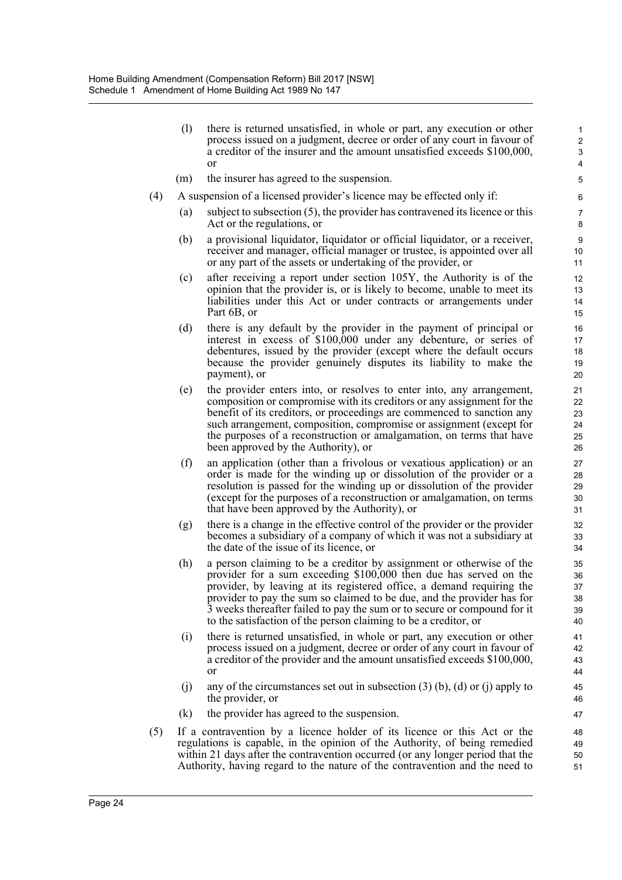(l) there is returned unsatisfied, in whole or part, any execution or other process issued on a judgment, decree or order of any court in favour of a creditor of the insurer and the amount unsatisfied exceeds \$100,000, or

- (m) the insurer has agreed to the suspension.
- (4) A suspension of a licensed provider's licence may be effected only if:
	- (a) subject to subsection (5), the provider has contravened its licence or this Act or the regulations, or
	- (b) a provisional liquidator, liquidator or official liquidator, or a receiver, receiver and manager, official manager or trustee, is appointed over all or any part of the assets or undertaking of the provider, or
	- (c) after receiving a report under section 105Y, the Authority is of the opinion that the provider is, or is likely to become, unable to meet its liabilities under this Act or under contracts or arrangements under Part 6B, or
	- (d) there is any default by the provider in the payment of principal or interest in excess of \$100,000 under any debenture, or series of debentures, issued by the provider (except where the default occurs because the provider genuinely disputes its liability to make the payment), or
	- (e) the provider enters into, or resolves to enter into, any arrangement, composition or compromise with its creditors or any assignment for the benefit of its creditors, or proceedings are commenced to sanction any such arrangement, composition, compromise or assignment (except for the purposes of a reconstruction or amalgamation, on terms that have been approved by the Authority), or
	- (f) an application (other than a frivolous or vexatious application) or an order is made for the winding up or dissolution of the provider or a resolution is passed for the winding up or dissolution of the provider (except for the purposes of a reconstruction or amalgamation, on terms that have been approved by the Authority), or
	- (g) there is a change in the effective control of the provider or the provider becomes a subsidiary of a company of which it was not a subsidiary at the date of the issue of its licence, or
	- (h) a person claiming to be a creditor by assignment or otherwise of the provider for a sum exceeding \$100,000 then due has served on the provider, by leaving at its registered office, a demand requiring the provider to pay the sum so claimed to be due, and the provider has for 3 weeks thereafter failed to pay the sum or to secure or compound for it to the satisfaction of the person claiming to be a creditor, or
	- (i) there is returned unsatisfied, in whole or part, any execution or other process issued on a judgment, decree or order of any court in favour of a creditor of the provider and the amount unsatisfied exceeds \$100,000, or
	- (i) any of the circumstances set out in subsection  $(3)$  (b), (d) or (j) apply to the provider, or
	- (k) the provider has agreed to the suspension.
- (5) If a contravention by a licence holder of its licence or this Act or the regulations is capable, in the opinion of the Authority, of being remedied within 21 days after the contravention occurred (or any longer period that the Authority, having regard to the nature of the contravention and the need to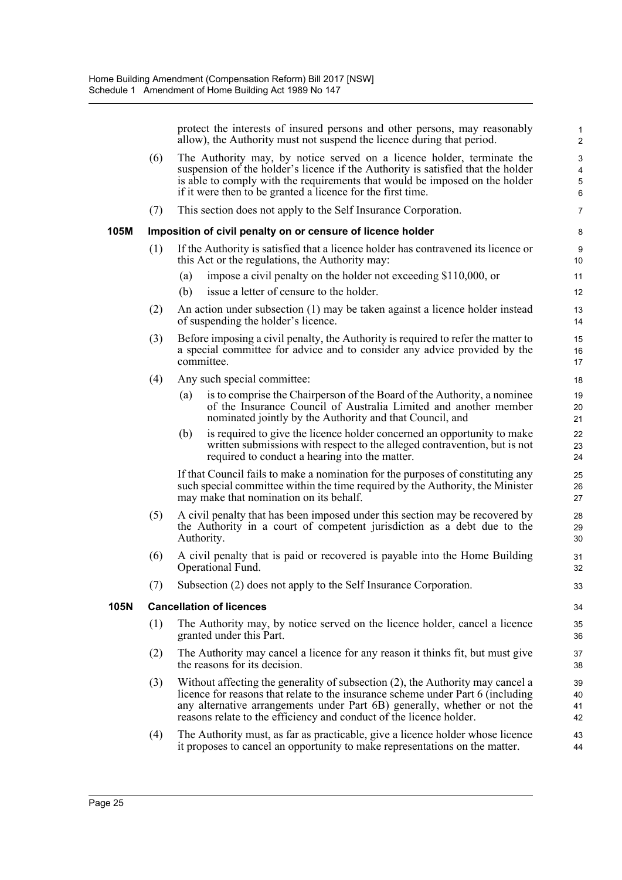protect the interests of insured persons and other persons, may reasonably allow), the Authority must not suspend the licence during that period.

|      |     | allow), the Authority must not suspend the licence during that period.                                                                                                                                                                                                                                                | 2                                                                           |
|------|-----|-----------------------------------------------------------------------------------------------------------------------------------------------------------------------------------------------------------------------------------------------------------------------------------------------------------------------|-----------------------------------------------------------------------------|
|      | (6) | The Authority may, by notice served on a licence holder, terminate the<br>suspension of the holder's licence if the Authority is satisfied that the holder<br>is able to comply with the requirements that would be imposed on the holder<br>if it were then to be granted a licence for the first time.              | $\ensuremath{\mathsf{3}}$<br>$\overline{\mathbf{4}}$<br>$\overline{5}$<br>6 |
|      | (7) | This section does not apply to the Self Insurance Corporation.                                                                                                                                                                                                                                                        | $\overline{7}$                                                              |
| 105M |     | Imposition of civil penalty on or censure of licence holder                                                                                                                                                                                                                                                           | 8                                                                           |
|      | (1) | If the Authority is satisfied that a licence holder has contravened its licence or<br>this Act or the regulations, the Authority may:                                                                                                                                                                                 | 9<br>10                                                                     |
|      |     | impose a civil penalty on the holder not exceeding \$110,000, or<br>(a)                                                                                                                                                                                                                                               | 11                                                                          |
|      |     | issue a letter of censure to the holder.<br>(b)                                                                                                                                                                                                                                                                       | 12                                                                          |
|      | (2) | An action under subsection (1) may be taken against a licence holder instead<br>of suspending the holder's licence.                                                                                                                                                                                                   | 13<br>14                                                                    |
|      | (3) | Before imposing a civil penalty, the Authority is required to refer the matter to<br>a special committee for advice and to consider any advice provided by the<br>committee.                                                                                                                                          | 15<br>16<br>17                                                              |
|      | (4) | Any such special committee:                                                                                                                                                                                                                                                                                           | 18                                                                          |
|      |     | is to comprise the Chairperson of the Board of the Authority, a nominee<br>(a)<br>of the Insurance Council of Australia Limited and another member<br>nominated jointly by the Authority and that Council, and                                                                                                        | 19<br>20<br>21                                                              |
|      |     | is required to give the licence holder concerned an opportunity to make<br>(b)<br>written submissions with respect to the alleged contravention, but is not<br>required to conduct a hearing into the matter.                                                                                                         | 22<br>23<br>24                                                              |
|      |     | If that Council fails to make a nomination for the purposes of constituting any<br>such special committee within the time required by the Authority, the Minister<br>may make that nomination on its behalf.                                                                                                          | 25<br>26<br>27                                                              |
|      | (5) | A civil penalty that has been imposed under this section may be recovered by<br>the Authority in a court of competent jurisdiction as a debt due to the<br>Authority.                                                                                                                                                 | 28<br>29<br>30                                                              |
|      | (6) | A civil penalty that is paid or recovered is payable into the Home Building<br>Operational Fund.                                                                                                                                                                                                                      | 31<br>32                                                                    |
|      | (7) | Subsection (2) does not apply to the Self Insurance Corporation.                                                                                                                                                                                                                                                      | 33                                                                          |
| 105N |     | <b>Cancellation of licences</b>                                                                                                                                                                                                                                                                                       | 34                                                                          |
|      | (1) | The Authority may, by notice served on the licence holder, cancel a licence<br>granted under this Part.                                                                                                                                                                                                               | 35<br>36                                                                    |
|      | (2) | The Authority may cancel a licence for any reason it thinks fit, but must give<br>the reasons for its decision.                                                                                                                                                                                                       | 37<br>38                                                                    |
|      | (3) | Without affecting the generality of subsection (2), the Authority may cancel a<br>licence for reasons that relate to the insurance scheme under Part 6 (including<br>any alternative arrangements under Part 6B) generally, whether or not the<br>reasons relate to the efficiency and conduct of the licence holder. | 39<br>40<br>41<br>42                                                        |
|      | (4) | The Authority must, as far as practicable, give a licence holder whose licence<br>it proposes to cancel an opportunity to make representations on the matter.                                                                                                                                                         | 43<br>44                                                                    |
|      |     |                                                                                                                                                                                                                                                                                                                       |                                                                             |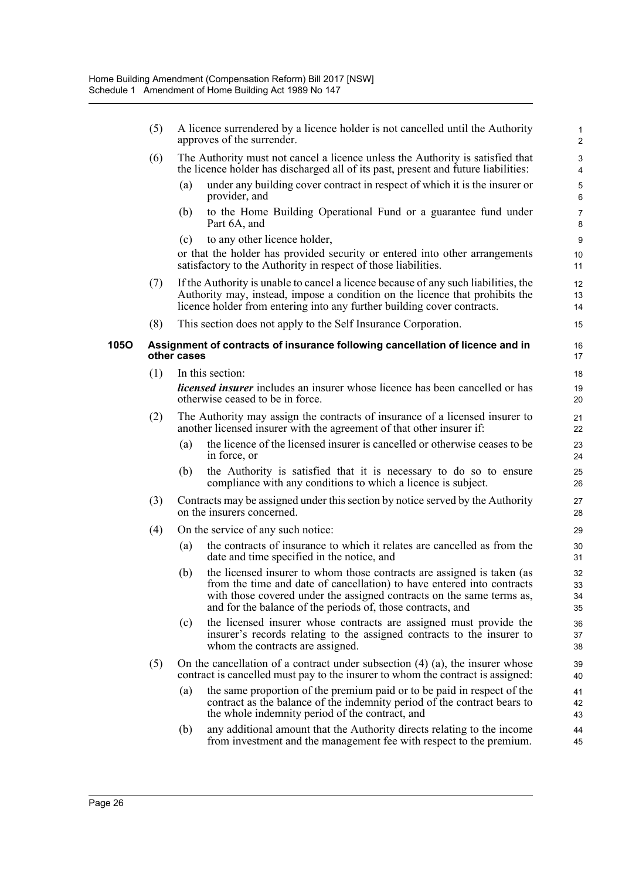|             | (5) |             | A licence surrendered by a licence holder is not cancelled until the Authority<br>approves of the surrender.                                                                                                                                                                             | 1<br>$\overline{c}$  |
|-------------|-----|-------------|------------------------------------------------------------------------------------------------------------------------------------------------------------------------------------------------------------------------------------------------------------------------------------------|----------------------|
|             | (6) |             | The Authority must not cancel a licence unless the Authority is satisfied that<br>the licence holder has discharged all of its past, present and future liabilities:                                                                                                                     | $\mathsf 3$<br>4     |
|             |     | (a)         | under any building cover contract in respect of which it is the insurer or<br>provider, and                                                                                                                                                                                              | 5<br>6               |
|             |     | (b)         | to the Home Building Operational Fund or a guarantee fund under<br>Part 6A, and                                                                                                                                                                                                          | $\overline{7}$<br>8  |
|             |     | (c)         | to any other licence holder,                                                                                                                                                                                                                                                             | $\boldsymbol{9}$     |
|             |     |             | or that the holder has provided security or entered into other arrangements<br>satisfactory to the Authority in respect of those liabilities.                                                                                                                                            | 10<br>11             |
|             | (7) |             | If the Authority is unable to cancel a licence because of any such liabilities, the<br>Authority may, instead, impose a condition on the licence that prohibits the<br>licence holder from entering into any further building cover contracts.                                           | 12<br>13<br>14       |
|             | (8) |             | This section does not apply to the Self Insurance Corporation.                                                                                                                                                                                                                           | 15                   |
| <b>105O</b> |     | other cases | Assignment of contracts of insurance following cancellation of licence and in                                                                                                                                                                                                            | 16<br>17             |
|             | (1) |             | In this section:                                                                                                                                                                                                                                                                         | 18                   |
|             |     |             | <i>licensed insurer</i> includes an insurer whose licence has been cancelled or has<br>otherwise ceased to be in force.                                                                                                                                                                  | 19<br>20             |
|             | (2) |             | The Authority may assign the contracts of insurance of a licensed insurer to<br>another licensed insurer with the agreement of that other insurer if:                                                                                                                                    | 21<br>22             |
|             |     | (a)         | the licence of the licensed insurer is cancelled or otherwise ceases to be<br>in force, or                                                                                                                                                                                               | 23<br>24             |
|             |     | (b)         | the Authority is satisfied that it is necessary to do so to ensure<br>compliance with any conditions to which a licence is subject.                                                                                                                                                      | 25<br>26             |
|             | (3) |             | Contracts may be assigned under this section by notice served by the Authority<br>on the insurers concerned.                                                                                                                                                                             | 27<br>28             |
|             | (4) |             | On the service of any such notice:                                                                                                                                                                                                                                                       | 29                   |
|             |     | (a)         | the contracts of insurance to which it relates are cancelled as from the<br>date and time specified in the notice, and                                                                                                                                                                   | 30<br>31             |
|             |     | (b)         | the licensed insurer to whom those contracts are assigned is taken (as<br>from the time and date of cancellation) to have entered into contracts<br>with those covered under the assigned contracts on the same terms as,<br>and for the balance of the periods of, those contracts, and | 32<br>33<br>34<br>35 |
|             |     | (c)         | the licensed insurer whose contracts are assigned must provide the<br>insurer's records relating to the assigned contracts to the insurer to<br>whom the contracts are assigned.                                                                                                         | 36<br>37<br>38       |
|             | (5) |             | On the cancellation of a contract under subsection $(4)$ $(a)$ , the insurer whose<br>contract is cancelled must pay to the insurer to whom the contract is assigned:                                                                                                                    | 39<br>40             |
|             |     | (a)         | the same proportion of the premium paid or to be paid in respect of the<br>contract as the balance of the indemnity period of the contract bears to<br>the whole indemnity period of the contract, and                                                                                   | 41<br>42<br>43       |
|             |     | (b)         | any additional amount that the Authority directs relating to the income<br>from investment and the management fee with respect to the premium.                                                                                                                                           | 44<br>45             |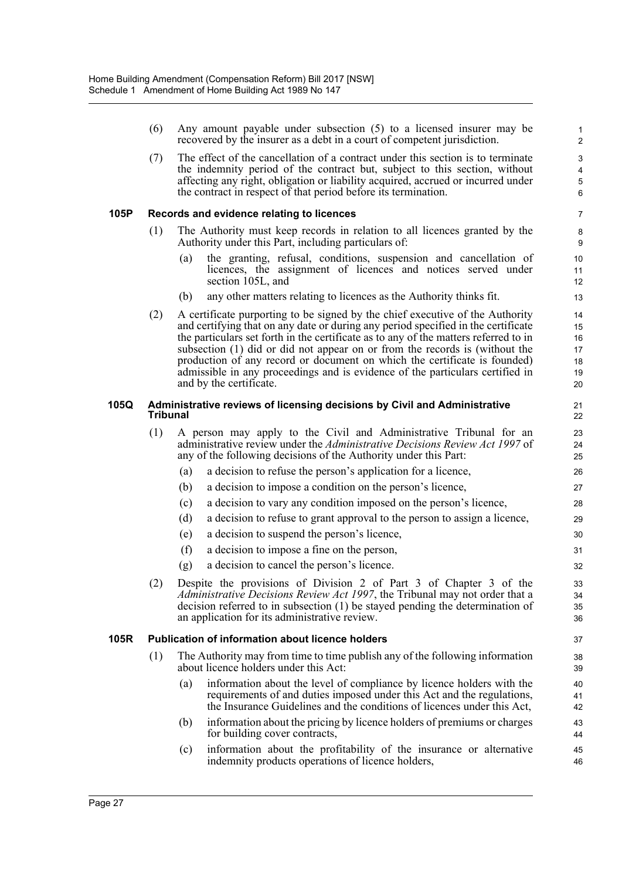(6) Any amount payable under subsection (5) to a licensed insurer may be recovered by the insurer as a debt in a court of competent jurisdiction. (7) The effect of the cancellation of a contract under this section is to terminate the indemnity period of the contract but, subject to this section, without affecting any right, obligation or liability acquired, accrued or incurred under the contract in respect of that period before its termination. **105P Records and evidence relating to licences** (1) The Authority must keep records in relation to all licences granted by the Authority under this Part, including particulars of: (a) the granting, refusal, conditions, suspension and cancellation of licences, the assignment of licences and notices served under section 105L, and (b) any other matters relating to licences as the Authority thinks fit. (2) A certificate purporting to be signed by the chief executive of the Authority and certifying that on any date or during any period specified in the certificate the particulars set forth in the certificate as to any of the matters referred to in subsection (1) did or did not appear on or from the records is (without the production of any record or document on which the certificate is founded) admissible in any proceedings and is evidence of the particulars certified in and by the certificate. **105Q Administrative reviews of licensing decisions by Civil and Administrative Tribunal** (1) A person may apply to the Civil and Administrative Tribunal for an administrative review under the *Administrative Decisions Review Act 1997* of any of the following decisions of the Authority under this Part: (a) a decision to refuse the person's application for a licence, (b) a decision to impose a condition on the person's licence, (c) a decision to vary any condition imposed on the person's licence, (d) a decision to refuse to grant approval to the person to assign a licence, (e) a decision to suspend the person's licence, (f) a decision to impose a fine on the person, (g) a decision to cancel the person's licence. (2) Despite the provisions of Division 2 of Part 3 of Chapter 3 of the *Administrative Decisions Review Act 1997*, the Tribunal may not order that a decision referred to in subsection (1) be stayed pending the determination of an application for its administrative review. **105R Publication of information about licence holders** (1) The Authority may from time to time publish any of the following information about licence holders under this Act: (a) information about the level of compliance by licence holders with the requirements of and duties imposed under this Act and the regulations, the Insurance Guidelines and the conditions of licences under this Act, (b) information about the pricing by licence holders of premiums or charges for building cover contracts, (c) information about the profitability of the insurance or alternative indemnity products operations of licence holders, 1 2 3 4 5 6 7 8 9 10 11 12 13 14 15 16 17 18 19 20 21 22 23 24 25 26 27 28 29 30 31 32 33 34 35 36 37 38 39 40 41 42 43 44 45 46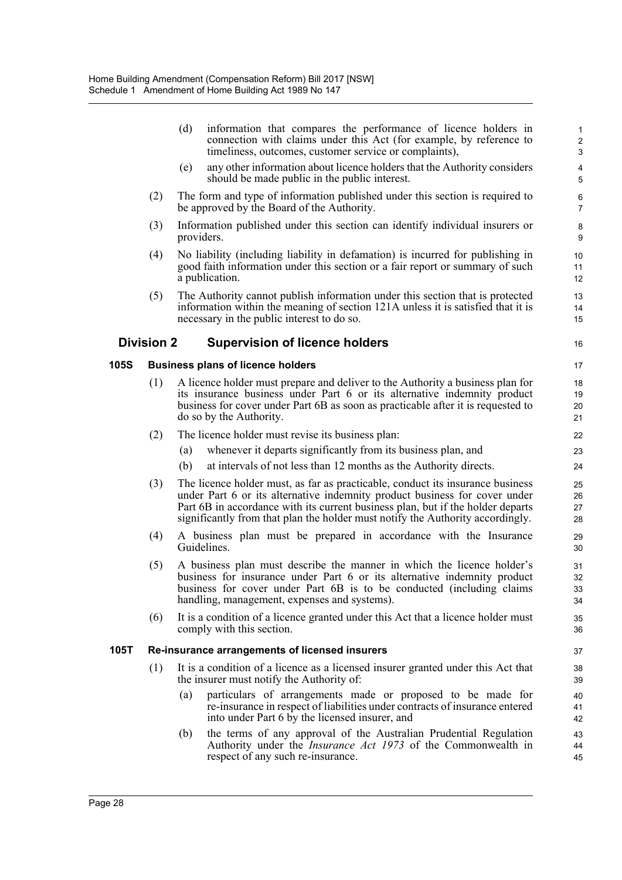|      |                   | (d) | information that compares the performance of licence holders in<br>connection with claims under this Act (for example, by reference to<br>timeliness, outcomes, customer service or complaints),                                                                                                                                  | $\mathbf{1}$<br>$\overline{c}$<br>$\mathsf 3$ |
|------|-------------------|-----|-----------------------------------------------------------------------------------------------------------------------------------------------------------------------------------------------------------------------------------------------------------------------------------------------------------------------------------|-----------------------------------------------|
|      |                   | (e) | any other information about licence holders that the Authority considers<br>should be made public in the public interest.                                                                                                                                                                                                         | $\overline{\mathbf{4}}$<br>$\overline{5}$     |
|      | (2)               |     | The form and type of information published under this section is required to<br>be approved by the Board of the Authority.                                                                                                                                                                                                        | 6<br>$\overline{7}$                           |
|      | (3)               |     | Information published under this section can identify individual insurers or<br>providers.                                                                                                                                                                                                                                        | 8<br>9                                        |
|      | (4)               |     | No liability (including liability in defamation) is incurred for publishing in<br>good faith information under this section or a fair report or summary of such<br>a publication.                                                                                                                                                 | 10<br>11<br>12                                |
|      | (5)               |     | The Authority cannot publish information under this section that is protected<br>information within the meaning of section 121A unless it is satisfied that it is<br>necessary in the public interest to do so.                                                                                                                   | 13<br>14<br>15                                |
|      | <b>Division 2</b> |     | <b>Supervision of licence holders</b>                                                                                                                                                                                                                                                                                             | 16                                            |
| 105S |                   |     | <b>Business plans of licence holders</b>                                                                                                                                                                                                                                                                                          | 17                                            |
|      | (1)               |     | A licence holder must prepare and deliver to the Authority a business plan for<br>its insurance business under Part 6 or its alternative indemnity product<br>business for cover under Part 6B as soon as practicable after it is requested to<br>do so by the Authority.                                                         | 18<br>19<br>20<br>21                          |
|      | (2)               |     | The licence holder must revise its business plan:                                                                                                                                                                                                                                                                                 | 22                                            |
|      |                   | (a) | whenever it departs significantly from its business plan, and                                                                                                                                                                                                                                                                     | 23                                            |
|      |                   | (b) | at intervals of not less than 12 months as the Authority directs.                                                                                                                                                                                                                                                                 | 24                                            |
|      | (3)               |     | The licence holder must, as far as practicable, conduct its insurance business<br>under Part 6 or its alternative indemnity product business for cover under<br>Part 6B in accordance with its current business plan, but if the holder departs<br>significantly from that plan the holder must notify the Authority accordingly. | 25<br>26<br>27<br>28                          |
|      | (4)               |     | A business plan must be prepared in accordance with the Insurance<br>Guidelines.                                                                                                                                                                                                                                                  | 29<br>30                                      |
|      | (5)               |     | A business plan must describe the manner in which the licence holder's<br>business for insurance under Part 6 or its alternative indemnity product<br>business for cover under Part 6B is to be conducted (including claims<br>handling, management, expenses and systems).                                                       | 31<br>32<br>33<br>34                          |
|      | (6)               |     | It is a condition of a licence granted under this Act that a licence holder must<br>comply with this section.                                                                                                                                                                                                                     | 35<br>36                                      |
| 105T |                   |     | Re-insurance arrangements of licensed insurers                                                                                                                                                                                                                                                                                    | 37                                            |
|      | (1)               |     | It is a condition of a licence as a licensed insurer granted under this Act that<br>the insurer must notify the Authority of:                                                                                                                                                                                                     | 38<br>39                                      |
|      |                   | (a) | particulars of arrangements made or proposed to be made for<br>re-insurance in respect of liabilities under contracts of insurance entered<br>into under Part 6 by the licensed insurer, and                                                                                                                                      | 40<br>41<br>42                                |

(b) the terms of any approval of the Australian Prudential Regulation Authority under the *Insurance Act 1973* of the Commonwealth in respect of any such re-insurance.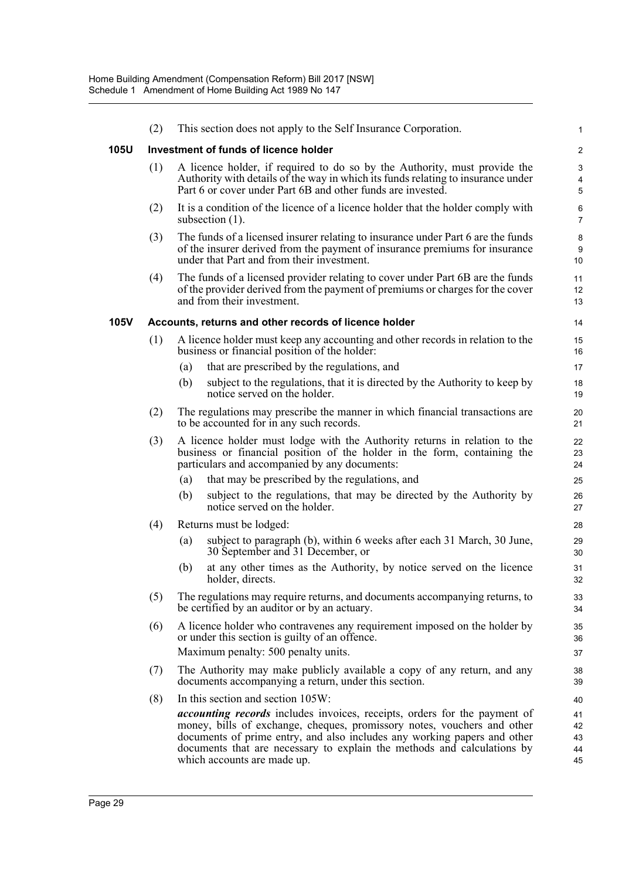|             | (2) |                                                                                                                                 | This section does not apply to the Self Insurance Corporation.                                                                                                                                                                                                                                                                                    | $\mathbf{1}$               |  |  |  |
|-------------|-----|---------------------------------------------------------------------------------------------------------------------------------|---------------------------------------------------------------------------------------------------------------------------------------------------------------------------------------------------------------------------------------------------------------------------------------------------------------------------------------------------|----------------------------|--|--|--|
| 105U        |     |                                                                                                                                 | Investment of funds of licence holder                                                                                                                                                                                                                                                                                                             | $\overline{c}$             |  |  |  |
|             | (1) |                                                                                                                                 | A licence holder, if required to do so by the Authority, must provide the<br>Authority with details of the way in which its funds relating to insurance under<br>Part 6 or cover under Part 6B and other funds are invested.                                                                                                                      | 3<br>4<br>5                |  |  |  |
|             | (2) |                                                                                                                                 | It is a condition of the licence of a licence holder that the holder comply with<br>subsection $(1)$ .                                                                                                                                                                                                                                            | 6<br>$\overline{7}$        |  |  |  |
|             | (3) |                                                                                                                                 | The funds of a licensed insurer relating to insurance under Part 6 are the funds<br>of the insurer derived from the payment of insurance premiums for insurance<br>under that Part and from their investment.                                                                                                                                     | 8<br>9<br>10               |  |  |  |
|             | (4) |                                                                                                                                 | The funds of a licensed provider relating to cover under Part 6B are the funds<br>of the provider derived from the payment of premiums or charges for the cover<br>and from their investment.                                                                                                                                                     | 11<br>12<br>13             |  |  |  |
| <b>105V</b> |     |                                                                                                                                 | Accounts, returns and other records of licence holder                                                                                                                                                                                                                                                                                             | 14                         |  |  |  |
|             | (1) |                                                                                                                                 | A licence holder must keep any accounting and other records in relation to the<br>business or financial position of the holder:                                                                                                                                                                                                                   | 15<br>16                   |  |  |  |
|             |     | (a)                                                                                                                             | that are prescribed by the regulations, and                                                                                                                                                                                                                                                                                                       | 17                         |  |  |  |
|             |     | (b)                                                                                                                             | subject to the regulations, that it is directed by the Authority to keep by<br>notice served on the holder.                                                                                                                                                                                                                                       | 18<br>19                   |  |  |  |
|             | (2) | The regulations may prescribe the manner in which financial transactions are<br>to be accounted for in any such records.        |                                                                                                                                                                                                                                                                                                                                                   |                            |  |  |  |
|             | (3) |                                                                                                                                 | A licence holder must lodge with the Authority returns in relation to the<br>business or financial position of the holder in the form, containing the<br>particulars and accompanied by any documents:                                                                                                                                            | 22<br>23<br>24             |  |  |  |
|             |     | (a)                                                                                                                             | that may be prescribed by the regulations, and                                                                                                                                                                                                                                                                                                    | 25                         |  |  |  |
|             |     | (b)                                                                                                                             | subject to the regulations, that may be directed by the Authority by<br>notice served on the holder.                                                                                                                                                                                                                                              | 26<br>27                   |  |  |  |
|             | (4) |                                                                                                                                 | Returns must be lodged:                                                                                                                                                                                                                                                                                                                           | 28                         |  |  |  |
|             |     | (a)                                                                                                                             | subject to paragraph (b), within 6 weeks after each 31 March, 30 June,<br>30 September and 31 December, or                                                                                                                                                                                                                                        | 29<br>30                   |  |  |  |
|             |     | (b)                                                                                                                             | at any other times as the Authority, by notice served on the licence<br>holder, directs.                                                                                                                                                                                                                                                          | 31<br>32                   |  |  |  |
|             | (5) |                                                                                                                                 | The regulations may require returns, and documents accompanying returns, to<br>be certified by an auditor or by an actuary.                                                                                                                                                                                                                       | 33<br>34                   |  |  |  |
|             | (6) | A licence holder who contravenes any requirement imposed on the holder by<br>or under this section is guilty of an offence.     |                                                                                                                                                                                                                                                                                                                                                   |                            |  |  |  |
|             |     |                                                                                                                                 | Maximum penalty: 500 penalty units.                                                                                                                                                                                                                                                                                                               | 37                         |  |  |  |
|             | (7) | The Authority may make publicly available a copy of any return, and any<br>documents accompanying a return, under this section. |                                                                                                                                                                                                                                                                                                                                                   |                            |  |  |  |
|             | (8) |                                                                                                                                 | In this section and section 105W:                                                                                                                                                                                                                                                                                                                 | 40                         |  |  |  |
|             |     |                                                                                                                                 | <i>accounting records</i> includes invoices, receipts, orders for the payment of<br>money, bills of exchange, cheques, promissory notes, vouchers and other<br>documents of prime entry, and also includes any working papers and other<br>documents that are necessary to explain the methods and calculations by<br>which accounts are made up. | 41<br>42<br>43<br>44<br>45 |  |  |  |
|             |     |                                                                                                                                 |                                                                                                                                                                                                                                                                                                                                                   |                            |  |  |  |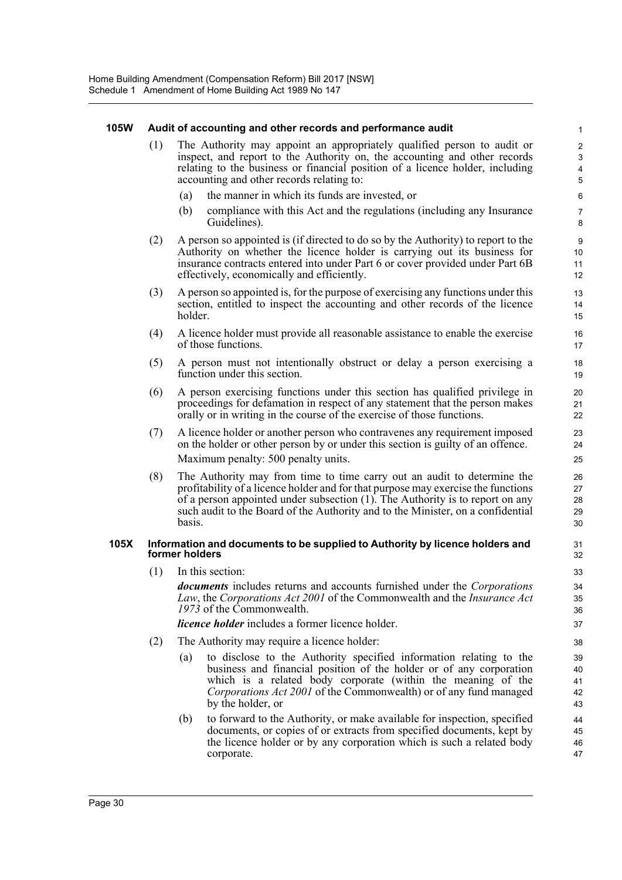#### **105W Audit of accounting and other records and performance audit**

- (1) The Authority may appoint an appropriately qualified person to audit or inspect, and report to the Authority on, the accounting and other records relating to the business or financial position of a licence holder, including accounting and other records relating to:
	- (a) the manner in which its funds are invested, or
	- (b) compliance with this Act and the regulations (including any Insurance Guidelines).

- (2) A person so appointed is (if directed to do so by the Authority) to report to the Authority on whether the licence holder is carrying out its business for insurance contracts entered into under Part 6 or cover provided under Part 6B effectively, economically and efficiently.
- (3) A person so appointed is, for the purpose of exercising any functions under this section, entitled to inspect the accounting and other records of the licence holder.
- (4) A licence holder must provide all reasonable assistance to enable the exercise of those functions.
- (5) A person must not intentionally obstruct or delay a person exercising a function under this section.
- (6) A person exercising functions under this section has qualified privilege in proceedings for defamation in respect of any statement that the person makes orally or in writing in the course of the exercise of those functions.
- (7) A licence holder or another person who contravenes any requirement imposed on the holder or other person by or under this section is guilty of an offence. Maximum penalty: 500 penalty units.
- (8) The Authority may from time to time carry out an audit to determine the profitability of a licence holder and for that purpose may exercise the functions of a person appointed under subsection (1). The Authority is to report on any such audit to the Board of the Authority and to the Minister, on a confidential basis.

#### **105X Information and documents to be supplied to Authority by licence holders and former holders**

(1) In this section:

*documents* includes returns and accounts furnished under the *Corporations Law*, the *Corporations Act 2001* of the Commonwealth and the *Insurance Act 1973* of the Commonwealth.

*licence holder* includes a former licence holder.

- (2) The Authority may require a licence holder:
	- (a) to disclose to the Authority specified information relating to the business and financial position of the holder or of any corporation which is a related body corporate (within the meaning of the *Corporations Act 2001* of the Commonwealth) or of any fund managed by the holder, or
	- (b) to forward to the Authority, or make available for inspection, specified documents, or copies of or extracts from specified documents, kept by the licence holder or by any corporation which is such a related body corporate.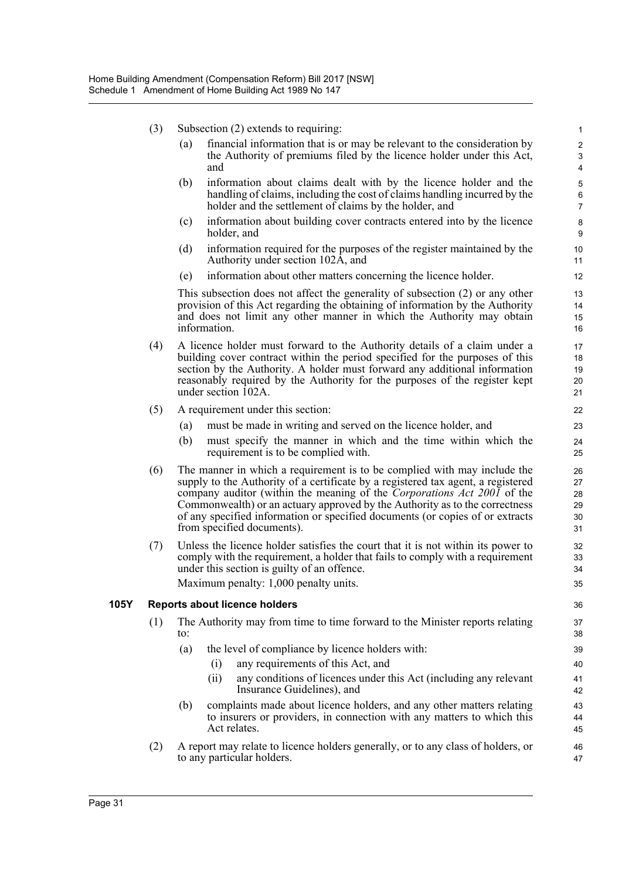- (3) Subsection (2) extends to requiring:
	- (a) financial information that is or may be relevant to the consideration by the Authority of premiums filed by the licence holder under this Act, and

- (b) information about claims dealt with by the licence holder and the handling of claims, including the cost of claims handling incurred by the holder and the settlement of claims by the holder, and
- (c) information about building cover contracts entered into by the licence holder, and
- (d) information required for the purposes of the register maintained by the Authority under section 102A, and
- (e) information about other matters concerning the licence holder.

This subsection does not affect the generality of subsection (2) or any other provision of this Act regarding the obtaining of information by the Authority and does not limit any other manner in which the Authority may obtain information.

- (4) A licence holder must forward to the Authority details of a claim under a building cover contract within the period specified for the purposes of this section by the Authority. A holder must forward any additional information reasonably required by the Authority for the purposes of the register kept under section 102A.
- (5) A requirement under this section:
	- (a) must be made in writing and served on the licence holder, and
	- (b) must specify the manner in which and the time within which the requirement is to be complied with.
- (6) The manner in which a requirement is to be complied with may include the supply to the Authority of a certificate by a registered tax agent, a registered company auditor (within the meaning of the *Corporations Act 2001* of the Commonwealth) or an actuary approved by the Authority as to the correctness of any specified information or specified documents (or copies of or extracts from specified documents).
- (7) Unless the licence holder satisfies the court that it is not within its power to comply with the requirement, a holder that fails to comply with a requirement under this section is guilty of an offence. Maximum penalty: 1,000 penalty units.

#### **105Y Reports about licence holders**

- (1) The Authority may from time to time forward to the Minister reports relating to:
	- (a) the level of compliance by licence holders with:
		- (i) any requirements of this Act, and
		- (ii) any conditions of licences under this Act (including any relevant Insurance Guidelines), and
	- (b) complaints made about licence holders, and any other matters relating to insurers or providers, in connection with any matters to which this Act relates.
- (2) A report may relate to licence holders generally, or to any class of holders, or to any particular holders.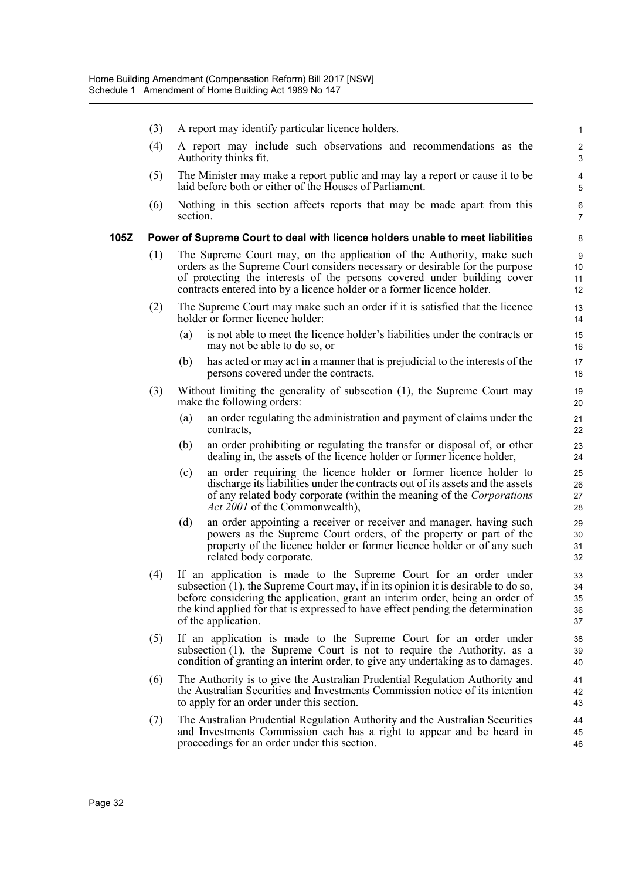- (3) A report may identify particular licence holders.
- (4) A report may include such observations and recommendations as the Authority thinks fit.

- (5) The Minister may make a report public and may lay a report or cause it to be laid before both or either of the Houses of Parliament.
- (6) Nothing in this section affects reports that may be made apart from this section.

#### **105Z Power of Supreme Court to deal with licence holders unable to meet liabilities**

- (1) The Supreme Court may, on the application of the Authority, make such orders as the Supreme Court considers necessary or desirable for the purpose of protecting the interests of the persons covered under building cover contracts entered into by a licence holder or a former licence holder.
- (2) The Supreme Court may make such an order if it is satisfied that the licence holder or former licence holder:
	- (a) is not able to meet the licence holder's liabilities under the contracts or may not be able to do so, or
	- (b) has acted or may act in a manner that is prejudicial to the interests of the persons covered under the contracts.
- (3) Without limiting the generality of subsection (1), the Supreme Court may make the following orders:
	- (a) an order regulating the administration and payment of claims under the contracts,
	- (b) an order prohibiting or regulating the transfer or disposal of, or other dealing in, the assets of the licence holder or former licence holder,
	- (c) an order requiring the licence holder or former licence holder to discharge its liabilities under the contracts out of its assets and the assets of any related body corporate (within the meaning of the *Corporations Act 2001* of the Commonwealth),
	- (d) an order appointing a receiver or receiver and manager, having such powers as the Supreme Court orders, of the property or part of the property of the licence holder or former licence holder or of any such related body corporate.
- (4) If an application is made to the Supreme Court for an order under subsection (1), the Supreme Court may, if in its opinion it is desirable to do so, before considering the application, grant an interim order, being an order of the kind applied for that is expressed to have effect pending the determination of the application.
- (5) If an application is made to the Supreme Court for an order under subsection (1), the Supreme Court is not to require the Authority, as a condition of granting an interim order, to give any undertaking as to damages.
- (6) The Authority is to give the Australian Prudential Regulation Authority and the Australian Securities and Investments Commission notice of its intention to apply for an order under this section.
- (7) The Australian Prudential Regulation Authority and the Australian Securities and Investments Commission each has a right to appear and be heard in proceedings for an order under this section.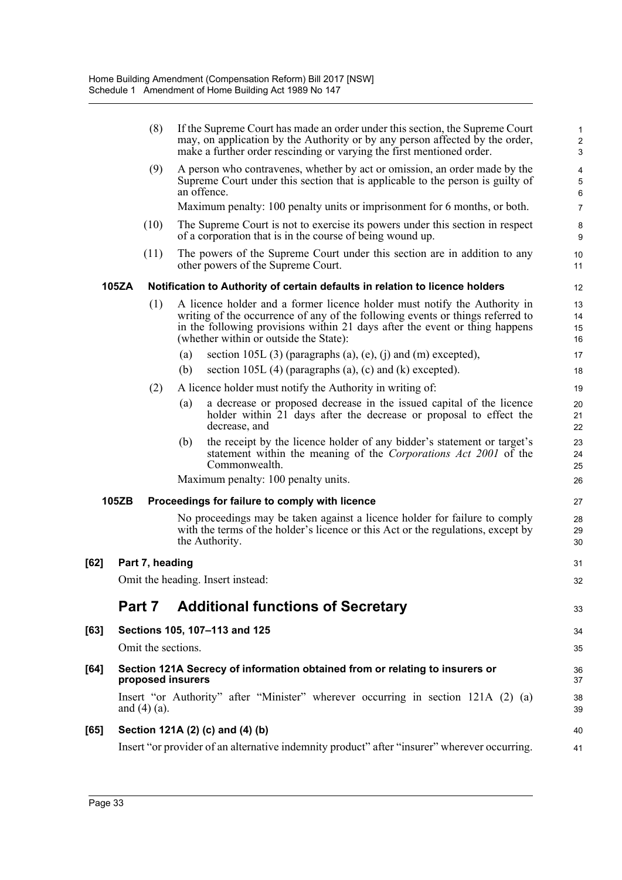|      |                                                                                                   | (8)                |     | If the Supreme Court has made an order under this section, the Supreme Court<br>may, on application by the Authority or by any person affected by the order,<br>make a further order rescinding or varying the first mentioned order.                                                | $\mathbf{1}$<br>$\sqrt{2}$<br>3 |
|------|---------------------------------------------------------------------------------------------------|--------------------|-----|--------------------------------------------------------------------------------------------------------------------------------------------------------------------------------------------------------------------------------------------------------------------------------------|---------------------------------|
|      |                                                                                                   | (9)                |     | A person who contravenes, whether by act or omission, an order made by the<br>Supreme Court under this section that is applicable to the person is guilty of<br>an offence.                                                                                                          | 4<br>$\sqrt{5}$<br>$\,6\,$      |
|      |                                                                                                   |                    |     | Maximum penalty: 100 penalty units or imprisonment for 6 months, or both.                                                                                                                                                                                                            | $\overline{7}$                  |
|      |                                                                                                   | (10)               |     | The Supreme Court is not to exercise its powers under this section in respect<br>of a corporation that is in the course of being wound up.                                                                                                                                           | 8<br>9                          |
|      |                                                                                                   | (11)               |     | The powers of the Supreme Court under this section are in addition to any<br>other powers of the Supreme Court.                                                                                                                                                                      | 10<br>11                        |
|      | 105ZA                                                                                             |                    |     | Notification to Authority of certain defaults in relation to licence holders                                                                                                                                                                                                         | 12                              |
|      |                                                                                                   | (1)                |     | A licence holder and a former licence holder must notify the Authority in<br>writing of the occurrence of any of the following events or things referred to<br>in the following provisions within 21 days after the event or thing happens<br>(whether within or outside the State): | 13<br>14<br>15<br>16            |
|      |                                                                                                   |                    | (a) | section 105L $(3)$ (paragraphs $(a)$ , $(e)$ , $(i)$ and $(m)$ excepted),                                                                                                                                                                                                            | 17                              |
|      |                                                                                                   |                    | (b) | section 105L $(4)$ (paragraphs $(a)$ , $(c)$ and $(k)$ excepted).                                                                                                                                                                                                                    | 18                              |
|      |                                                                                                   | (2)                |     | A licence holder must notify the Authority in writing of:                                                                                                                                                                                                                            | 19                              |
|      |                                                                                                   |                    | (a) | a decrease or proposed decrease in the issued capital of the licence<br>holder within 21 days after the decrease or proposal to effect the<br>decrease, and                                                                                                                          | 20<br>21<br>22                  |
|      |                                                                                                   |                    | (b) | the receipt by the licence holder of any bidder's statement or target's<br>statement within the meaning of the Corporations Act 2001 of the<br>Commonwealth.                                                                                                                         | 23<br>24<br>25                  |
|      |                                                                                                   |                    |     | Maximum penalty: 100 penalty units.                                                                                                                                                                                                                                                  | 26                              |
|      | 105ZB                                                                                             |                    |     | Proceedings for failure to comply with licence                                                                                                                                                                                                                                       | 27                              |
|      |                                                                                                   |                    |     | No proceedings may be taken against a licence holder for failure to comply<br>with the terms of the holder's licence or this Act or the regulations, except by<br>the Authority.                                                                                                     | 28<br>29<br>30                  |
| [62] |                                                                                                   | Part 7, heading    |     |                                                                                                                                                                                                                                                                                      | 31                              |
|      |                                                                                                   |                    |     | Omit the heading. Insert instead:                                                                                                                                                                                                                                                    | 32                              |
|      | Part 7                                                                                            |                    |     | <b>Additional functions of Secretary</b>                                                                                                                                                                                                                                             | 33                              |
| [63] |                                                                                                   |                    |     | Sections 105, 107-113 and 125                                                                                                                                                                                                                                                        | 34                              |
|      |                                                                                                   | Omit the sections. |     |                                                                                                                                                                                                                                                                                      | 35                              |
| [64] | Section 121A Secrecy of information obtained from or relating to insurers or<br>proposed insurers |                    |     |                                                                                                                                                                                                                                                                                      | 36<br>37                        |
|      |                                                                                                   | and $(4)$ (a).     |     | Insert "or Authority" after "Minister" wherever occurring in section 121A (2) (a)                                                                                                                                                                                                    | 38<br>39                        |
| [65] |                                                                                                   |                    |     | Section 121A (2) (c) and (4) (b)                                                                                                                                                                                                                                                     | 40                              |
|      |                                                                                                   |                    |     | Insert "or provider of an alternative indemnity product" after "insurer" wherever occurring.                                                                                                                                                                                         | 41                              |
|      |                                                                                                   |                    |     |                                                                                                                                                                                                                                                                                      |                                 |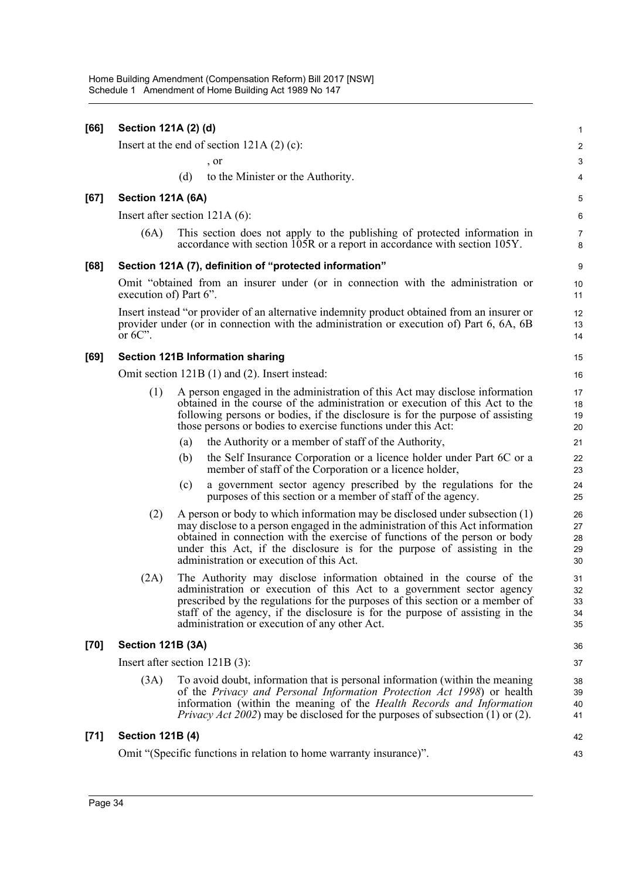| [66]   | Section 121A (2) (d)             |     |                                                                                                                                                                                                                                                                                                                                                                        |                            |  |  |
|--------|----------------------------------|-----|------------------------------------------------------------------------------------------------------------------------------------------------------------------------------------------------------------------------------------------------------------------------------------------------------------------------------------------------------------------------|----------------------------|--|--|
|        |                                  |     | Insert at the end of section $121A(2)(c)$ :                                                                                                                                                                                                                                                                                                                            | $\overline{2}$             |  |  |
|        |                                  |     | $\sigma$ , or                                                                                                                                                                                                                                                                                                                                                          | 3                          |  |  |
|        |                                  | (d) | to the Minister or the Authority.                                                                                                                                                                                                                                                                                                                                      | 4                          |  |  |
| [67]   | Section 121A (6A)                |     |                                                                                                                                                                                                                                                                                                                                                                        | 5                          |  |  |
|        | Insert after section $121A(6)$ : |     |                                                                                                                                                                                                                                                                                                                                                                        | 6                          |  |  |
|        | (6A)                             |     | This section does not apply to the publishing of protected information in<br>accordance with section 105R or a report in accordance with section 105Y.                                                                                                                                                                                                                 | $\overline{7}$<br>8        |  |  |
| [68]   |                                  |     | Section 121A (7), definition of "protected information"                                                                                                                                                                                                                                                                                                                | 9                          |  |  |
|        | execution of) Part 6".           |     | Omit "obtained from an insurer under (or in connection with the administration or                                                                                                                                                                                                                                                                                      | 10<br>11                   |  |  |
|        | or $6C$ .                        |     | Insert instead "or provider of an alternative indemnity product obtained from an insurer or<br>provider under (or in connection with the administration or execution of) Part 6, 6A, 6B                                                                                                                                                                                | 12<br>13<br>14             |  |  |
| [69]   |                                  |     | <b>Section 121B Information sharing</b>                                                                                                                                                                                                                                                                                                                                | 15                         |  |  |
|        |                                  |     | Omit section 121B (1) and (2). Insert instead:                                                                                                                                                                                                                                                                                                                         | 16                         |  |  |
|        | (1)                              |     | A person engaged in the administration of this Act may disclose information<br>obtained in the course of the administration or execution of this Act to the<br>following persons or bodies, if the disclosure is for the purpose of assisting<br>those persons or bodies to exercise functions under this Act:                                                         | 17<br>18<br>19<br>20       |  |  |
|        |                                  | (a) | the Authority or a member of staff of the Authority,                                                                                                                                                                                                                                                                                                                   | 21                         |  |  |
|        |                                  | (b) | the Self Insurance Corporation or a licence holder under Part 6C or a<br>member of staff of the Corporation or a licence holder,                                                                                                                                                                                                                                       | 22<br>23                   |  |  |
|        |                                  | (c) | a government sector agency prescribed by the regulations for the<br>purposes of this section or a member of staff of the agency.                                                                                                                                                                                                                                       | 24<br>25                   |  |  |
|        | (2)                              |     | A person or body to which information may be disclosed under subsection $(1)$<br>may disclose to a person engaged in the administration of this Act information<br>obtained in connection with the exercise of functions of the person or body<br>under this Act, if the disclosure is for the purpose of assisting in the<br>administration or execution of this Act. | 26<br>27<br>28<br>29<br>30 |  |  |
|        | (2A)                             |     | The Authority may disclose information obtained in the course of the<br>administration or execution of this Act to a government sector agency<br>prescribed by the regulations for the purposes of this section or a member of<br>staff of the agency, if the disclosure is for the purpose of assisting in the<br>administration or execution of any other Act.       | 31<br>32<br>33<br>34<br>35 |  |  |
| $[70]$ | <b>Section 121B (3A)</b>         |     |                                                                                                                                                                                                                                                                                                                                                                        | 36                         |  |  |
|        | Insert after section $121B(3)$ : |     |                                                                                                                                                                                                                                                                                                                                                                        | 37                         |  |  |
|        | (3A)                             |     | To avoid doubt, information that is personal information (within the meaning<br>of the Privacy and Personal Information Protection Act 1998) or health<br>information (within the meaning of the Health Records and Information<br><i>Privacy Act 2002</i> ) may be disclosed for the purposes of subsection (1) or (2).                                               | 38<br>39<br>40<br>41       |  |  |
| $[71]$ | <b>Section 121B (4)</b>          |     |                                                                                                                                                                                                                                                                                                                                                                        | 42                         |  |  |
|        |                                  |     | Omit "(Specific functions in relation to home warranty insurance)".                                                                                                                                                                                                                                                                                                    | 43                         |  |  |
|        |                                  |     |                                                                                                                                                                                                                                                                                                                                                                        |                            |  |  |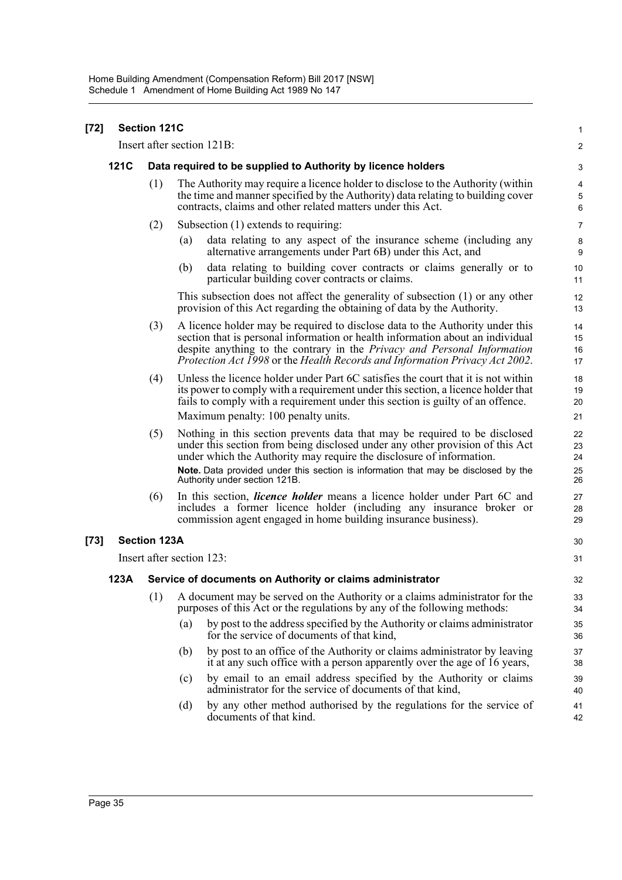| [72] | <b>Section 121C</b> |                                                              |                                                                                                                                                                                                                                                                                                                                   | 1                       |
|------|---------------------|--------------------------------------------------------------|-----------------------------------------------------------------------------------------------------------------------------------------------------------------------------------------------------------------------------------------------------------------------------------------------------------------------------------|-------------------------|
|      |                     |                                                              | Insert after section 121B:                                                                                                                                                                                                                                                                                                        | $\overline{\mathbf{c}}$ |
|      | <b>121C</b>         | Data required to be supplied to Authority by licence holders |                                                                                                                                                                                                                                                                                                                                   |                         |
|      |                     | (1)                                                          | The Authority may require a licence holder to disclose to the Authority (within<br>the time and manner specified by the Authority) data relating to building cover<br>contracts, claims and other related matters under this Act.                                                                                                 | 4<br>5<br>6             |
|      |                     | (2)                                                          | Subsection $(1)$ extends to requiring:                                                                                                                                                                                                                                                                                            | $\overline{7}$          |
|      |                     |                                                              | data relating to any aspect of the insurance scheme (including any<br>(a)<br>alternative arrangements under Part 6B) under this Act, and                                                                                                                                                                                          | 8<br>$9\,$              |
|      |                     |                                                              | data relating to building cover contracts or claims generally or to<br>(b)<br>particular building cover contracts or claims.                                                                                                                                                                                                      | 10<br>11                |
|      |                     |                                                              | This subsection does not affect the generality of subsection (1) or any other<br>provision of this Act regarding the obtaining of data by the Authority.                                                                                                                                                                          | 12<br>13                |
|      |                     | (3)                                                          | A licence holder may be required to disclose data to the Authority under this<br>section that is personal information or health information about an individual<br>despite anything to the contrary in the <i>Privacy and Personal Information</i><br>Protection Act 1998 or the Health Records and Information Privacy Act 2002. | 14<br>15<br>16<br>17    |
|      |                     | (4)                                                          | Unless the licence holder under Part 6C satisfies the court that it is not within<br>its power to comply with a requirement under this section, a licence holder that<br>fails to comply with a requirement under this section is guilty of an offence.<br>Maximum penalty: 100 penalty units.                                    | 18<br>19<br>20<br>21    |
|      |                     | (5)                                                          | Nothing in this section prevents data that may be required to be disclosed                                                                                                                                                                                                                                                        | 22                      |
|      |                     |                                                              | under this section from being disclosed under any other provision of this Act<br>under which the Authority may require the disclosure of information.                                                                                                                                                                             | 23<br>24                |
|      |                     |                                                              | Note. Data provided under this section is information that may be disclosed by the<br>Authority under section 121B.                                                                                                                                                                                                               | 25<br>26                |
|      |                     | (6)                                                          | In this section, <i>licence holder</i> means a licence holder under Part 6C and<br>includes a former licence holder (including any insurance broker or<br>commission agent engaged in home building insurance business).                                                                                                          | 27<br>28<br>29          |
| [73] |                     | <b>Section 123A</b>                                          |                                                                                                                                                                                                                                                                                                                                   | 30                      |
|      |                     | Insert after section 123:                                    |                                                                                                                                                                                                                                                                                                                                   |                         |
|      | 123A                | Service of documents on Authority or claims administrator    |                                                                                                                                                                                                                                                                                                                                   |                         |
|      |                     | (1)                                                          | A document may be served on the Authority or a claims administrator for the<br>purposes of this Act or the regulations by any of the following methods:                                                                                                                                                                           | 33<br>34                |
|      |                     |                                                              | by post to the address specified by the Authority or claims administrator<br>(a)<br>for the service of documents of that kind,                                                                                                                                                                                                    | 35<br>36                |
|      |                     |                                                              | by post to an office of the Authority or claims administrator by leaving<br>(b)<br>it at any such office with a person apparently over the age of 16 years,                                                                                                                                                                       | 37<br>38                |
|      |                     |                                                              | by email to an email address specified by the Authority or claims<br>(c)<br>administrator for the service of documents of that kind,                                                                                                                                                                                              | 39<br>40                |
|      |                     |                                                              | by any other method authorised by the regulations for the service of<br>(d)<br>documents of that kind.                                                                                                                                                                                                                            | 41<br>42                |
|      |                     |                                                              |                                                                                                                                                                                                                                                                                                                                   |                         |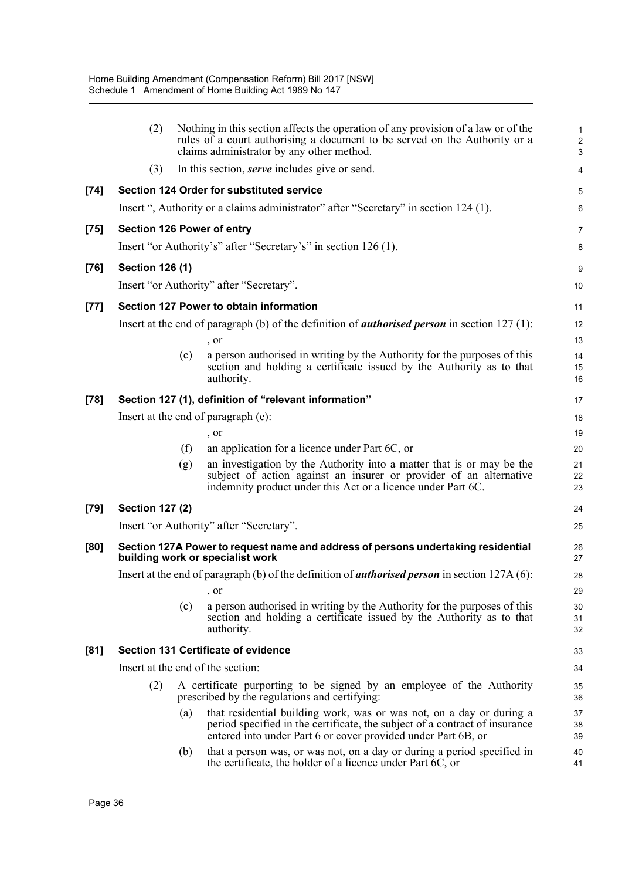|        | (2)                                                                                                                   |     | Nothing in this section affects the operation of any provision of a law or of the<br>rules of a court authorising a document to be served on the Authority or a<br>claims administrator by any other method.         | $\mathbf{1}$<br>$\overline{c}$<br>$\mathbf{3}$ |  |
|--------|-----------------------------------------------------------------------------------------------------------------------|-----|----------------------------------------------------------------------------------------------------------------------------------------------------------------------------------------------------------------------|------------------------------------------------|--|
|        | (3)                                                                                                                   |     | In this section, <i>serve</i> includes give or send.                                                                                                                                                                 | 4                                              |  |
| $[74]$ |                                                                                                                       |     | <b>Section 124 Order for substituted service</b>                                                                                                                                                                     | 5                                              |  |
|        |                                                                                                                       |     | Insert ", Authority or a claims administrator" after "Secretary" in section 124 (1).                                                                                                                                 | 6                                              |  |
| $[75]$ |                                                                                                                       |     | <b>Section 126 Power of entry</b>                                                                                                                                                                                    | 7                                              |  |
|        |                                                                                                                       |     | Insert "or Authority's" after "Secretary's" in section 126 (1).                                                                                                                                                      | 8                                              |  |
| $[76]$ | <b>Section 126 (1)</b>                                                                                                |     |                                                                                                                                                                                                                      | 9                                              |  |
|        |                                                                                                                       |     | Insert "or Authority" after "Secretary".                                                                                                                                                                             | 10                                             |  |
| $[77]$ |                                                                                                                       |     | Section 127 Power to obtain information                                                                                                                                                                              | 11                                             |  |
|        |                                                                                                                       |     | Insert at the end of paragraph (b) of the definition of <i>authorised person</i> in section $127$ (1):                                                                                                               | 12                                             |  |
|        |                                                                                                                       |     | , or                                                                                                                                                                                                                 | 13                                             |  |
|        |                                                                                                                       | (c) | a person authorised in writing by the Authority for the purposes of this<br>section and holding a certificate issued by the Authority as to that                                                                     | 14<br>15                                       |  |
|        |                                                                                                                       |     | authority.                                                                                                                                                                                                           | 16                                             |  |
| $[78]$ |                                                                                                                       |     | Section 127 (1), definition of "relevant information"                                                                                                                                                                | 17                                             |  |
|        |                                                                                                                       |     | Insert at the end of paragraph (e):                                                                                                                                                                                  | 18                                             |  |
|        |                                                                                                                       |     | , or                                                                                                                                                                                                                 | 19                                             |  |
|        |                                                                                                                       | (f) | an application for a licence under Part 6C, or                                                                                                                                                                       | 20                                             |  |
|        |                                                                                                                       | (g) | an investigation by the Authority into a matter that is or may be the<br>subject of action against an insurer or provider of an alternative<br>indemnity product under this Act or a licence under Part 6C.          | 21<br>22<br>23                                 |  |
| [79]   | <b>Section 127 (2)</b>                                                                                                |     |                                                                                                                                                                                                                      | 24                                             |  |
|        |                                                                                                                       |     | Insert "or Authority" after "Secretary".                                                                                                                                                                             | 25                                             |  |
| [80]   | Section 127A Power to request name and address of persons undertaking residential<br>building work or specialist work |     |                                                                                                                                                                                                                      |                                                |  |
|        | Insert at the end of paragraph (b) of the definition of <i>authorised person</i> in section $127A(6)$ :               |     |                                                                                                                                                                                                                      |                                                |  |
|        |                                                                                                                       |     | , or                                                                                                                                                                                                                 | 29                                             |  |
|        |                                                                                                                       | (c) | a person authorised in writing by the Authority for the purposes of this<br>section and holding a certificate issued by the Authority as to that<br>authority.                                                       | 30<br>31<br>32                                 |  |
| [81]   | <b>Section 131 Certificate of evidence</b>                                                                            |     |                                                                                                                                                                                                                      |                                                |  |
|        | Insert at the end of the section:                                                                                     |     |                                                                                                                                                                                                                      |                                                |  |
|        | (2)                                                                                                                   |     | A certificate purporting to be signed by an employee of the Authority<br>prescribed by the regulations and certifying:                                                                                               | 35<br>36                                       |  |
|        |                                                                                                                       | (a) | that residential building work, was or was not, on a day or during a<br>period specified in the certificate, the subject of a contract of insurance<br>entered into under Part 6 or cover provided under Part 6B, or | 37<br>38<br>39                                 |  |
|        |                                                                                                                       | (b) | that a person was, or was not, on a day or during a period specified in<br>the certificate, the holder of a licence under Part 6C, or                                                                                | 40<br>41                                       |  |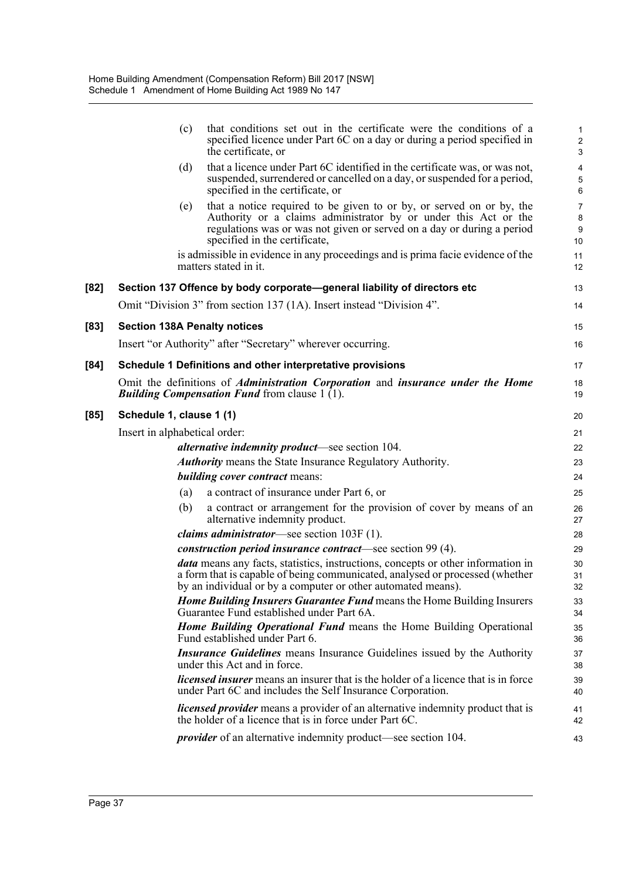|        | (c)                                 | that conditions set out in the certificate were the conditions of a<br>specified licence under Part 6C on a day or during a period specified in<br>the certificate, or                                                                             | $\mathbf{1}$<br>$\overline{2}$<br>$\mathsf 3$ |
|--------|-------------------------------------|----------------------------------------------------------------------------------------------------------------------------------------------------------------------------------------------------------------------------------------------------|-----------------------------------------------|
|        | (d)                                 | that a licence under Part 6C identified in the certificate was, or was not,<br>suspended, surrendered or cancelled on a day, or suspended for a period,<br>specified in the certificate, or                                                        | 4<br>5<br>6                                   |
|        | (e)                                 | that a notice required to be given to or by, or served on or by, the<br>Authority or a claims administrator by or under this Act or the<br>regulations was or was not given or served on a day or during a period<br>specified in the certificate, | $\overline{7}$<br>8<br>9<br>10                |
|        |                                     | is admissible in evidence in any proceedings and is prima facie evidence of the<br>matters stated in it.                                                                                                                                           | 11<br>12                                      |
| $[82]$ |                                     | Section 137 Offence by body corporate—general liability of directors etc                                                                                                                                                                           | 13                                            |
|        |                                     | Omit "Division 3" from section 137 (1A). Insert instead "Division 4".                                                                                                                                                                              | 14                                            |
| $[83]$ | <b>Section 138A Penalty notices</b> |                                                                                                                                                                                                                                                    | 15                                            |
|        |                                     | Insert "or Authority" after "Secretary" wherever occurring.                                                                                                                                                                                        | 16                                            |
| $[84]$ |                                     | Schedule 1 Definitions and other interpretative provisions                                                                                                                                                                                         | 17                                            |
|        |                                     | Omit the definitions of <i>Administration Corporation</i> and <i>insurance under the Home</i><br><b>Building Compensation Fund from clause 1 (1).</b>                                                                                              | 18<br>19                                      |
| $[85]$ | Schedule 1, clause 1 (1)            |                                                                                                                                                                                                                                                    | 20                                            |
|        | Insert in alphabetical order:       |                                                                                                                                                                                                                                                    | 21                                            |
|        |                                     | <i>alternative indemnity product</i> —see section 104.                                                                                                                                                                                             | 22                                            |
|        |                                     | <b>Authority</b> means the State Insurance Regulatory Authority.                                                                                                                                                                                   | 23                                            |
|        |                                     | <i>building cover contract means:</i>                                                                                                                                                                                                              | 24                                            |
|        | (a)                                 | a contract of insurance under Part 6, or                                                                                                                                                                                                           | 25                                            |
|        | (b)                                 | a contract or arrangement for the provision of cover by means of an<br>alternative indemnity product.                                                                                                                                              | 26<br>27                                      |
|        |                                     | <i>claims administrator</i> —see section 103F (1).                                                                                                                                                                                                 | 28                                            |
|        |                                     | construction period insurance contract—see section 99 (4).                                                                                                                                                                                         | 29                                            |
|        |                                     | data means any facts, statistics, instructions, concepts or other information in<br>a form that is capable of being communicated, analysed or processed (whether<br>by an individual or by a computer or other automated means).                   | 30<br>31<br>32                                |
|        |                                     | <b>Home Building Insurers Guarantee Fund means the Home Building Insurers</b><br>Guarantee Fund established under Part 6A.                                                                                                                         | 33<br>34                                      |
|        |                                     | Home Building Operational Fund means the Home Building Operational<br>Fund established under Part 6.                                                                                                                                               | 35<br>36                                      |
|        |                                     | <i>Insurance Guidelines</i> means Insurance Guidelines issued by the Authority<br>under this Act and in force.                                                                                                                                     | 37<br>38                                      |
|        |                                     | <i>licensed insurer</i> means an insurer that is the holder of a licence that is in force<br>under Part 6C and includes the Self Insurance Corporation.                                                                                            | 39<br>40                                      |
|        |                                     | <i>licensed provider</i> means a provider of an alternative indemnity product that is<br>the holder of a licence that is in force under Part 6C.                                                                                                   | 41<br>42                                      |
|        |                                     | <i>provider</i> of an alternative indemnity product—see section 104.                                                                                                                                                                               | 43                                            |
|        |                                     |                                                                                                                                                                                                                                                    |                                               |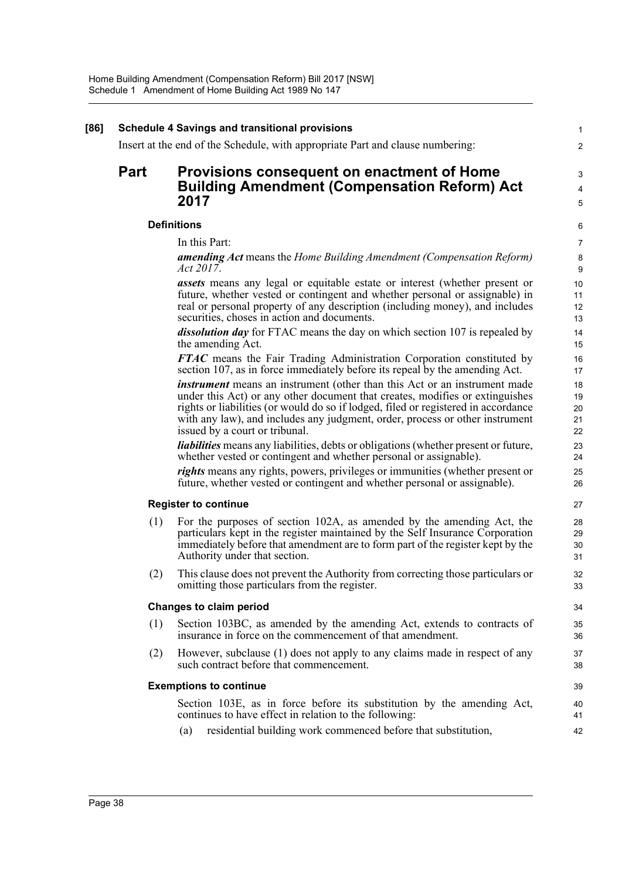| <b>Schedule 4 Savings and transitional provisions</b><br>Insert at the end of the Schedule, with appropriate Part and clause numbering: |                                                                                                                                                                                                                                                                                                                                                                   |  |
|-----------------------------------------------------------------------------------------------------------------------------------------|-------------------------------------------------------------------------------------------------------------------------------------------------------------------------------------------------------------------------------------------------------------------------------------------------------------------------------------------------------------------|--|
| <b>Part</b>                                                                                                                             | Provisions consequent on enactment of Home                                                                                                                                                                                                                                                                                                                        |  |
|                                                                                                                                         | <b>Building Amendment (Compensation Reform) Act</b>                                                                                                                                                                                                                                                                                                               |  |
|                                                                                                                                         | 2017                                                                                                                                                                                                                                                                                                                                                              |  |
|                                                                                                                                         | <b>Definitions</b>                                                                                                                                                                                                                                                                                                                                                |  |
|                                                                                                                                         | In this Part:                                                                                                                                                                                                                                                                                                                                                     |  |
|                                                                                                                                         | <b>amending Act</b> means the Home Building Amendment (Compensation Reform)<br><i>Act 2017.</i>                                                                                                                                                                                                                                                                   |  |
|                                                                                                                                         | <b>assets</b> means any legal or equitable estate or interest (whether present or<br>future, whether vested or contingent and whether personal or assignable) in<br>real or personal property of any description (including money), and includes<br>securities, choses in action and documents.                                                                   |  |
|                                                                                                                                         | dissolution day for FTAC means the day on which section 107 is repealed by<br>the amending Act.                                                                                                                                                                                                                                                                   |  |
|                                                                                                                                         | <b>FTAC</b> means the Fair Trading Administration Corporation constituted by<br>section 107, as in force immediately before its repeal by the amending Act.                                                                                                                                                                                                       |  |
|                                                                                                                                         | instrument means an instrument (other than this Act or an instrument made<br>under this Act) or any other document that creates, modifies or extinguishes<br>rights or liabilities (or would do so if lodged, filed or registered in accordance<br>with any law), and includes any judgment, order, process or other instrument<br>issued by a court or tribunal. |  |
|                                                                                                                                         | <i>liabilities</i> means any liabilities, debts or obligations (whether present or future,<br>whether vested or contingent and whether personal or assignable).                                                                                                                                                                                                   |  |
|                                                                                                                                         | <i>rights</i> means any rights, powers, privileges or immunities (whether present or<br>future, whether vested or contingent and whether personal or assignable).                                                                                                                                                                                                 |  |
|                                                                                                                                         | <b>Register to continue</b>                                                                                                                                                                                                                                                                                                                                       |  |
|                                                                                                                                         | For the purposes of section 102A, as amended by the amending Act, the<br>(1)<br>particulars kept in the register maintained by the Self Insurance Corporation<br>immediately before that amendment are to form part of the register kept by the<br>Authority under that section.                                                                                  |  |
|                                                                                                                                         | This clause does not prevent the Authority from correcting those particulars or<br>(2)<br>omitting those particulars from the register.                                                                                                                                                                                                                           |  |
|                                                                                                                                         | <b>Changes to claim period</b>                                                                                                                                                                                                                                                                                                                                    |  |
|                                                                                                                                         | (1)<br>Section 103BC, as amended by the amending Act, extends to contracts of<br>insurance in force on the commencement of that amendment.                                                                                                                                                                                                                        |  |
|                                                                                                                                         | However, subclause (1) does not apply to any claims made in respect of any<br>(2)<br>such contract before that commencement.                                                                                                                                                                                                                                      |  |
|                                                                                                                                         | <b>Exemptions to continue</b>                                                                                                                                                                                                                                                                                                                                     |  |
|                                                                                                                                         | Section 103E, as in force before its substitution by the amending Act,<br>continues to have effect in relation to the following:                                                                                                                                                                                                                                  |  |
|                                                                                                                                         | residential building work commenced before that substitution,<br>(a)                                                                                                                                                                                                                                                                                              |  |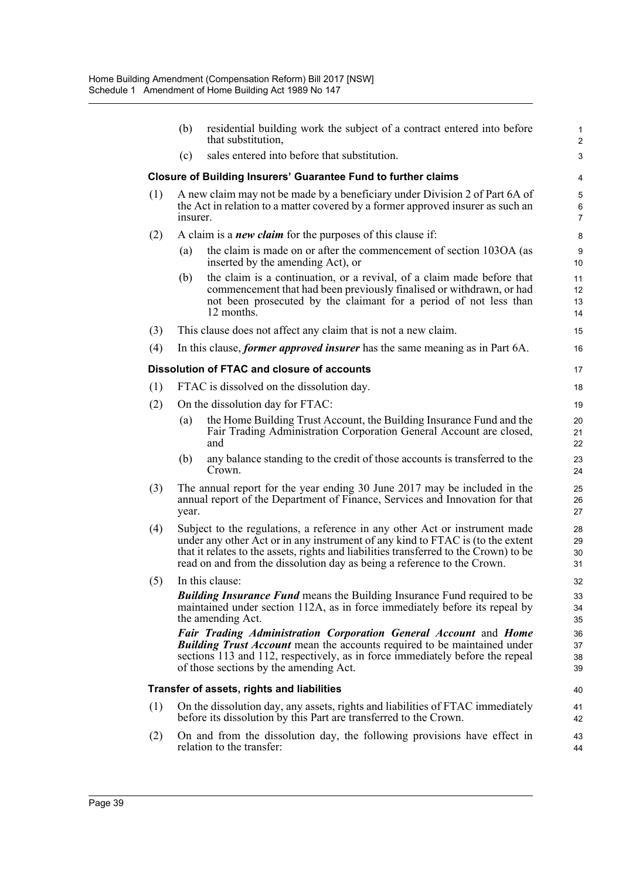|     | (b)                                                                                                                                                                                                                                                                                                                               | residential building work the subject of a contract entered into before<br>that substitution.                                                                                                                                                                                  | $\mathbf{1}$<br>$\overline{2}$ |
|-----|-----------------------------------------------------------------------------------------------------------------------------------------------------------------------------------------------------------------------------------------------------------------------------------------------------------------------------------|--------------------------------------------------------------------------------------------------------------------------------------------------------------------------------------------------------------------------------------------------------------------------------|--------------------------------|
|     | (c)                                                                                                                                                                                                                                                                                                                               | sales entered into before that substitution.                                                                                                                                                                                                                                   | 3                              |
|     |                                                                                                                                                                                                                                                                                                                                   | <b>Closure of Building Insurers' Guarantee Fund to further claims</b>                                                                                                                                                                                                          | 4                              |
| (1) | insurer.                                                                                                                                                                                                                                                                                                                          | A new claim may not be made by a beneficiary under Division 2 of Part 6A of<br>the Act in relation to a matter covered by a former approved insurer as such an                                                                                                                 | $\mathbf 5$<br>6<br>7          |
| (2) |                                                                                                                                                                                                                                                                                                                                   | A claim is a <i>new claim</i> for the purposes of this clause if:                                                                                                                                                                                                              | 8                              |
|     | (a)                                                                                                                                                                                                                                                                                                                               | the claim is made on or after the commencement of section 103OA (as<br>inserted by the amending Act), or                                                                                                                                                                       | $\boldsymbol{9}$<br>10         |
|     | (b)                                                                                                                                                                                                                                                                                                                               | the claim is a continuation, or a revival, of a claim made before that<br>commencement that had been previously finalised or withdrawn, or had<br>not been prosecuted by the claimant for a period of not less than<br>12 months.                                              | 11<br>12<br>13<br>14           |
| (3) |                                                                                                                                                                                                                                                                                                                                   | This clause does not affect any claim that is not a new claim.                                                                                                                                                                                                                 | 15                             |
| (4) |                                                                                                                                                                                                                                                                                                                                   | In this clause, <i>former approved insurer</i> has the same meaning as in Part 6A.                                                                                                                                                                                             | 16                             |
|     |                                                                                                                                                                                                                                                                                                                                   | Dissolution of FTAC and closure of accounts                                                                                                                                                                                                                                    | 17                             |
| (1) |                                                                                                                                                                                                                                                                                                                                   | FTAC is dissolved on the dissolution day.                                                                                                                                                                                                                                      | 18                             |
| (2) |                                                                                                                                                                                                                                                                                                                                   | On the dissolution day for FTAC:                                                                                                                                                                                                                                               | 19                             |
|     | (a)                                                                                                                                                                                                                                                                                                                               | the Home Building Trust Account, the Building Insurance Fund and the<br>Fair Trading Administration Corporation General Account are closed,<br>and                                                                                                                             | 20<br>21<br>22                 |
|     | (b)                                                                                                                                                                                                                                                                                                                               | any balance standing to the credit of those accounts is transferred to the<br>Crown.                                                                                                                                                                                           | 23<br>24                       |
| (3) | year.                                                                                                                                                                                                                                                                                                                             | The annual report for the year ending 30 June 2017 may be included in the<br>annual report of the Department of Finance, Services and Innovation for that                                                                                                                      | 25<br>26<br>27                 |
| (4) | Subject to the regulations, a reference in any other Act or instrument made<br>under any other Act or in any instrument of any kind to FTAC is (to the extent<br>that it relates to the assets, rights and liabilities transferred to the Crown) to be<br>read on and from the dissolution day as being a reference to the Crown. |                                                                                                                                                                                                                                                                                | 28<br>29<br>30<br>31           |
| (5) |                                                                                                                                                                                                                                                                                                                                   | In this clause:                                                                                                                                                                                                                                                                | 32                             |
|     |                                                                                                                                                                                                                                                                                                                                   | <b>Building Insurance Fund</b> means the Building Insurance Fund required to be<br>maintained under section 112A, as in force immediately before its repeal by<br>the amending Act.                                                                                            | 33<br>34<br>35                 |
|     |                                                                                                                                                                                                                                                                                                                                   | Fair Trading Administration Corporation General Account and Home<br><b>Building Trust Account</b> mean the accounts required to be maintained under<br>sections 113 and 112, respectively, as in force immediately before the repeal<br>of those sections by the amending Act. | 36<br>37<br>38<br>39           |
|     |                                                                                                                                                                                                                                                                                                                                   | Transfer of assets, rights and liabilities                                                                                                                                                                                                                                     | 40                             |
| (1) | On the dissolution day, any assets, rights and liabilities of FTAC immediately<br>before its dissolution by this Part are transferred to the Crown.                                                                                                                                                                               |                                                                                                                                                                                                                                                                                |                                |
| (2) |                                                                                                                                                                                                                                                                                                                                   | On and from the dissolution day, the following provisions have effect in<br>relation to the transfer:                                                                                                                                                                          | 43<br>44                       |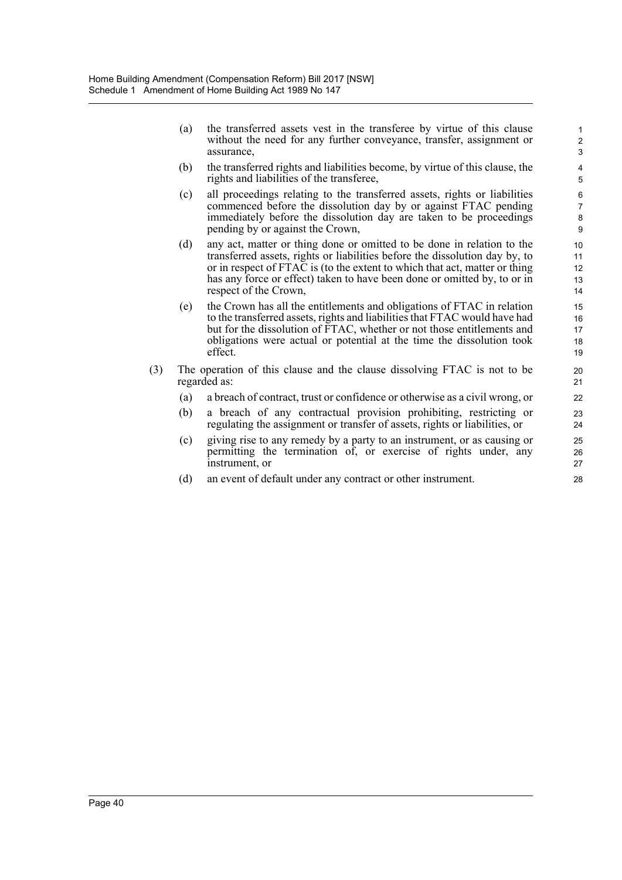(a) the transferred assets vest in the transferee by virtue of this clause without the need for any further conveyance, transfer, assignment or assurance,

- (b) the transferred rights and liabilities become, by virtue of this clause, the rights and liabilities of the transferee,
- (c) all proceedings relating to the transferred assets, rights or liabilities commenced before the dissolution day by or against FTAC pending immediately before the dissolution day are taken to be proceedings pending by or against the Crown,
- (d) any act, matter or thing done or omitted to be done in relation to the transferred assets, rights or liabilities before the dissolution day by, to or in respect of FTAC is (to the extent to which that act, matter or thing has any force or effect) taken to have been done or omitted by, to or in respect of the Crown,
- (e) the Crown has all the entitlements and obligations of FTAC in relation to the transferred assets, rights and liabilities that FTAC would have had but for the dissolution of FTAC, whether or not those entitlements and obligations were actual or potential at the time the dissolution took effect.
- (3) The operation of this clause and the clause dissolving FTAC is not to be regarded as:
	- (a) a breach of contract, trust or confidence or otherwise as a civil wrong, or
	- (b) a breach of any contractual provision prohibiting, restricting or regulating the assignment or transfer of assets, rights or liabilities, or
	- (c) giving rise to any remedy by a party to an instrument, or as causing or permitting the termination of, or exercise of rights under, any instrument, or
	- (d) an event of default under any contract or other instrument.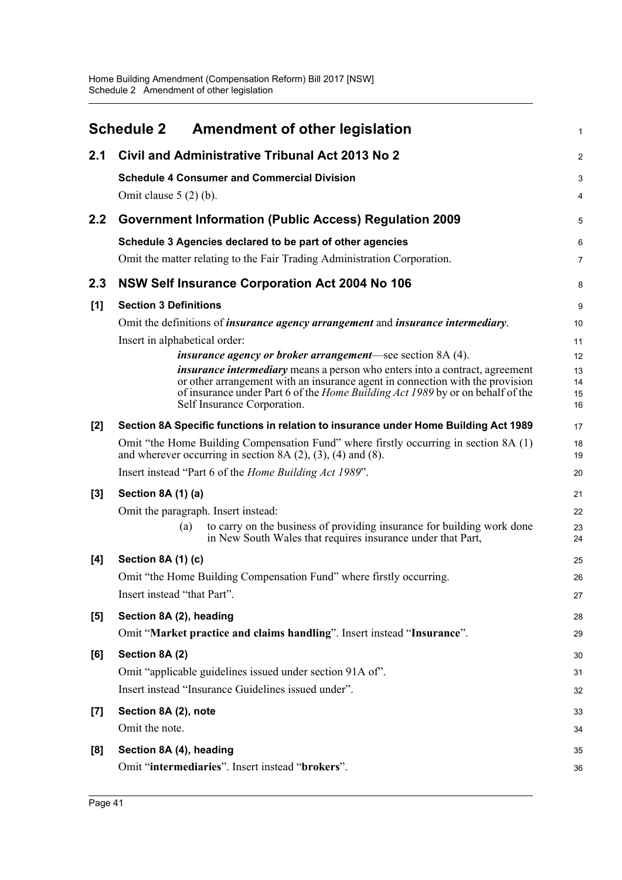<span id="page-49-0"></span>

|       | <b>Schedule 2</b>                                              | <b>Amendment of other legislation</b>                                                                                                                               | 1              |  |  |
|-------|----------------------------------------------------------------|---------------------------------------------------------------------------------------------------------------------------------------------------------------------|----------------|--|--|
| 2.1   |                                                                | Civil and Administrative Tribunal Act 2013 No 2                                                                                                                     | 2              |  |  |
|       | <b>Schedule 4 Consumer and Commercial Division</b>             |                                                                                                                                                                     | 3              |  |  |
|       | Omit clause $5(2)(b)$ .                                        |                                                                                                                                                                     |                |  |  |
| 2.2   |                                                                | <b>Government Information (Public Access) Regulation 2009</b>                                                                                                       | 5              |  |  |
|       |                                                                | Schedule 3 Agencies declared to be part of other agencies                                                                                                           | 6              |  |  |
|       |                                                                | Omit the matter relating to the Fair Trading Administration Corporation.                                                                                            | $\overline{7}$ |  |  |
| 2.3   |                                                                | NSW Self Insurance Corporation Act 2004 No 106                                                                                                                      | 8              |  |  |
| [1]   | <b>Section 3 Definitions</b>                                   |                                                                                                                                                                     | 9              |  |  |
|       |                                                                | Omit the definitions of <i>insurance agency arrangement</i> and <i>insurance intermediary</i> .                                                                     | 10             |  |  |
|       | Insert in alphabetical order:                                  |                                                                                                                                                                     | 11             |  |  |
|       |                                                                | <i>insurance agency or broker arrangement—see section 8A (4).</i>                                                                                                   | 12             |  |  |
|       |                                                                | <i>insurance intermediary</i> means a person who enters into a contract, agreement<br>or other arrangement with an insurance agent in connection with the provision | 13<br>14       |  |  |
|       |                                                                | of insurance under Part 6 of the <i>Home Building Act 1989</i> by or on behalf of the                                                                               | 15             |  |  |
|       | Self Insurance Corporation.                                    |                                                                                                                                                                     | 16             |  |  |
| $[2]$ |                                                                | Section 8A Specific functions in relation to insurance under Home Building Act 1989                                                                                 | 17             |  |  |
|       |                                                                | Omit "the Home Building Compensation Fund" where firstly occurring in section 8A (1)<br>and wherever occurring in section 8A $(2)$ , $(3)$ , $(4)$ and $(8)$ .      | 18<br>19       |  |  |
|       | Insert instead "Part 6 of the <i>Home Building Act 1989"</i> . |                                                                                                                                                                     | 20             |  |  |
| $[3]$ | Section 8A (1) (a)                                             |                                                                                                                                                                     | 21             |  |  |
|       | Omit the paragraph. Insert instead:                            |                                                                                                                                                                     | 22             |  |  |
|       | (a)                                                            | to carry on the business of providing insurance for building work done<br>in New South Wales that requires insurance under that Part,                               | 23<br>24       |  |  |
| [4]   | Section 8A (1) (c)                                             |                                                                                                                                                                     | 25             |  |  |
|       |                                                                | Omit "the Home Building Compensation Fund" where firstly occurring.                                                                                                 | 26             |  |  |
|       | Insert instead "that Part".                                    |                                                                                                                                                                     | 27             |  |  |
| [5]   | Section 8A (2), heading                                        |                                                                                                                                                                     | 28             |  |  |
|       |                                                                | Omit "Market practice and claims handling". Insert instead "Insurance".                                                                                             | 29             |  |  |
| [6]   | Section 8A (2)                                                 |                                                                                                                                                                     | 30             |  |  |
|       |                                                                | Omit "applicable guidelines issued under section 91A of".                                                                                                           | 31             |  |  |
|       | Insert instead "Insurance Guidelines issued under".            |                                                                                                                                                                     | 32             |  |  |
| $[7]$ | Section 8A (2), note                                           |                                                                                                                                                                     | 33             |  |  |
|       | Omit the note.                                                 |                                                                                                                                                                     | 34             |  |  |
| [8]   | Section 8A (4), heading                                        |                                                                                                                                                                     | 35             |  |  |
|       | Omit "intermediaries". Insert instead "brokers".               |                                                                                                                                                                     | 36             |  |  |
|       |                                                                |                                                                                                                                                                     |                |  |  |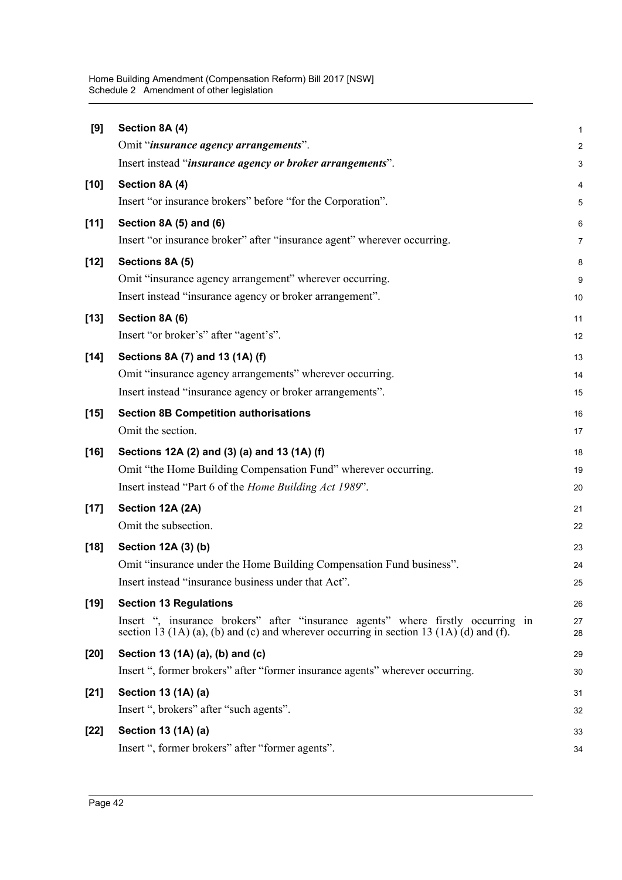| [9]    | Section 8A (4)                                                                                                                                                                  | 1              |
|--------|---------------------------------------------------------------------------------------------------------------------------------------------------------------------------------|----------------|
|        | Omit "insurance agency arrangements".                                                                                                                                           | $\overline{c}$ |
|        | Insert instead "insurance agency or broker arrangements".                                                                                                                       | 3              |
| $[10]$ | Section 8A (4)                                                                                                                                                                  | 4              |
|        | Insert "or insurance brokers" before "for the Corporation".                                                                                                                     | 5              |
| [11]   | Section 8A (5) and (6)                                                                                                                                                          | 6              |
|        | Insert "or insurance broker" after "insurance agent" wherever occurring.                                                                                                        | 7              |
| $[12]$ | Sections 8A (5)                                                                                                                                                                 | 8              |
|        | Omit "insurance agency arrangement" wherever occurring.                                                                                                                         | 9              |
|        | Insert instead "insurance agency or broker arrangement".                                                                                                                        | 10             |
| $[13]$ | Section 8A (6)                                                                                                                                                                  | 11             |
|        | Insert "or broker's" after "agent's".                                                                                                                                           | 12             |
| $[14]$ | Sections 8A (7) and 13 (1A) (f)                                                                                                                                                 | 13             |
|        | Omit "insurance agency arrangements" wherever occurring.                                                                                                                        | 14             |
|        | Insert instead "insurance agency or broker arrangements".                                                                                                                       | 15             |
| $[15]$ | <b>Section 8B Competition authorisations</b>                                                                                                                                    | 16             |
|        | Omit the section.                                                                                                                                                               | 17             |
| $[16]$ | Sections 12A (2) and (3) (a) and 13 (1A) (f)                                                                                                                                    | 18             |
|        | Omit "the Home Building Compensation Fund" wherever occurring.                                                                                                                  | 19             |
|        | Insert instead "Part 6 of the Home Building Act 1989".                                                                                                                          | 20             |
| $[17]$ | Section 12A (2A)                                                                                                                                                                | 21             |
|        | Omit the subsection.                                                                                                                                                            | 22             |
| $[18]$ | Section 12A (3) (b)                                                                                                                                                             | 23             |
|        | Omit "insurance under the Home Building Compensation Fund business".                                                                                                            | 24             |
|        | Insert instead "insurance business under that Act".                                                                                                                             | 25             |
| $[19]$ | <b>Section 13 Regulations</b>                                                                                                                                                   | 26             |
|        | Insert ", insurance brokers" after "insurance agents" where firstly occurring in<br>section 13 $(1A)$ (a), (b) and (c) and wherever occurring in section 13 $(1A)$ (d) and (f). | 27<br>28       |
| $[20]$ | Section 13 (1A) (a), (b) and (c)                                                                                                                                                | 29             |
|        | Insert ", former brokers" after "former insurance agents" wherever occurring.                                                                                                   | 30             |
| $[21]$ | Section 13 (1A) (a)                                                                                                                                                             | 31             |
|        | Insert ", brokers" after "such agents".                                                                                                                                         | 32             |
| $[22]$ | Section 13 (1A) (a)                                                                                                                                                             | 33             |
|        | Insert ", former brokers" after "former agents".                                                                                                                                | 34             |
|        |                                                                                                                                                                                 |                |